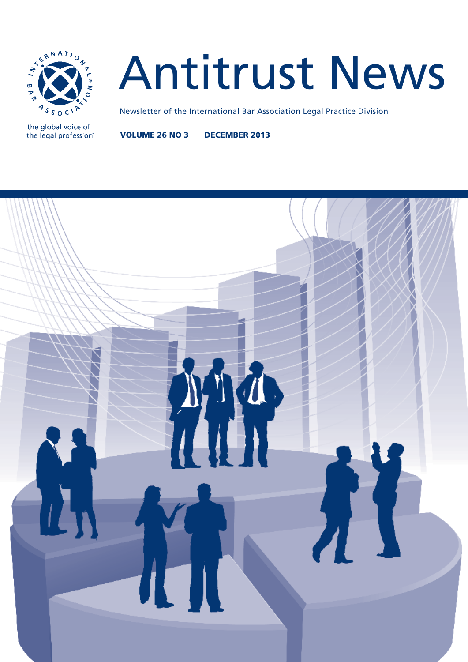

the global voice of the legal profession®

# Antitrust News

Newsletter of the International Bar Association Legal Practice Division

VOLUME 26 NO 3 DECEMBER 2013

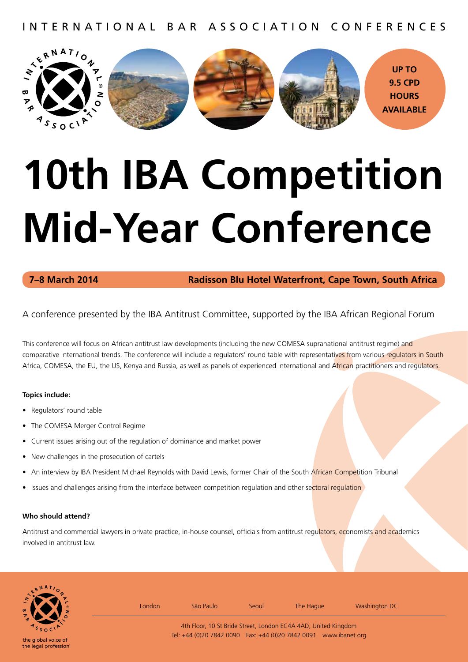INTERNATIONAL BAR ASSOCIATION CONFERENCES



# **10th IBA Competition Mid-Year Conference**

**7–8 March 2014 Radisson Blu Hotel Waterfront, Cape Town, South Africa**

A conference presented by the IBA Antitrust Committee, supported by the IBA African Regional Forum

This conference will focus on African antitrust law developments (including the new COMESA supranational antitrust regime) and comparative international trends. The conference will include a regulators' round table with representatives from various regulators in South Africa, COMESA, the EU, the US, Kenya and Russia, as well as panels of experienced international and African practitioners and regulators.

### **Topics include:**

- Regulators' round table
- The COMESA Merger Control Regime
- Current issues arising out of the regulation of dominance and market power
- New challenges in the prosecution of cartels
- An interview by IBA President Michael Reynolds with David Lewis, former Chair of the South African Competition Tribunal
- Issues and challenges arising from the interface between competition regulation and other sectoral regulation

### **Who should attend?**

Antitrust and commercial lawyers in private practice, in-house counsel, officials from antitrust regulators, economists and academics involved in antitrust law.

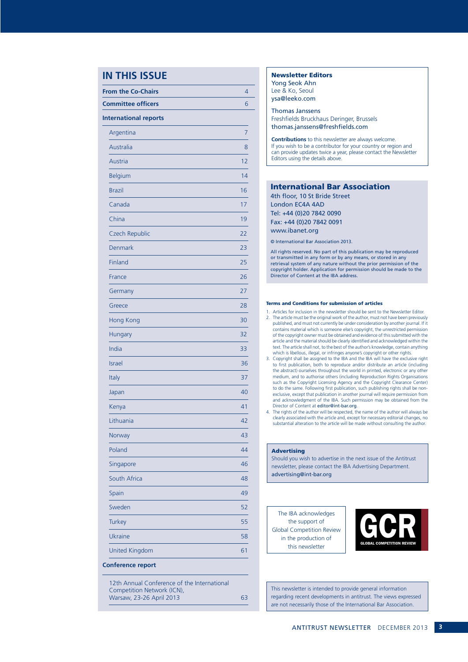### **IN THIS ISSUE**

| <b>From the Co-Chairs</b>    | 4  |
|------------------------------|----|
| <b>Committee officers</b>    | 6  |
| <b>International reports</b> |    |
| Argentina                    | 7  |
| Australia                    | 8  |
| Austria                      | 12 |
| <b>Belgium</b>               | 14 |
| <b>Brazil</b>                | 16 |
| Canada                       | 17 |
| China                        | 19 |
| Czech Republic               | 22 |
| Denmark                      | 23 |
| Finland                      | 25 |
| France                       | 26 |
| Germany                      | 27 |
| Greece                       | 28 |
| Hong Kong                    | 30 |
| Hungary                      | 32 |
| India                        | 33 |
| <b>Israel</b>                | 36 |
| Italy                        | 37 |
| Japan                        | 40 |
| Kenya                        | 41 |
| Lithuania                    | 42 |
| Norway                       | 43 |
| Poland                       | 44 |
| Singapore                    | 46 |
| South Africa                 | 48 |
| Spain                        | 49 |
| Sweden                       | 52 |
| <b>Turkey</b>                | 55 |
| Ukraine                      | 58 |
| <b>United Kingdom</b>        | 61 |

### 12th Annual Conference of the International Competition Network (ICN), Warsaw, 23-26 April 2013 63

### Newsletter Editors

Yong Seok Ahn Lee & Ko, Seoul ysa@leeko.com

Thomas Janssens Freshfields Bruckhaus Deringer, Brussels thomas.janssens@freshfields.com

**Contributions** to this newsletter are always welcome. If you wish to be a contributor for your country or region and can provide updates twice a year, please contact the Newsletter Editors using the details above.

### International Bar Association

4th floor, 10 St Bride Street London EC4A 4AD Tel: +44 (0)20 7842 0090 Fax: +44 (0)20 7842 0091 www.ibanet.org

© International Bar Association 2013.

All rights reserved. No part of this publication may be reproduced or transmitted in any form or by any means, or stored in any retrieval system of any nature without the prior permission of the copyright holder. Application for permission should be made to the Director of Content at the IBA address.

### Terms and Conditions for submission of articles

- 1. Articles for inclusion in the newsletter should be sent to the Newsletter Editor. 2. The article must be the original work of the author, must not have been previously published, and must not currently be under consideration by another journal. If it contains material which is someone else's copyright, the unrestricted permission of the copyright owner must be obtained and evidence of this submitted with the article and the material should be clearly identified and acknowledged within the text. The article shall not, to the best of the author's knowledge, contain anything which is libellous, illegal, or infringes anyone's copyright or other rights.
- 3. Copyright shall be assigned to the IBA and the IBA will have the exclusive right to first publication, both to reproduce and/or distribute an article (including the abstract) ourselves throughout the world in printed, electronic or any other medium, and to authorise others (including Reproduction Rights Organisations such as the Copyright Licensing Agency and the Copyright Clearance Center) to do the same. Following first publication, such publishing rights shall be nonexclusive, except that publication in another journal will require permission from and acknowledgment of the IBA. Such permission may be obtained from the Director of Content at editor@int-bar.org.
- 4. The rights of the author will be respected, the name of the author will always be clearly associated with the article and, except for necessary editorial changes, no substantial alteration to the article will be made without consulting the author.

### Advertising

Should you wish to advertise in the next issue of the Antitrust newsletter, please contact the IBA Advertising Department. advertising@int-bar.org

The IBA acknowledges the support of Global Competition Review in the production of this newsletter



This newsletter is intended to provide general information regarding recent developments in antitrust. The views expressed are not necessarily those of the International Bar Association.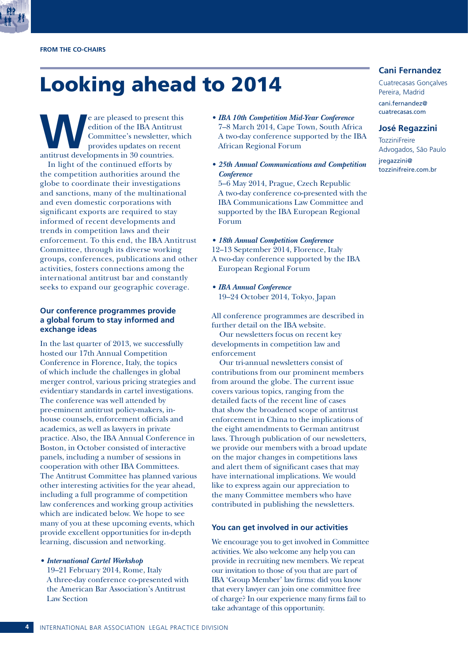

## Looking ahead to 2014

**WE are pleased to present this**<br>
dition of the IBA Antitrust<br>
Committee's newsletter, which<br>
provides updates on recent<br>
antitrust developments in 30 countries. edition of the IBA Antitrust Committee's newsletter, which provides updates on recent

In light of the continued efforts by the competition authorities around the globe to coordinate their investigations and sanctions, many of the multinational and even domestic corporations with significant exports are required to stay informed of recent developments and trends in competition laws and their enforcement. To this end, the IBA Antitrust Committee, through its diverse working groups, conferences, publications and other activities, fosters connections among the international antitrust bar and constantly seeks to expand our geographic coverage.

### **Our conference programmes provide a global forum to stay informed and exchange ideas**

In the last quarter of 2013, we successfully hosted our 17th Annual Competition Conference in Florence, Italy, the topics of which include the challenges in global merger control, various pricing strategies and evidentiary standards in cartel investigations. The conference was well attended by pre-eminent antitrust policy-makers, inhouse counsels, enforcement officials and academics, as well as lawyers in private practice. Also, the IBA Annual Conference in Boston, in October consisted of interactive panels, including a number of sessions in cooperation with other IBA Committees. The Antitrust Committee has planned various other interesting activities for the year ahead, including a full programme of competition law conferences and working group activities which are indicated below. We hope to see many of you at these upcoming events, which provide excellent opportunities for in-depth learning, discussion and networking.

*• International Cartel Workshop*

19–21 February 2014, Rome, Italy A three-day conference co-presented with the American Bar Association's Antitrust Law Section

- *• IBA 10th Competition Mid-Year Conference* 7–8 March 2014, Cape Town, South Africa A two-day conference supported by the IBA African Regional Forum
- *• 25th Annual Communications and Competition Conference* 5–6 May 2014, Prague, Czech Republic A two-day conference co-presented with the IBA Communications Law Committee and supported by the IBA European Regional
- *• 18th Annual Competition Conference* 12–13 September 2014, Florence, Italy A two-day conference supported by the IBA European Regional Forum
- *• IBA Annual Conference* 19–24 October 2014, Tokyo, Japan

Forum

All conference programmes are described in further detail on the IBA website.

Our newsletters focus on recent key developments in competition law and enforcement

Our tri-annual newsletters consist of contributions from our prominent members from around the globe. The current issue covers various topics, ranging from the detailed facts of the recent line of cases that show the broadened scope of antitrust enforcement in China to the implications of the eight amendments to German antitrust laws. Through publication of our newsletters, we provide our members with a broad update on the major changes in competitions laws and alert them of significant cases that may have international implications. We would like to express again our appreciation to the many Committee members who have contributed in publishing the newsletters.

### **You can get involved in our activities**

We encourage you to get involved in Committee activities. We also welcome any help you can provide in recruiting new members. We repeat our invitation to those of you that are part of IBA 'Group Member' law firms: did you know that every lawyer can join one committee free of charge? In our experience many firms fail to take advantage of this opportunity.

### **Cani Fernandez**

Cuatrecasas Gonçalves Pereira, Madrid cani.fernandez@ cuatrecasas.com

### **José Regazzini**

**TozziniFreire** Advogados, São Paulo jregazzini@ tozzinifreire.com.br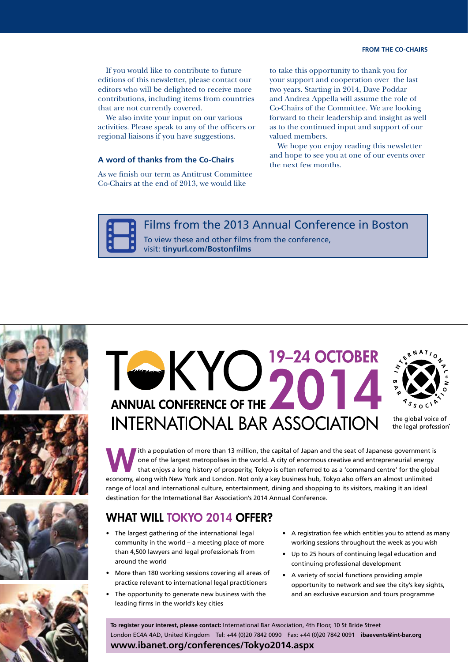If you would like to contribute to future editions of this newsletter, please contact our editors who will be delighted to receive more contributions, including items from countries that are not currently covered.

We also invite your input on our various activities. Please speak to any of the officers or regional liaisons if you have suggestions.

### **A word of thanks from the Co-Chairs**

As we finish our term as Antitrust Committee Co-Chairs at the end of 2013, we would like

to take this opportunity to thank you for your support and cooperation over the last two years. Starting in 2014, Dave Poddar and Andrea Appella will assume the role of Co-Chairs of the Committee. We are looking forward to their leadership and insight as well as to the continued input and support of our valued members.

We hope you enjoy reading this newsletter and hope to see you at one of our events over the next few months.

Films from the 2013 Annual Conference in Boston

To view these and other films from the conference, visit: **tinyurl.com/Bostonfilms**









# TWKYO<sup>19-24</sup> OCTOBER **ANNUAL CONFERENCE OF THE INTERNATIONAL BAR ASSOCIATION**



the global voice of the legal profession®

The a population of more than 13 million, the capital of Japan and the seat of Japanese government is<br>
one of the largest metropolises in the world. A city of enormous creative and entrepreneurial energy<br>
that enjoys a lon one of the largest metropolises in the world. A city of enormous creative and entrepreneurial energy that enjoys a long history of prosperity, Tokyo is often referred to as a 'command centre' for the global economy, along with New York and London. Not only a key business hub, Tokyo also offers an almost unlimited range of local and international culture, entertainment, dining and shopping to its visitors, making it an ideal destination for the International Bar Association's 2014 Annual Conference.

## WHAT WILL TOKYO 2014 OFFER?

- • The largest gathering of the international legal community in the world – a meeting place of more than 4,500 lawyers and legal professionals from around the world
- More than 180 working sessions covering all areas of practice relevant to international legal practitioners
- The opportunity to generate new business with the leading firms in the world's key cities
- • A registration fee which entitles you to attend as many working sessions throughout the week as you wish
- • Up to 25 hours of continuing legal education and continuing professional development
- • A variety of social functions providing ample opportunity to network and see the city's key sights, and an exclusive excursion and tours programme

**To register your interest, please contact:** International Bar Association, 4th Floor, 10 St Bride Street London EC4A 4AD, United Kingdom Tel: +44 (0)20 7842 0090 Fax: +44 (0)20 7842 0091 **ibaevents@int-bar.org www.ibanet.org/conferences/Tokyo2014.aspx**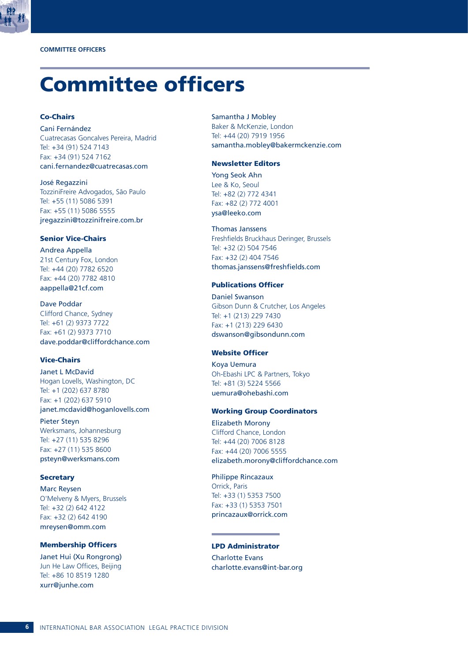

## Committee officers

### Co-Chairs

Cani Fernández Cuatrecasas Goncalves Pereira, Madrid Tel: +34 (91) 524 7143 Fax: +34 (91) 524 7162

cani.fernandez@cuatrecasas.com

José Regazzini TozziniFreire Advogados, São Paulo Tel: +55 (11) 5086 5391 Fax: +55 (11) 5086 5555 jregazzini@tozzinifreire.com.br

### Senior Vice-Chairs

Andrea Appella 21st Century Fox, London Tel: +44 (20) 7782 6520 Fax: +44 (20) 7782 4810 aappella@21cf.com

Dave Poddar Clifford Chance, Sydney Tel: +61 (2) 9373 7722 Fax: +61 (2) 9373 7710 dave.poddar@cliffordchance.com

### Vice-Chairs

Janet L McDavid Hogan Lovells, Washington, DC Tel: +1 (202) 637 8780 Fax: +1 (202) 637 5910 janet.mcdavid@hoganlovells.com

Pieter Steyn Werksmans, Johannesburg Tel: +27 (11) 535 8296 Fax: +27 (11) 535 8600 psteyn@werksmans.com

### **Secretary**

Marc Reysen O'Melveny & Myers, Brussels Tel: +32 (2) 642 4122 Fax: +32 (2) 642 4190 mreysen@omm.com

### Membership Officers

Janet Hui (Xu Rongrong) Jun He Law Offices, Beijing Tel: +86 10 8519 1280 xurr@junhe.com

### Samantha J Mobley

Baker & McKenzie, London Tel: +44 (20) 7919 1956 samantha.mobley@bakermckenzie.com

### Newsletter Editors

Yong Seok Ahn Lee & Ko, Seoul Tel: +82 (2) 772 4341 Fax: +82 (2) 772 4001 ysa@leeko.com

### Thomas Janssens

Freshfields Bruckhaus Deringer, Brussels Tel: +32 (2) 504 7546 Fax: +32 (2) 404 7546 thomas.janssens@freshfields.com

### Publications Officer

Daniel Swanson Gibson Dunn & Crutcher, Los Angeles Tel: +1 (213) 229 7430 Fax: +1 (213) 229 6430 dswanson@gibsondunn.com

### Website Officer

Koya Uemura Oh-Ebashi LPC & Partners, Tokyo Tel: +81 (3) 5224 5566 uemura@ohebashi.com

### Working Group Coordinators

Elizabeth Morony Clifford Chance, London Tel: +44 (20) 7006 8128 Fax: +44 (20) 7006 5555 elizabeth.morony@cliffordchance.com

Philippe Rincazaux Orrick, Paris Tel: +33 (1) 5353 7500 Fax: +33 (1) 5353 7501 princazaux@orrick.com

### LPD Administrator

Charlotte Evans charlotte.evans@int-bar.org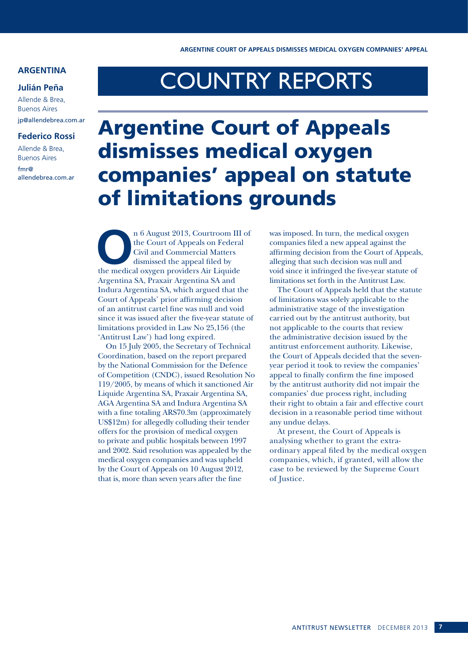### **ARGENTINA**

### **Julián Peña**

Allende & Brea, Buenos Aires jp@allendebrea.com.ar

### **Federico Rossi**

Allende & Brea, Buenos Aires

fmr@ allendebrea.com.ar

# COUNTRY REPORTS

## Argentine Court of Appeals dismisses medical oxygen companies' appeal on statute of limitations grounds

n 6 August 2013, Courtroom III of the Court of Appeals on Federal Civil and Commercial Matters dismissed the appeal filed by the medical oxygen providers Air Liquide the Court of Appeals on Federal Civil and Commercial Matters dismissed the appeal filed by Argentina SA, Praxair Argentina SA and Indura Argentina SA, which argued that the Court of Appeals' prior affirming decision of an antitrust cartel fine was null and void since it was issued after the five-year statute of limitations provided in Law No 25,156 (the 'Antitrust Law') had long expired.

On 15 July 2005, the Secretary of Technical Coordination, based on the report prepared by the National Commission for the Defence of Competition (CNDC), issued Resolution No 119/2005, by means of which it sanctioned Air Liquide Argentina SA, Praxair Argentina SA, AGA Argentina SA and Indura Argentina SA with a fine totaling ARS70.3m (approximately US\$12m) for allegedly colluding their tender offers for the provision of medical oxygen to private and public hospitals between 1997 and 2002. Said resolution was appealed by the medical oxygen companies and was upheld by the Court of Appeals on 10 August 2012, that is, more than seven years after the fine

was imposed. In turn, the medical oxygen companies filed a new appeal against the affirming decision from the Court of Appeals, alleging that such decision was null and void since it infringed the five-year statute of limitations set forth in the Antitrust Law.

The Court of Appeals held that the statute of limitations was solely applicable to the administrative stage of the investigation carried out by the antitrust authority, but not applicable to the courts that review the administrative decision issued by the antitrust enforcement authority. Likewise, the Court of Appeals decided that the sevenyear period it took to review the companies' appeal to finally confirm the fine imposed by the antitrust authority did not impair the companies' due process right, including their right to obtain a fair and effective court decision in a reasonable period time without any undue delays.

At present, the Court of Appeals is analysing whether to grant the extraordinary appeal filed by the medical oxygen companies, which, if granted, will allow the case to be reviewed by the Supreme Court of Justice.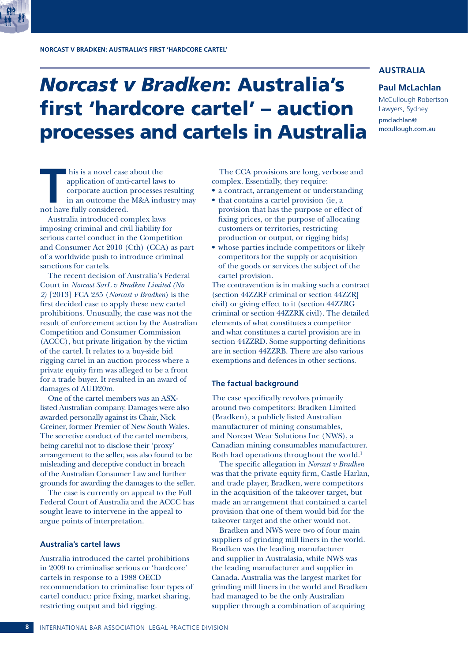## *Norcast v Bradken*: Australia's first 'hardcore cartel' – auction processes and cartels in Australia

### **AUSTRALIA**

### **Paul McLachlan**

McCullough Robertson Lawyers, Sydney pmclachlan@ mccullough.com.au

his is a novel case about the<br>application of anti-cartel laws<br>corporate auction processes<br>in an outcome the M&A indu<br>not have fully considered. application of anti-cartel laws to corporate auction processes resulting in an outcome the M&A industry may not have fully considered.

Australia introduced complex laws imposing criminal and civil liability for serious cartel conduct in the Competition and Consumer Act 2010 (Cth) (CCA) as part of a worldwide push to introduce criminal sanctions for cartels.

The recent decision of Australia's Federal Court in *Norcast SarL v Bradken Limited (No 2)* [2013] FCA 235 (*Norcast v Bradken*) is the first decided case to apply these new cartel prohibitions. Unusually, the case was not the result of enforcement action by the Australian Competition and Consumer Commission (ACCC), but private litigation by the victim of the cartel. It relates to a buy-side bid rigging cartel in an auction process where a private equity firm was alleged to be a front for a trade buyer. It resulted in an award of damages of AUD20m.

One of the cartel members was an ASXlisted Australian company. Damages were also awarded personally against its Chair, Nick Greiner, former Premier of New South Wales. The secretive conduct of the cartel members, being careful not to disclose their 'proxy' arrangement to the seller, was also found to be misleading and deceptive conduct in breach of the Australian Consumer Law and further grounds for awarding the damages to the seller.

The case is currently on appeal to the Full Federal Court of Australia and the ACCC has sought leave to intervene in the appeal to argue points of interpretation.

### **Australia's cartel laws**

Australia introduced the cartel prohibitions in 2009 to criminalise serious or 'hardcore' cartels in response to a 1988 OECD recommendation to criminalise four types of cartel conduct: price fixing, market sharing, restricting output and bid rigging.

The CCA provisions are long, verbose and complex. Essentially, they require:

- a contract, arrangement or understanding
- that contains a cartel provision (ie, a provision that has the purpose or effect of fixing prices, or the purpose of allocating customers or territories, restricting production or output, or rigging bids)
- whose parties include competitors or likely competitors for the supply or acquisition of the goods or services the subject of the cartel provision.

The contravention is in making such a contract (section 44ZZRF criminal or section 44ZZRJ civil) or giving effect to it (section 44ZZRG criminal or section 44ZZRK civil). The detailed elements of what constitutes a competitor and what constitutes a cartel provision are in section 44ZZRD. Some supporting definitions are in section 44ZZRB. There are also various exemptions and defences in other sections.

### **The factual background**

The case specifically revolves primarily around two competitors: Bradken Limited (Bradken), a publicly listed Australian manufacturer of mining consumables, and Norcast Wear Solutions Inc (NWS), a Canadian mining consumables manufacturer. Both had operations throughout the world.<sup>1</sup>

The specific allegation in *Norcast v Bradken* was that the private equity firm, Castle Harlan, and trade player, Bradken, were competitors in the acquisition of the takeover target, but made an arrangement that contained a cartel provision that one of them would bid for the takeover target and the other would not.

Bradken and NWS were two of four main suppliers of grinding mill liners in the world. Bradken was the leading manufacturer and supplier in Australasia, while NWS was the leading manufacturer and supplier in Canada. Australia was the largest market for grinding mill liners in the world and Bradken had managed to be the only Australian supplier through a combination of acquiring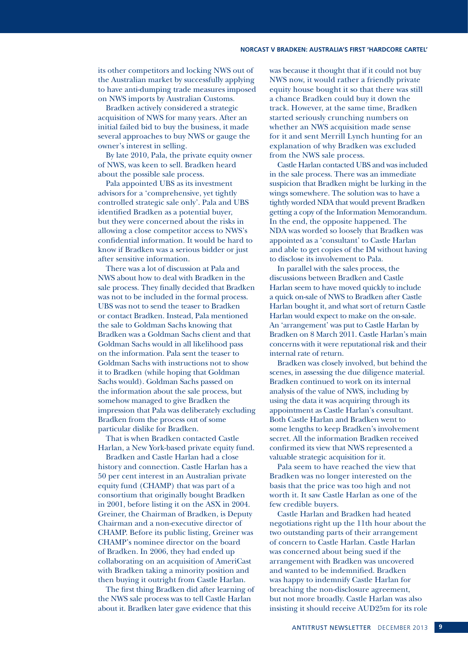### **NORCAST V BRADKEN: AUSTRALIA'S FIRST 'HARDCORE CARTEL'**

its other competitors and locking NWS out of the Australian market by successfully applying to have anti-dumping trade measures imposed on NWS imports by Australian Customs.

Bradken actively considered a strategic acquisition of NWS for many years. After an initial failed bid to buy the business, it made several approaches to buy NWS or gauge the owner's interest in selling.

By late 2010, Pala, the private equity owner of NWS, was keen to sell. Bradken heard about the possible sale process.

Pala appointed UBS as its investment advisors for a 'comprehensive, yet tightly controlled strategic sale only'. Pala and UBS identified Bradken as a potential buyer, but they were concerned about the risks in allowing a close competitor access to NWS's confidential information. It would be hard to know if Bradken was a serious bidder or just after sensitive information.

There was a lot of discussion at Pala and NWS about how to deal with Bradken in the sale process. They finally decided that Bradken was not to be included in the formal process. UBS was not to send the teaser to Bradken or contact Bradken. Instead, Pala mentioned the sale to Goldman Sachs knowing that Bradken was a Goldman Sachs client and that Goldman Sachs would in all likelihood pass on the information. Pala sent the teaser to Goldman Sachs with instructions not to show it to Bradken (while hoping that Goldman Sachs would). Goldman Sachs passed on the information about the sale process, but somehow managed to give Bradken the impression that Pala was deliberately excluding Bradken from the process out of some particular dislike for Bradken.

That is when Bradken contacted Castle Harlan, a New York-based private equity fund.

Bradken and Castle Harlan had a close history and connection. Castle Harlan has a 50 per cent interest in an Australian private equity fund (CHAMP) that was part of a consortium that originally bought Bradken in 2001, before listing it on the ASX in 2004. Greiner, the Chairman of Bradken, is Deputy Chairman and a non-executive director of CHAMP. Before its public listing, Greiner was CHAMP's nominee director on the board of Bradken. In 2006, they had ended up collaborating on an acquisition of AmeriCast with Bradken taking a minority position and then buying it outright from Castle Harlan.

The first thing Bradken did after learning of the NWS sale process was to tell Castle Harlan about it. Bradken later gave evidence that this

was because it thought that if it could not buy NWS now, it would rather a friendly private equity house bought it so that there was still a chance Bradken could buy it down the track. However, at the same time, Bradken started seriously crunching numbers on whether an NWS acquisition made sense for it and sent Merrill Lynch hunting for an explanation of why Bradken was excluded from the NWS sale process.

Castle Harlan contacted UBS and was included in the sale process. There was an immediate suspicion that Bradken might be lurking in the wings somewhere. The solution was to have a tightly worded NDA that would prevent Bradken getting a copy of the Information Memorandum. In the end, the opposite happened. The NDA was worded so loosely that Bradken was appointed as a 'consultant' to Castle Harlan and able to get copies of the IM without having to disclose its involvement to Pala.

In parallel with the sales process, the discussions between Bradken and Castle Harlan seem to have moved quickly to include a quick on-sale of NWS to Bradken after Castle Harlan bought it, and what sort of return Castle Harlan would expect to make on the on-sale. An 'arrangement' was put to Castle Harlan by Bradken on 8 March 2011. Castle Harlan's main concerns with it were reputational risk and their internal rate of return.

Bradken was closely involved, but behind the scenes, in assessing the due diligence material. Bradken continued to work on its internal analysis of the value of NWS, including by using the data it was acquiring through its appointment as Castle Harlan's consultant. Both Castle Harlan and Bradken went to some lengths to keep Bradken's involvement secret. All the information Bradken received confirmed its view that NWS represented a valuable strategic acquisition for it.

Pala seem to have reached the view that Bradken was no longer interested on the basis that the price was too high and not worth it. It saw Castle Harlan as one of the few credible buyers.

Castle Harlan and Bradken had heated negotiations right up the 11th hour about the two outstanding parts of their arrangement of concern to Castle Harlan. Castle Harlan was concerned about being sued if the arrangement with Bradken was uncovered and wanted to be indemnified. Bradken was happy to indemnify Castle Harlan for breaching the non-disclosure agreement, but not more broadly. Castle Harlan was also insisting it should receive AUD25m for its role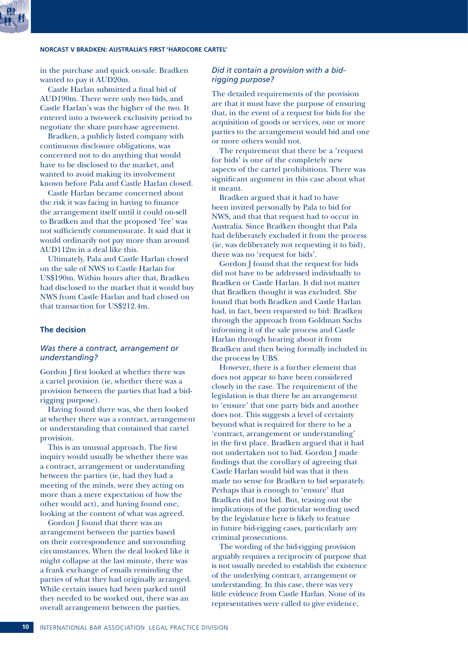### **NORCAST V BRADKEN: AUSTRALIA'S FIRST 'HARDCORE CARTEL'**

in the purchase and quick on-sale. Bradken wanted to pay it AUD20m.

Castle Harlan submitted a final bid of AUD190m. There were only two bids, and Castle Harlan's was the higher of the two. It entered into a two-week exclusivity period to negotiate the share purchase agreement.

Bradken, a publicly listed company with continuous disclosure obligations, was concerned not to do anything that would have to be disclosed to the market, and wanted to avoid making its involvement known before Pala and Castle Harlan closed.

Castle Harlan became concerned about the risk it was facing in having to finance the arrangement itself until it could on-sell to Bradken and that the proposed 'fee' was not sufficiently commensurate. It said that it would ordinarily not pay more than around AUD112m in a deal like this.

Ultimately, Pala and Castle Harlan closed on the sale of NWS to Castle Harlan for US\$190m. Within hours after that, Bradken had disclosed to the market that it would buy NWS from Castle Harlan and had closed on that transaction for US\$212.4m.

### **The decision**

### *Was there a contract, arrangement or understanding?*

Gordon J first looked at whether there was a cartel provision (ie, whether there was a provision between the parties that had a bidrigging purpose).

Having found there was, she then looked at whether there was a contract, arrangement or understanding that contained that cartel provision.

This is an unusual approach. The first inquiry would usually be whether there was a contract, arrangement or understanding between the parties (ie, had they had a meeting of the minds, were they acting on more than a mere expectation of how the other would act), and having found one, looking at the content of what was agreed.

Gordon J found that there was an arrangement between the parties based on their correspondence and surrounding circumstances. When the deal looked like it might collapse at the last minute, there was a frank exchange of emails reminding the parties of what they had originally arranged. While certain issues had been parked until they needed to be worked out, there was an overall arrangement between the parties.

### *Did it contain a provision with a bidrigging purpose?*

The detailed requirements of the provision are that it must have the purpose of ensuring that, in the event of a request for bids for the acquisition of goods or services, one or more parties to the arrangement would bid and one or more others would not.

The requirement that there be a 'request for bids' is one of the completely new aspects of the cartel prohibitions. There was significant argument in this case about what it meant.

Bradken argued that it had to have been invited personally by Pala to bid for NWS, and that that request had to occur in Australia. Since Bradken thought that Pala had deliberately excluded it from the process (ie, was deliberately not requesting it to bid), there was no 'request for bids'.

Gordon J found that the request for bids did not have to be addressed individually to Bradken or Castle Harlan. It did not matter that Bradken thought it was excluded. She found that both Bradken and Castle Harlan had, in fact, been requested to bid: Bradken through the approach from Goldman Sachs informing it of the sale process and Castle Harlan through hearing about it from Bradken and then being formally included in the process by UBS.

However, there is a further element that does not appear to have been considered closely in the case. The requirement of the legislation is that there be an arrangement to 'ensure' that one party bids and another does not. This suggests a level of certainty beyond what is required for there to be a 'contract, arrangement or understanding' in the first place. Bradken argued that it had not undertaken not to bid. Gordon J made findings that the corollary of agreeing that Castle Harlan would bid was that it then made no sense for Bradken to bid separately. Perhaps that is enough to 'ensure' that Bradken did not bid. But, teasing out the implications of the particular wording used by the legislature here is likely to feature in future bid-rigging cases, particularly any criminal prosecutions.

The wording of the bid-rigging provision arguably requires a reciprocity of purpose that is not usually needed to establish the existence of the underlying contract, arrangement or understanding. In this case, there was very little evidence from Castle Harlan. None of its representatives were called to give evidence,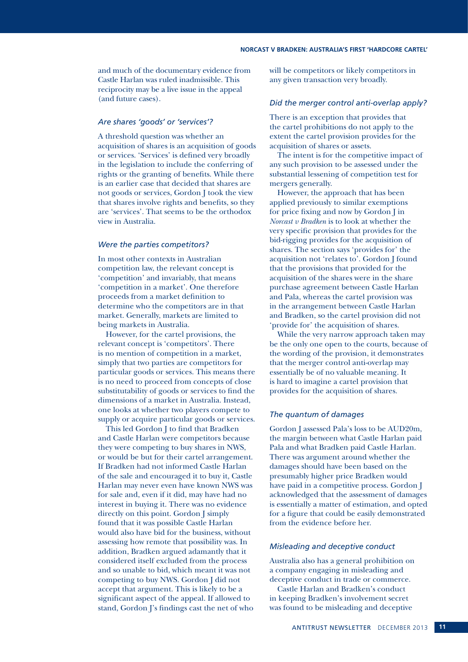and much of the documentary evidence from Castle Harlan was ruled inadmissible. This reciprocity may be a live issue in the appeal (and future cases).

### *Are shares 'goods' or 'services'?*

A threshold question was whether an acquisition of shares is an acquisition of goods or services. 'Services' is defined very broadly in the legislation to include the conferring of rights or the granting of benefits. While there is an earlier case that decided that shares are not goods or services, Gordon J took the view that shares involve rights and benefits, so they are 'services'. That seems to be the orthodox view in Australia.

### *Were the parties competitors?*

In most other contexts in Australian competition law, the relevant concept is 'competition' and invariably, that means 'competition in a market'. One therefore proceeds from a market definition to determine who the competitors are in that market. Generally, markets are limited to being markets in Australia.

However, for the cartel provisions, the relevant concept is 'competitors'. There is no mention of competition in a market, simply that two parties are competitors for particular goods or services. This means there is no need to proceed from concepts of close substitutability of goods or services to find the dimensions of a market in Australia. Instead, one looks at whether two players compete to supply or acquire particular goods or services.

This led Gordon J to find that Bradken and Castle Harlan were competitors because they were competing to buy shares in NWS, or would be but for their cartel arrangement. If Bradken had not informed Castle Harlan of the sale and encouraged it to buy it, Castle Harlan may never even have known NWS was for sale and, even if it did, may have had no interest in buying it. There was no evidence directly on this point. Gordon J simply found that it was possible Castle Harlan would also have bid for the business, without assessing how remote that possibility was. In addition, Bradken argued adamantly that it considered itself excluded from the process and so unable to bid, which meant it was not competing to buy NWS. Gordon J did not accept that argument. This is likely to be a significant aspect of the appeal. If allowed to stand, Gordon J's findings cast the net of who will be competitors or likely competitors in any given transaction very broadly.

### *Did the merger control anti-overlap apply?*

There is an exception that provides that the cartel prohibitions do not apply to the extent the cartel provision provides for the acquisition of shares or assets.

The intent is for the competitive impact of any such provision to be assessed under the substantial lessening of competition test for mergers generally.

However, the approach that has been applied previously to similar exemptions for price fixing and now by Gordon J in *Norcast v Bradken* is to look at whether the very specific provision that provides for the bid-rigging provides for the acquisition of shares. The section says 'provides for' the acquisition not 'relates to'. Gordon J found that the provisions that provided for the acquisition of the shares were in the share purchase agreement between Castle Harlan and Pala, whereas the cartel provision was in the arrangement between Castle Harlan and Bradken, so the cartel provision did not 'provide for' the acquisition of shares.

While the very narrow approach taken may be the only one open to the courts, because of the wording of the provision, it demonstrates that the merger control anti-overlap may essentially be of no valuable meaning. It is hard to imagine a cartel provision that provides for the acquisition of shares.

### *The quantum of damages*

Gordon J assessed Pala's loss to be AUD20m, the margin between what Castle Harlan paid Pala and what Bradken paid Castle Harlan. There was argument around whether the damages should have been based on the presumably higher price Bradken would have paid in a competitive process. Gordon J acknowledged that the assessment of damages is essentially a matter of estimation, and opted for a figure that could be easily demonstrated from the evidence before her.

### *Misleading and deceptive conduct*

Australia also has a general prohibition on a company engaging in misleading and deceptive conduct in trade or commerce.

Castle Harlan and Bradken's conduct in keeping Bradken's involvement secret was found to be misleading and deceptive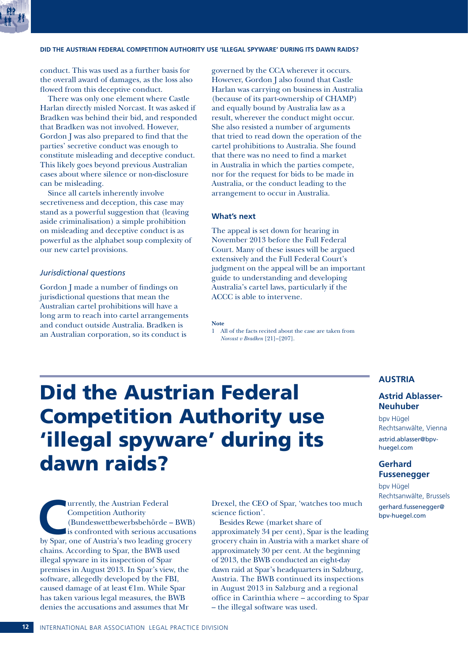

### **DID THE AUSTRIAN FEDERAL COMPETITION AUTHORITY USE 'ILLEGAL SPYWARE' DURING ITS DAWN RAIDS?**

conduct. This was used as a further basis for the overall award of damages, as the loss also flowed from this deceptive conduct.

There was only one element where Castle Harlan directly misled Norcast. It was asked if Bradken was behind their bid, and responded that Bradken was not involved. However, Gordon J was also prepared to find that the parties' secretive conduct was enough to constitute misleading and deceptive conduct. This likely goes beyond previous Australian cases about where silence or non-disclosure can be misleading.

Since all cartels inherently involve secretiveness and deception, this case may stand as a powerful suggestion that (leaving aside criminalisation) a simple prohibition on misleading and deceptive conduct is as powerful as the alphabet soup complexity of our new cartel provisions.

### *Jurisdictional questions*

Gordon J made a number of findings on jurisdictional questions that mean the Australian cartel prohibitions will have a long arm to reach into cartel arrangements and conduct outside Australia. Bradken is an Australian corporation, so its conduct is

governed by the CCA wherever it occurs. However, Gordon J also found that Castle Harlan was carrying on business in Australia (because of its part-ownership of CHAMP) and equally bound by Australia law as a result, wherever the conduct might occur. She also resisted a number of arguments that tried to read down the operation of the cartel prohibitions to Australia. She found that there was no need to find a market in Australia in which the parties compete, nor for the request for bids to be made in Australia, or the conduct leading to the arrangement to occur in Australia.

### **What's next**

The appeal is set down for hearing in November 2013 before the Full Federal Court. Many of these issues will be argued extensively and the Full Federal Court's judgment on the appeal will be an important guide to understanding and developing Australia's cartel laws, particularly if the ACCC is able to intervene.

### **Note**

1 All of the facts recited about the case are taken from *Norcast v Bradken* [21]–[207].

## Did the Austrian Federal Competition Authority use 'illegal spyware' during its dawn raids?

Urrently, the Austrian Federal<br>
Competition Authority<br>
(Bundeswettbewerbsbehörde – BWB)<br>
is confronted with serious accusation<br>
by Spar, one of Austria's two leading grocery Competition Authority (Bundeswettbewerbsbehörde – BWB) is confronted with serious accusations chains. According to Spar, the BWB used illegal spyware in its inspection of Spar premises in August 2013. In Spar's view, the software, allegedly developed by the FBI, caused damage of at least €1m. While Spar has taken various legal measures, the BWB denies the accusations and assumes that Mr

Drexel, the CEO of Spar, 'watches too much science fiction'.

Besides Rewe (market share of approximately 34 per cent), Spar is the leading grocery chain in Austria with a market share of approximately 30 per cent. At the beginning of 2013, the BWB conducted an eight-day dawn raid at Spar's headquarters in Salzburg, Austria. The BWB continued its inspections in August 2013 in Salzburg and a regional office in Carinthia where – according to Spar – the illegal software was used.

### **AUSTRIA**

### **Astrid Ablasser-Neuhuber**

bpv Hügel Rechtsanwälte, Vienna

astrid.ablasser@bpvhuegel.com

### **Gerhard Fussenegger**

bpv Hügel Rechtsanwälte, Brussels

gerhard.fussenegger@ bpv-huegel.com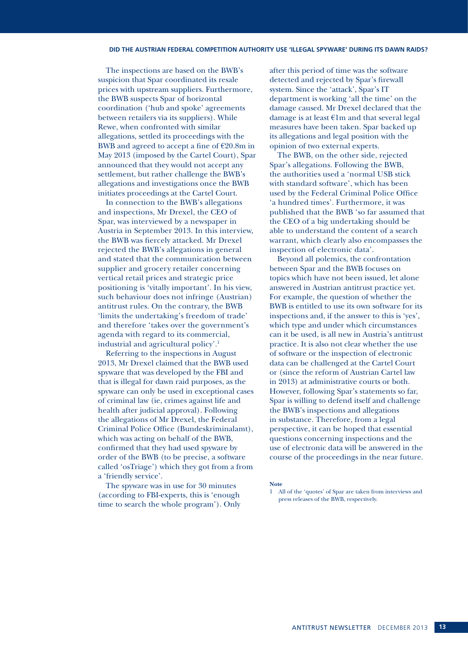The inspections are based on the BWB's suspicion that Spar coordinated its resale prices with upstream suppliers. Furthermore, the BWB suspects Spar of horizontal coordination ('hub and spoke' agreements between retailers via its suppliers). While Rewe, when confronted with similar allegations, settled its proceedings with the BWB and agreed to accept a fine of  $E20.8m$  in May 2013 (imposed by the Cartel Court), Spar announced that they would not accept any settlement, but rather challenge the BWB's allegations and investigations once the BWB initiates proceedings at the Cartel Court.

In connection to the BWB's allegations and inspections, Mr Drexel, the CEO of Spar, was interviewed by a newspaper in Austria in September 2013. In this interview, the BWB was fiercely attacked. Mr Drexel rejected the BWB's allegations in general and stated that the communication between supplier and grocery retailer concerning vertical retail prices and strategic price positioning is 'vitally important'. In his view, such behaviour does not infringe (Austrian) antitrust rules. On the contrary, the BWB 'limits the undertaking's freedom of trade' and therefore 'takes over the government's agenda with regard to its commercial, industrial and agricultural policy'.1

Referring to the inspections in August 2013, Mr Drexel claimed that the BWB used spyware that was developed by the FBI and that is illegal for dawn raid purposes, as the spyware can only be used in exceptional cases of criminal law (ie, crimes against life and health after judicial approval). Following the allegations of Mr Drexel, the Federal Criminal Police Office (Bundeskriminalamt), which was acting on behalf of the BWB, confirmed that they had used spyware by order of the BWB (to be precise, a software called 'osTriage') which they got from a from a 'friendly service'.

The spyware was in use for 30 minutes (according to FBI-experts, this is 'enough time to search the whole program'). Only after this period of time was the software detected and rejected by Spar's firewall system. Since the 'attack', Spar's IT department is working 'all the time' on the damage caused. Mr Drexel declared that the damage is at least €1m and that several legal measures have been taken. Spar backed up its allegations and legal position with the opinion of two external experts.

The BWB, on the other side, rejected Spar's allegations. Following the BWB, the authorities used a 'normal USB stick with standard software', which has been used by the Federal Criminal Police Office 'a hundred times'. Furthermore, it was published that the BWB 'so far assumed that the CEO of a big undertaking should be able to understand the content of a search warrant, which clearly also encompasses the inspection of electronic data'.

Beyond all polemics, the confrontation between Spar and the BWB focuses on topics which have not been issued, let alone answered in Austrian antitrust practice yet. For example, the question of whether the BWB is entitled to use its own software for its inspections and, if the answer to this is 'yes', which type and under which circumstances can it be used, is all new in Austria's antitrust practice. It is also not clear whether the use of software or the inspection of electronic data can be challenged at the Cartel Court or (since the reform of Austrian Cartel law in 2013) at administrative courts or both. However, following Spar's statements so far, Spar is willing to defend itself and challenge the BWB's inspections and allegations in substance. Therefore, from a legal perspective, it can be hoped that essential questions concerning inspections and the use of electronic data will be answered in the course of the proceedings in the near future.

**Note**

<sup>1</sup> All of the 'quotes' of Spar are taken from interviews and press releases of the BWB, respectively.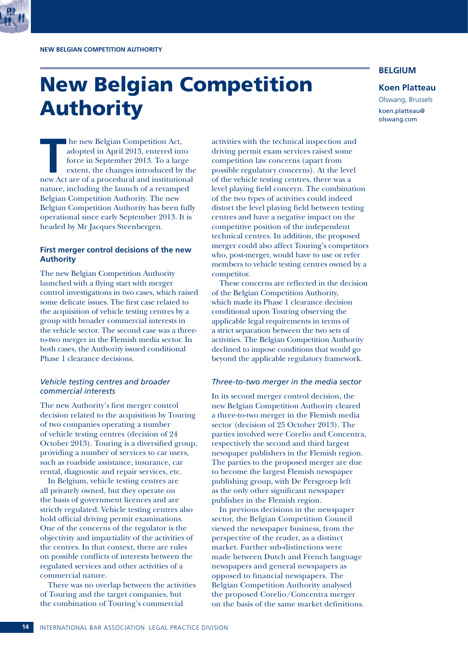## New Belgian Competition Authority

### **BELGIUM**

### **Koen Platteau**

Olswang, Brussels koen.platteau@ olswang.com

**THE MANUS ENTERNATION MANUS ENTERNATION ACT AND APPLY THE SURFERIERT SURFERIERT SURFERIERT STATE STATE STATE OF A PROPERTY AND THE STATE OF A PROCEDURE AND THE STATE OF A PROCEDURE AND THE STATE OF A PROCEDURE AND THE STA** adopted in April 2013, entered into force in September 2013. To a large extent, the changes introduced by the new Act are of a procedural and institutional nature, including the launch of a revamped Belgian Competition Authority. The new Belgian Competition Authority has been fully operational since early September 2013. It is headed by Mr Jacques Steenbergen.

### **First merger control decisions of the new Authority**

The new Belgian Competition Authority launched with a flying start with merger control investigations in two cases, which raised some delicate issues. The first case related to the acquisition of vehicle testing centres by a group with broader commercial interests in the vehicle sector. The second case was a threeto-two merger in the Flemish media sector. In both cases, the Authority issued conditional Phase 1 clearance decisions.

### *Vehicle testing centres and broader commercial interests*

The new Authority's first merger control decision related to the acquisition by Touring of two companies operating a number of vehicle testing centres (decision of 24 October 2013). Touring is a diversified group, providing a number of services to car users, such as roadside assistance, insurance, car rental, diagnostic and repair services, etc.

In Belgium, vehicle testing centres are all privately owned, but they operate on the basis of government licences and are strictly regulated. Vehicle testing centres also hold official driving permit examinations. One of the concerns of the regulator is the objectivity and impartiality of the activities of the centres. In that context, there are rules on possible conflicts of interests between the regulated services and other activities of a commercial nature.

There was no overlap between the activities of Touring and the target companies, but the combination of Touring's commercial

activities with the technical inspection and driving permit exam services raised some competition law concerns (apart from possible regulatory concerns). At the level of the vehicle testing centres, there was a level playing field concern. The combination of the two types of activities could indeed distort the level playing field between testing centres and have a negative impact on the competitive position of the independent technical centres. In addition, the proposed merger could also affect Touring's competitors who, post-merger, would have to use or refer members to vehicle testing centres owned by a competitor.

These concerns are reflected in the decision of the Belgian Competition Authority, which made its Phase 1 clearance decision conditional upon Touring observing the applicable legal requirements in terms of a strict separation between the two sets of activities. The Belgian Competition Authority declined to impose conditions that would go beyond the applicable regulatory framework.

### *Three-to-two merger in the media sector*

In its second merger control decision, the new Belgian Competition Authority cleared a three-to-two merger in the Flemish media sector (decision of 25 October 2013). The parties involved were Corelio and Concentra, respectively the second and third largest newspaper publishers in the Flemish region. The parties to the proposed merger are due to become the largest Flemish newspaper publishing group, with De Persgroep left as the only other significant newspaper publisher in the Flemish region.

In previous decisions in the newspaper sector, the Belgian Competition Council viewed the newspaper business, from the perspective of the reader, as a distinct market. Further sub-distinctions were made between Dutch and French language newspapers and general newspapers as opposed to financial newspapers. The Belgian Competition Authority analysed the proposed Corelio/Concentra merger on the basis of the same market definitions.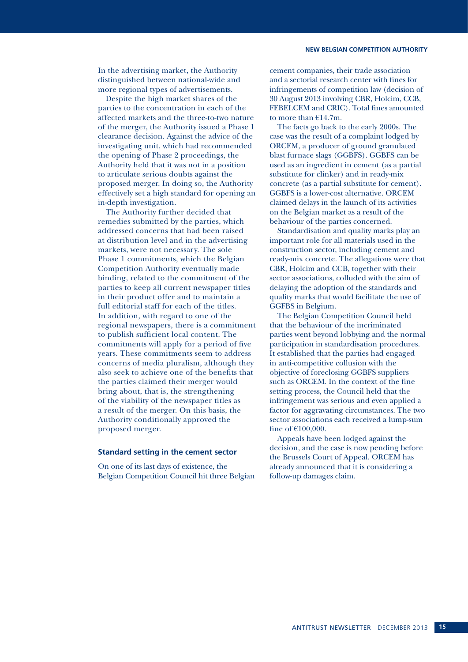In the advertising market, the Authority distinguished between national-wide and more regional types of advertisements.

Despite the high market shares of the parties to the concentration in each of the affected markets and the three-to-two nature of the merger, the Authority issued a Phase 1 clearance decision. Against the advice of the investigating unit, which had recommended the opening of Phase 2 proceedings, the Authority held that it was not in a position to articulate serious doubts against the proposed merger. In doing so, the Authority effectively set a high standard for opening an in-depth investigation.

The Authority further decided that remedies submitted by the parties, which addressed concerns that had been raised at distribution level and in the advertising markets, were not necessary. The sole Phase 1 commitments, which the Belgian Competition Authority eventually made binding, related to the commitment of the parties to keep all current newspaper titles in their product offer and to maintain a full editorial staff for each of the titles. In addition, with regard to one of the regional newspapers, there is a commitment to publish sufficient local content. The commitments will apply for a period of five years. These commitments seem to address concerns of media pluralism, although they also seek to achieve one of the benefits that the parties claimed their merger would bring about, that is, the strengthening of the viability of the newspaper titles as a result of the merger. On this basis, the Authority conditionally approved the proposed merger.

### **Standard setting in the cement sector**

On one of its last days of existence, the Belgian Competition Council hit three Belgian cement companies, their trade association and a sectorial research center with fines for infringements of competition law (decision of 30 August 2013 involving CBR, Holcim, CCB, FEBELCEM and CRIC). Total fines amounted to more than  $£14.7m$ .

The facts go back to the early 2000s. The case was the result of a complaint lodged by ORCEM, a producer of ground granulated blast furnace slags (GGBFS). GGBFS can be used as an ingredient in cement (as a partial substitute for clinker) and in ready-mix concrete (as a partial substitute for cement). GGBFS is a lower-cost alternative. ORCEM claimed delays in the launch of its activities on the Belgian market as a result of the behaviour of the parties concerned.

Standardisation and quality marks play an important role for all materials used in the construction sector, including cement and ready-mix concrete. The allegations were that CBR, Holcim and CCB, together with their sector associations, colluded with the aim of delaying the adoption of the standards and quality marks that would facilitate the use of GGFBS in Belgium.

The Belgian Competition Council held that the behaviour of the incriminated parties went beyond lobbying and the normal participation in standardisation procedures. It established that the parties had engaged in anti-competitive collusion with the objective of foreclosing GGBFS suppliers such as ORCEM. In the context of the fine setting process, the Council held that the infringement was serious and even applied a factor for aggravating circumstances. The two sector associations each received a lump-sum fine of €100,000.

Appeals have been lodged against the decision, and the case is now pending before the Brussels Court of Appeal. ORCEM has already announced that it is considering a follow-up damages claim.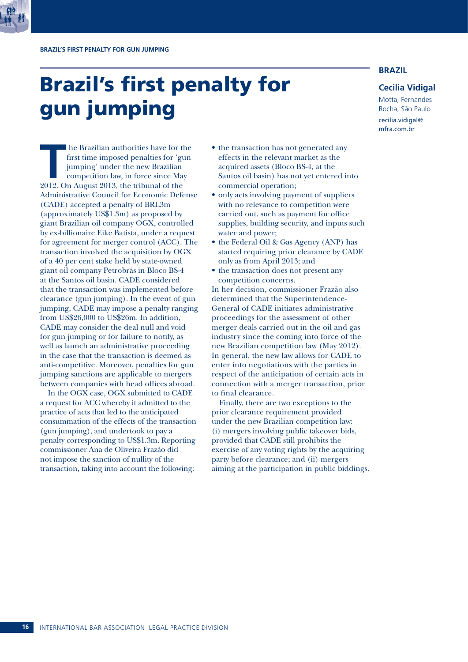## Brazil's first penalty for gun jumping

**BRAZIL**

### **Cecilia Vidigal**

Motta, Fernandes Rocha, São Paulo cecilia.vidigal@ mfra.com.br

**THE FILM ISLE ISLE 18 THE AUTOR CONTROVIDED SET ALL AREAD TO SET UP:** The simple of the competition law, in force since May 2012. On August 2013, the tribunal of the first time imposed penalties for 'gun jumping' under the new Brazilian competition law, in force since May Administrative Council for Economic Defense (CADE) accepted a penalty of BRL3m (approximately US\$1.3m) as proposed by giant Brazilian oil company OGX, controlled by ex-billionaire Eike Batista, under a request for agreement for merger control (ACC). The transaction involved the acquisition by OGX of a 40 per cent stake held by state-owned giant oil company Petrobrás in Bloco BS-4 at the Santos oil basin. CADE considered that the transaction was implemented before clearance (gun jumping). In the event of gun jumping, CADE may impose a penalty ranging from US\$26,000 to US\$26m. In addition, CADE may consider the deal null and void for gun jumping or for failure to notify, as well as launch an administrative proceeding in the case that the transaction is deemed as anti-competitive. Moreover, penalties for gun jumping sanctions are applicable to mergers between companies with head offices abroad.

In the OGX case, OGX submitted to CADE a request for ACC whereby it admitted to the practice of acts that led to the anticipated consummation of the effects of the transaction (gun jumping), and undertook to pay a penalty corresponding to US\$1.3m. Reporting commissioner Ana de Oliveira Frazão did not impose the sanction of nullity of the transaction, taking into account the following:

- the transaction has not generated any effects in the relevant market as the acquired assets (Bloco BS-4, at the Santos oil basin) has not yet entered into commercial operation;
- only acts involving payment of suppliers with no relevance to competition were carried out, such as payment for office supplies, building security, and inputs such water and power;
- the Federal Oil & Gas Agency (ANP) has started requiring prior clearance by CADE only as from April 2013; and
- the transaction does not present any competition concerns.

In her decision, commissioner Frazão also determined that the Superintendence-General of CADE initiates administrative proceedings for the assessment of other merger deals carried out in the oil and gas industry since the coming into force of the new Brazilian competition law (May 2012). In general, the new law allows for CADE to enter into negotiations with the parties in respect of the anticipation of certain acts in connection with a merger transaction, prior to final clearance.

Finally, there are two exceptions to the prior clearance requirement provided under the new Brazilian competition law: (i) mergers involving public takeover bids, provided that CADE still prohibits the exercise of any voting rights by the acquiring party before clearance; and (ii) mergers aiming at the participation in public biddings.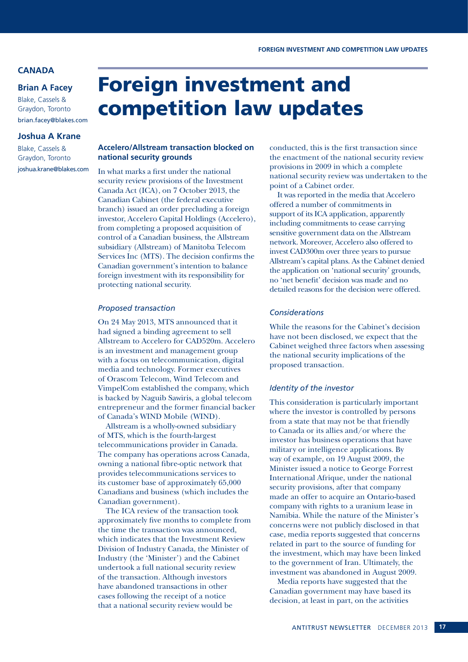### **CANADA**

### **Brian A Facey**

Blake, Cassels & Graydon, Toronto brian.facey@blakes.com

### **Joshua A Krane**

Blake, Cassels & Graydon, Toronto joshua.krane@blakes.com

## Foreign investment and competition law updates

### **Accelero/Allstream transaction blocked on national security grounds**

In what marks a first under the national security review provisions of the Investment Canada Act (ICA), on 7 October 2013, the Canadian Cabinet (the federal executive branch) issued an order precluding a foreign investor, Accelero Capital Holdings (Accelero), from completing a proposed acquisition of control of a Canadian business, the Allstream subsidiary (Allstream) of Manitoba Telecom Services Inc (MTS). The decision confirms the Canadian government's intention to balance foreign investment with its responsibility for protecting national security.

### *Proposed transaction*

On 24 May 2013, MTS announced that it had signed a binding agreement to sell Allstream to Accelero for CAD520m. Accelero is an investment and management group with a focus on telecommunication, digital media and technology. Former executives of Orascom Telecom, Wind Telecom and VimpelCom established the company, which is backed by Naguib Sawiris, a global telecom entrepreneur and the former financial backer of Canada's WIND Mobile (WIND).

Allstream is a wholly-owned subsidiary of MTS, which is the fourth-largest telecommunications provider in Canada. The company has operations across Canada, owning a national fibre-optic network that provides telecommunications services to its customer base of approximately 65,000 Canadians and business (which includes the Canadian government).

The ICA review of the transaction took approximately five months to complete from the time the transaction was announced, which indicates that the Investment Review Division of Industry Canada, the Minister of Industry (the 'Minister') and the Cabinet undertook a full national security review of the transaction. Although investors have abandoned transactions in other cases following the receipt of a notice that a national security review would be

conducted, this is the first transaction since the enactment of the national security review provisions in 2009 in which a complete national security review was undertaken to the point of a Cabinet order.

It was reported in the media that Accelero offered a number of commitments in support of its ICA application, apparently including commitments to cease carrying sensitive government data on the Allstream network. Moreover, Accelero also offered to invest CAD300m over three years to pursue Allstream's capital plans. As the Cabinet denied the application on 'national security' grounds, no 'net benefit' decision was made and no detailed reasons for the decision were offered.

### *Considerations*

While the reasons for the Cabinet's decision have not been disclosed, we expect that the Cabinet weighed three factors when assessing the national security implications of the proposed transaction.

### *Identity of the investor*

This consideration is particularly important where the investor is controlled by persons from a state that may not be that friendly to Canada or its allies and/or where the investor has business operations that have military or intelligence applications. By way of example, on 19 August 2009, the Minister issued a notice to George Forrest International Afrique, under the national security provisions, after that company made an offer to acquire an Ontario-based company with rights to a uranium lease in Namibia. While the nature of the Minister's concerns were not publicly disclosed in that case, media reports suggested that concerns related in part to the source of funding for the investment, which may have been linked to the government of Iran. Ultimately, the investment was abandoned in August 2009.

Media reports have suggested that the Canadian government may have based its decision, at least in part, on the activities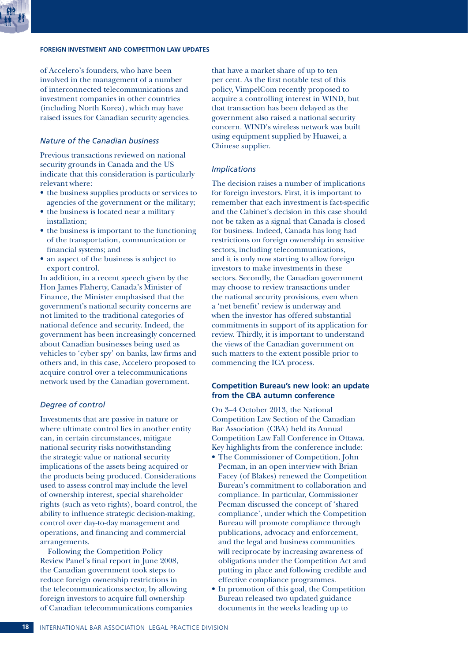### **FOREIGN INVESTMENT AND COMPETITION LAW UPDATES**

of Accelero's founders, who have been involved in the management of a number of interconnected telecommunications and investment companies in other countries (including North Korea), which may have raised issues for Canadian security agencies.

### *Nature of the Canadian business*

Previous transactions reviewed on national security grounds in Canada and the US indicate that this consideration is particularly relevant where:

- the business supplies products or services to agencies of the government or the military;
- the business is located near a military installation;
- the business is important to the functioning of the transportation, communication or financial systems; and
- an aspect of the business is subject to export control.

In addition, in a recent speech given by the Hon James Flaherty, Canada's Minister of Finance, the Minister emphasised that the government's national security concerns are not limited to the traditional categories of national defence and security. Indeed, the government has been increasingly concerned about Canadian businesses being used as vehicles to 'cyber spy' on banks, law firms and others and, in this case, Accelero proposed to acquire control over a telecommunications network used by the Canadian government.

### *Degree of control*

Investments that are passive in nature or where ultimate control lies in another entity can, in certain circumstances, mitigate national security risks notwithstanding the strategic value or national security implications of the assets being acquired or the products being produced. Considerations used to assess control may include the level of ownership interest, special shareholder rights (such as veto rights), board control, the ability to influence strategic decision-making, control over day-to-day management and operations, and financing and commercial arrangements.

Following the Competition Policy Review Panel's final report in June 2008, the Canadian government took steps to reduce foreign ownership restrictions in the telecommunications sector, by allowing foreign investors to acquire full ownership of Canadian telecommunications companies

that have a market share of up to ten per cent. As the first notable test of this policy, VimpelCom recently proposed to acquire a controlling interest in WIND, but that transaction has been delayed as the government also raised a national security concern. WIND's wireless network was built using equipment supplied by Huawei, a Chinese supplier.

### *Implications*

The decision raises a number of implications for foreign investors. First, it is important to remember that each investment is fact-specific and the Cabinet's decision in this case should not be taken as a signal that Canada is closed for business. Indeed, Canada has long had restrictions on foreign ownership in sensitive sectors, including telecommunications, and it is only now starting to allow foreign investors to make investments in these sectors. Secondly, the Canadian government may choose to review transactions under the national security provisions, even when a 'net benefit' review is underway and when the investor has offered substantial commitments in support of its application for review. Thirdly, it is important to understand the views of the Canadian government on such matters to the extent possible prior to commencing the ICA process.

### **Competition Bureau's new look: an update from the CBA autumn conference**

On 3–4 October 2013, the National Competition Law Section of the Canadian Bar Association (CBA) held its Annual Competition Law Fall Conference in Ottawa. Key highlights from the conference include:

- The Commissioner of Competition, John Pecman, in an open interview with Brian Facey (of Blakes) renewed the Competition Bureau's commitment to collaboration and compliance. In particular, Commissioner Pecman discussed the concept of 'shared compliance', under which the Competition Bureau will promote compliance through publications, advocacy and enforcement, and the legal and business communities will reciprocate by increasing awareness of obligations under the Competition Act and putting in place and following credible and effective compliance programmes.
- In promotion of this goal, the Competition Bureau released two updated guidance documents in the weeks leading up to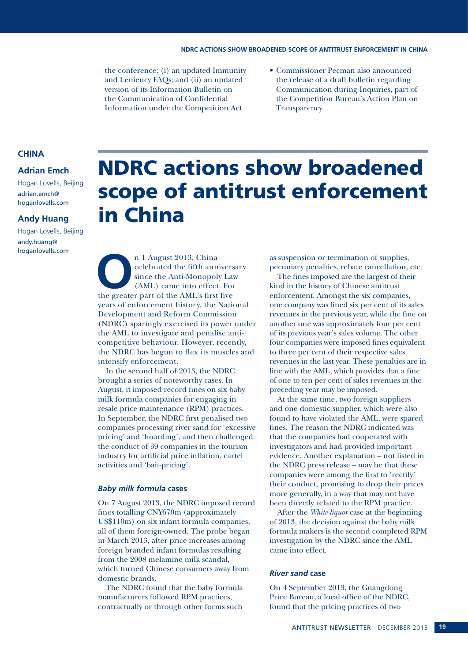the conference: (i) an updated Immunity and Leniency FAQs; and (ii) an updated version of its Information Bulletin on the Communication of Confidential Information under the Competition Act.

• Commissioner Pecman also announced the release of a draft bulletin regarding Communication during Inquiries, part of the Competition Bureau's Action Plan on Transparency.

### **CHINA**

### **Adrian Emch**

Hogan Lovells, Beijing adrian.emch@ hoganlovells.com

### **Andy Huang**

Hogan Lovells, Beijing andy.huang@ hoganlovells.com

## NDRC actions show broadened scope of antitrust enforcement in China

n 1 August 2013, China<br>
celebrated the fifth annivers<br>
since the Anti-Monopoly Lav<br>
(AML) came into effect. For<br>
the greater part of the AML's first five celebrated the fifth anniversary since the Anti-Monopoly Law (AML) came into effect. For years of enforcement history, the National Development and Reform Commission (NDRC) sparingly exercised its power under the AML to investigate and penalise anticompetitive behaviour. However, recently, the NDRC has begun to flex its muscles and intensify enforcement.

In the second half of 2013, the NDRC brought a series of noteworthy cases. In August, it imposed record fines on six baby milk formula companies for engaging in resale price maintenance (RPM) practices. In September, the NDRC first penalised two companies processing river sand for 'excessive pricing' and 'hoarding', and then challenged the conduct of 39 companies in the tourism industry for artificial price inflation, cartel activities and 'bait-pricing'.

### *Baby milk formula* **cases**

On 7 August 2013, the NDRC imposed record fines totalling CNY670m (approximately US\$110m) on six infant formula companies, all of them foreign-owned. The probe began in March 2013, after price increases among foreign branded infant formulas resulting from the 2008 melamine milk scandal, which turned Chinese consumers away from domestic brands.

The NDRC found that the baby formula manufacturers followed RPM practices, contractually or through other forms such as suspension or termination of supplies, pecuniary penalties, rebate cancellation, etc.

The fines imposed are the largest of their kind in the history of Chinese antitrust enforcement. Amongst the six companies, one company was fined six per cent of its sales revenues in the previous year, while the fine on another one was approximately four per cent of its previous year's sales volume. The other four companies were imposed fines equivalent to three per cent of their respective sales revenues in the last year. These penalties are in line with the AML, which provides that a fine of one to ten per cent of sales revenues in the preceding year may be imposed.

At the same time, two foreign suppliers and one domestic supplier, which were also found to have violated the AML, were spared fines. The reason the NDRC indicated was that the companies had cooperated with investigators and had provided important evidence. Another explanation – not listed in the NDRC press release – may be that these companies were among the first to 'rectify' their conduct, promising to drop their prices more generally, in a way that may not have been directly related to the RPM practice.

After the *White liquor* case at the beginning of 2013, the decision against the baby milk formula makers is the second completed RPM investigation by the NDRC since the AML came into effect.

### *River sand* **case**

On 4 September 2013, the Guangdong Price Bureau, a local office of the NDRC, found that the pricing practices of two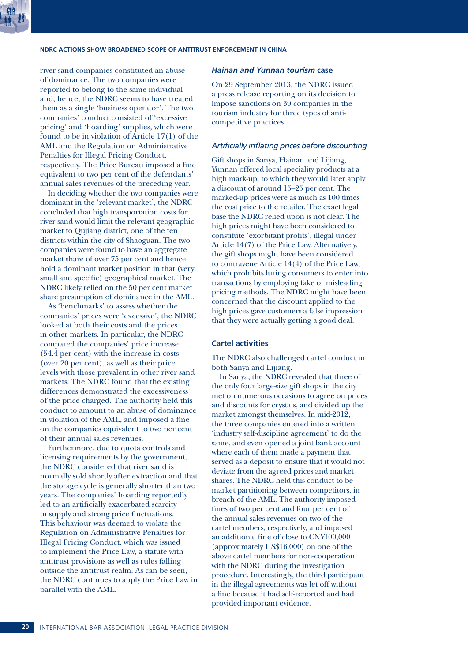

### **NDRC ACTIONS SHOW BROADENED SCOPE OF ANTITRUST ENFORCEMENT IN CHINA**

river sand companies constituted an abuse of dominance. The two companies were reported to belong to the same individual and, hence, the NDRC seems to have treated them as a single 'business operator'. The two companies' conduct consisted of 'excessive pricing' and 'hoarding' supplies, which were found to be in violation of Article 17(1) of the AML and the Regulation on Administrative Penalties for Illegal Pricing Conduct, respectively. The Price Bureau imposed a fine equivalent to two per cent of the defendants' annual sales revenues of the preceding year.

In deciding whether the two companies were dominant in the 'relevant market', the NDRC concluded that high transportation costs for river sand would limit the relevant geographic market to Qujiang district, one of the ten districts within the city of Shaoguan. The two companies were found to have an aggregate market share of over 75 per cent and hence hold a dominant market position in that (very small and specific) geographical market. The NDRC likely relied on the 50 per cent market share presumption of dominance in the AML.

As 'benchmarks' to assess whether the companies' prices were 'excessive', the NDRC looked at both their costs and the prices in other markets. In particular, the NDRC compared the companies' price increase (54.4 per cent) with the increase in costs (over 20 per cent), as well as their price levels with those prevalent in other river sand markets. The NDRC found that the existing differences demonstrated the excessiveness of the price charged. The authority held this conduct to amount to an abuse of dominance in violation of the AML, and imposed a fine on the companies equivalent to two per cent of their annual sales revenues.

Furthermore, due to quota controls and licensing requirements by the government, the NDRC considered that river sand is normally sold shortly after extraction and that the storage cycle is generally shorter than two years. The companies' hoarding reportedly led to an artificially exacerbated scarcity in supply and strong price fluctuations. This behaviour was deemed to violate the Regulation on Administrative Penalties for Illegal Pricing Conduct, which was issued to implement the Price Law, a statute with antitrust provisions as well as rules falling outside the antitrust realm. As can be seen, the NDRC continues to apply the Price Law in parallel with the AML.

### *Hainan and Yunnan tourism* **case**

On 29 September 2013, the NDRC issued a press release reporting on its decision to impose sanctions on 39 companies in the tourism industry for three types of anticompetitive practices.

### *Artificially inflating prices before discounting*

Gift shops in Sanya, Hainan and Lijiang, Yunnan offered local speciality products at a high mark-up, to which they would later apply a discount of around 15–25 per cent. The marked-up prices were as much as 100 times the cost price to the retailer. The exact legal base the NDRC relied upon is not clear. The high prices might have been considered to constitute 'exorbitant profits', illegal under Article 14(7) of the Price Law. Alternatively, the gift shops might have been considered to contravene Article 14(4) of the Price Law, which prohibits luring consumers to enter into transactions by employing fake or misleading pricing methods. The NDRC might have been concerned that the discount applied to the high prices gave customers a false impression that they were actually getting a good deal.

### **Cartel activities**

The NDRC also challenged cartel conduct in both Sanya and Lijiang.

In Sanya, the NDRC revealed that three of the only four large-size gift shops in the city met on numerous occasions to agree on prices and discounts for crystals, and divided up the market amongst themselves. In mid-2012, the three companies entered into a written 'industry self-discipline agreement' to do the same, and even opened a joint bank account where each of them made a payment that served as a deposit to ensure that it would not deviate from the agreed prices and market shares. The NDRC held this conduct to be market partitioning between competitors, in breach of the AML. The authority imposed fines of two per cent and four per cent of the annual sales revenues on two of the cartel members, respectively, and imposed an additional fine of close to CNY100,000 (approximately US\$16,000) on one of the above cartel members for non-cooperation with the NDRC during the investigation procedure. Interestingly, the third participant in the illegal agreements was let off without a fine because it had self-reported and had provided important evidence.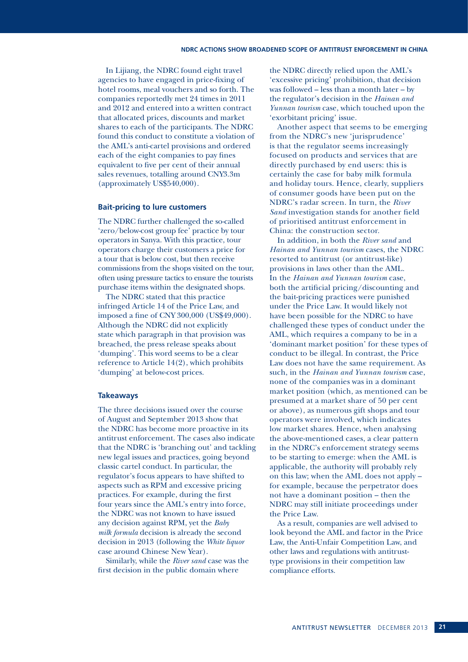In Lijiang, the NDRC found eight travel agencies to have engaged in price-fixing of hotel rooms, meal vouchers and so forth. The companies reportedly met 24 times in 2011 and 2012 and entered into a written contract that allocated prices, discounts and market shares to each of the participants. The NDRC found this conduct to constitute a violation of the AML's anti-cartel provisions and ordered each of the eight companies to pay fines equivalent to five per cent of their annual sales revenues, totalling around CNY3.3m (approximately US\$540,000).

### **Bait-pricing to lure customers**

The NDRC further challenged the so-called 'zero/below-cost group fee' practice by tour operators in Sanya. With this practice, tour operators charge their customers a price for a tour that is below cost, but then receive commissions from the shops visited on the tour, often using pressure tactics to ensure the tourists purchase items within the designated shops.

The NDRC stated that this practice infringed Article 14 of the Price Law, and imposed a fine of CNY 300,000 (US\$49,000). Although the NDRC did not explicitly state which paragraph in that provision was breached, the press release speaks about 'dumping'. This word seems to be a clear reference to Article 14(2), which prohibits 'dumping' at below-cost prices.

### **Takeaways**

The three decisions issued over the course of August and September 2013 show that the NDRC has become more proactive in its antitrust enforcement. The cases also indicate that the NDRC is 'branching out' and tackling new legal issues and practices, going beyond classic cartel conduct. In particular, the regulator's focus appears to have shifted to aspects such as RPM and excessive pricing practices. For example, during the first four years since the AML's entry into force, the NDRC was not known to have issued any decision against RPM, yet the *Baby milk formula* decision is already the second decision in 2013 (following the *White liquor*  case around Chinese New Year).

Similarly, while the *River sand* case was the first decision in the public domain where

the NDRC directly relied upon the AML's 'excessive pricing' prohibition, that decision was followed – less than a month later – by the regulator's decision in the *Hainan and Yunnan tourism* case, which touched upon the 'exorbitant pricing' issue.

Another aspect that seems to be emerging from the NDRC's new 'jurisprudence' is that the regulator seems increasingly focused on products and services that are directly purchased by end users: this is certainly the case for baby milk formula and holiday tours. Hence, clearly, suppliers of consumer goods have been put on the NDRC's radar screen. In turn, the *River Sand* investigation stands for another field of prioritised antitrust enforcement in China: the construction sector.

In addition, in both the *River sand* and *Hainan and Yunnan tourism* cases, the NDRC resorted to antitrust (or antitrust-like) provisions in laws other than the AML. In the *Hainan and Yunnan tourism* case, both the artificial pricing/discounting and the bait-pricing practices were punished under the Price Law. It would likely not have been possible for the NDRC to have challenged these types of conduct under the AML, which requires a company to be in a 'dominant market position' for these types of conduct to be illegal. In contrast, the Price Law does not have the same requirement. As such, in the *Hainan and Yunnan tourism* case, none of the companies was in a dominant market position (which, as mentioned can be presumed at a market share of 50 per cent or above), as numerous gift shops and tour operators were involved, which indicates low market shares. Hence, when analysing the above-mentioned cases, a clear pattern in the NDRC's enforcement strategy seems to be starting to emerge: when the AML is applicable, the authority will probably rely on this law; when the AML does not apply – for example, because the perpetrator does not have a dominant position – then the NDRC may still initiate proceedings under the Price Law.

As a result, companies are well advised to look beyond the AML and factor in the Price Law, the Anti-Unfair Competition Law, and other laws and regulations with antitrusttype provisions in their competition law compliance efforts.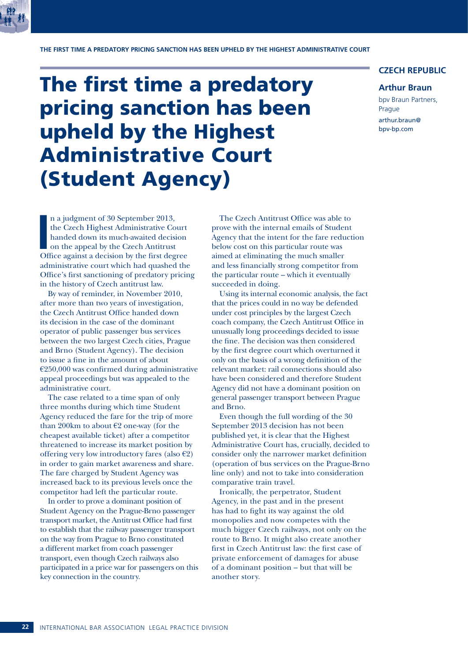

**THE FIRST TIME A PREDATORY PRICING SANCTION HAS BEEN UPHELD BY THE HIGHEST ADMINISTRATIVE COURT**

## The first time a predatory pricing sanction has been upheld by the Highest Administrative Court (Student Agency)

### **CZECH REPUBLIC**

### **Arthur Braun**

bpv Braun Partners, Prague arthur.braun@ bpv-bp.com

In a judgment of 30 September 2013,<br>the Czech Highest Administrative Court<br>handed down its much-awaited decision<br>on the appeal by the Czech Antitrust<br>Office against a decision by the first degree n a judgment of 30 September 2013, the Czech Highest Administrative Court handed down its much-awaited decision on the appeal by the Czech Antitrust administrative court which had quashed the Office's first sanctioning of predatory pricing in the history of Czech antitrust law.

By way of reminder, in November 2010, after more than two years of investigation, the Czech Antitrust Office handed down its decision in the case of the dominant operator of public passenger bus services between the two largest Czech cities, Prague and Brno (Student Agency). The decision to issue a fine in the amount of about  $E$ 250,000 was confirmed during administrative appeal proceedings but was appealed to the administrative court.

The case related to a time span of only three months during which time Student Agency reduced the fare for the trip of more than 200km to about  $E2$  one-way (for the cheapest available ticket) after a competitor threatened to increase its market position by offering very low introductory fares (also  $\epsilon$ 2) in order to gain market awareness and share. The fare charged by Student Agency was increased back to its previous levels once the competitor had left the particular route.

In order to prove a dominant position of Student Agency on the Prague-Brno passenger transport market, the Antitrust Office had first to establish that the railway passenger transport on the way from Prague to Brno constituted a different market from coach passenger transport, even though Czech railways also participated in a price war for passengers on this key connection in the country.

The Czech Antitrust Office was able to prove with the internal emails of Student Agency that the intent for the fare reduction below cost on this particular route was aimed at eliminating the much smaller and less financially strong competitor from the particular route – which it eventually succeeded in doing.

Using its internal economic analysis, the fact that the prices could in no way be defended under cost principles by the largest Czech coach company, the Czech Antitrust Office in unusually long proceedings decided to issue the fine. The decision was then considered by the first degree court which overturned it only on the basis of a wrong definition of the relevant market: rail connections should also have been considered and therefore Student Agency did not have a dominant position on general passenger transport between Prague and Brno.

Even though the full wording of the 30 September 2013 decision has not been published yet, it is clear that the Highest Administrative Court has, crucially, decided to consider only the narrower market definition (operation of bus services on the Prague-Brno line only) and not to take into consideration comparative train travel.

Ironically, the perpetrator, Student Agency, in the past and in the present has had to fight its way against the old monopolies and now competes with the much bigger Czech railways, not only on the route to Brno. It might also create another first in Czech Antitrust law: the first case of private enforcement of damages for abuse of a dominant position – but that will be another story.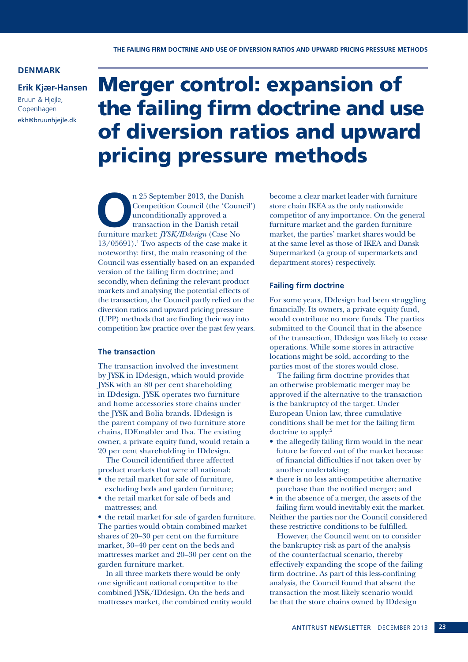**THE FAILING FIRM DOCTRINE AND USE OF DIVERSION RATIOS AND UPWARD PRICING PRESSURE METHODS**

### **DENMARK**

**Erik Kjær-Hansen**

Bruun & Hjejle, Copenhagen ekh@bruunhjejle.dk

# Merger control: expansion of the failing firm doctrine and use of diversion ratios and upward pricing pressure methods

n 25 September 2013, the Danish<br>
Competition Council (the 'Counc<br>
unconditionally approved a<br>
transaction in the Danish retail<br>
furniture market: *IYSK/IDdesion* (Case No Competition Council (the 'Council') unconditionally approved a transaction in the Danish retail furniture market: *JYSK/IDdesign* (Case No 13/05691).1 Two aspects of the case make it noteworthy: first, the main reasoning of the Council was essentially based on an expanded version of the failing firm doctrine; and secondly, when defining the relevant product markets and analysing the potential effects of the transaction, the Council partly relied on the diversion ratios and upward pricing pressure (UPP) methods that are finding their way into competition law practice over the past few years.

### **The transaction**

The transaction involved the investment by JYSK in IDdesign, which would provide JYSK with an 80 per cent shareholding in IDdesign. JYSK operates two furniture and home accessories store chains under the JYSK and Bolia brands. IDdesign is the parent company of two furniture store chains, IDEmøbler and Ilva. The existing owner, a private equity fund, would retain a 20 per cent shareholding in IDdesign.

The Council identified three affected product markets that were all national:

- the retail market for sale of furniture, excluding beds and garden furniture;
- the retail market for sale of beds and mattresses; and

• the retail market for sale of garden furniture. The parties would obtain combined market shares of 20–30 per cent on the furniture market, 30–40 per cent on the beds and mattresses market and 20–30 per cent on the garden furniture market.

In all three markets there would be only one significant national competitor to the combined JYSK/IDdesign. On the beds and mattresses market, the combined entity would become a clear market leader with furniture store chain IKEA as the only nationwide competitor of any importance. On the general furniture market and the garden furniture market, the parties' market shares would be at the same level as those of IKEA and Dansk Supermarked (a group of supermarkets and department stores) respectively.

### **Failing firm doctrine**

For some years, IDdesign had been struggling financially. Its owners, a private equity fund, would contribute no more funds. The parties submitted to the Council that in the absence of the transaction, IDdesign was likely to cease operations. While some stores in attractive locations might be sold, according to the parties most of the stores would close.

The failing firm doctrine provides that an otherwise problematic merger may be approved if the alternative to the transaction is the bankruptcy of the target. Under European Union law, three cumulative conditions shall be met for the failing firm doctrine to apply:2

- the allegedly failing firm would in the near future be forced out of the market because of financial difficulties if not taken over by another undertaking;
- there is no less anti-competitive alternative purchase than the notified merger; and
- in the absence of a merger, the assets of the failing firm would inevitably exit the market. Neither the parties nor the Council considered these restrictive conditions to be fulfilled.

However, the Council went on to consider the bankruptcy risk as part of the analysis of the counterfactual scenario, thereby effectively expanding the scope of the failing firm doctrine. As part of this less-confining analysis, the Council found that absent the transaction the most likely scenario would be that the store chains owned by IDdesign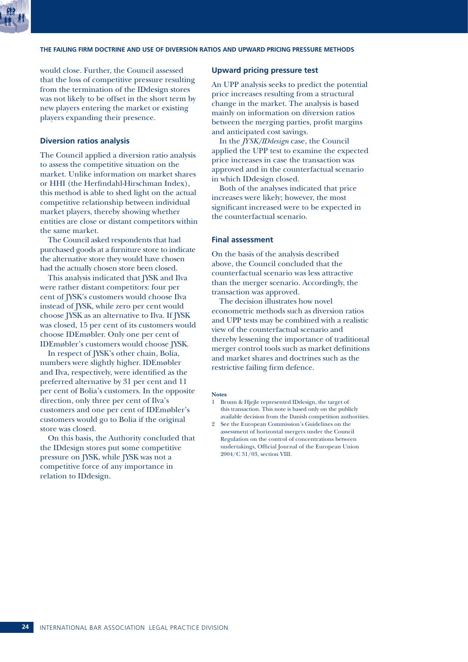

### **THE FAILING FIRM DOCTRINE AND USE OF DIVERSION RATIOS AND UPWARD PRICING PRESSURE METHODS**

would close. Further, the Council assessed that the loss of competitive pressure resulting from the termination of the IDdesign stores was not likely to be offset in the short term by new players entering the market or existing players expanding their presence.

### **Diversion ratios analysis**

The Council applied a diversion ratio analysis to assess the competitive situation on the market. Unlike information on market shares or HHI (the Herfindahl-Hirschman Index), this method is able to shed light on the actual competitive relationship between individual market players, thereby showing whether entities are close or distant competitors within the same market.

The Council asked respondents that had purchased goods at a furniture store to indicate the alternative store they would have chosen had the actually chosen store been closed.

This analysis indicated that JYSK and Ilva were rather distant competitors: four per cent of JYSK's customers would choose Ilva instead of JYSK, while zero per cent would choose JYSK as an alternative to Ilva. If JYSK was closed, 15 per cent of its customers would choose IDEmøbler. Only one per cent of IDEmøbler's customers would choose JYSK.

In respect of JYSK's other chain, Bolia, numbers were slightly higher. IDEmøbler and Ilva, respectively, were identified as the preferred alternative by 31 per cent and 11 per cent of Bolia's customers. In the opposite direction, only three per cent of Ilva's customers and one per cent of IDEmøbler's customers would go to Bolia if the original store was closed.

On this basis, the Authority concluded that the IDdesign stores put some competitive pressure on JYSK, while JYSK was not a competitive force of any importance in relation to IDdesign.

### **Upward pricing pressure test**

An UPP analysis seeks to predict the potential price increases resulting from a structural change in the market. The analysis is based mainly on information on diversion ratios between the merging parties, profit margins and anticipated cost savings.

In the *JYSK/IDdesign* case, the Council applied the UPP test to examine the expected price increases in case the transaction was approved and in the counterfactual scenario in which IDdesign closed.

Both of the analyses indicated that price increases were likely; however, the most significant increased were to be expected in the counterfactual scenario.

### **Final assessment**

On the basis of the analysis described above, the Council concluded that the counterfactual scenario was less attractive than the merger scenario. Accordingly, the transaction was approved.

The decision illustrates how novel econometric methods such as diversion ratios and UPP tests may be combined with a realistic view of the counterfactual scenario and thereby lessening the importance of traditional merger control tools such as market definitions and market shares and doctrines such as the restrictive failing firm defence.

### **Notes**

- 1 Bruun & Hjejle represented IDdesign, the target of this transaction. This note is based only on the publicly available decision from the Danish competition authorities.
- 2 See the European Commission's Guidelines on the assessment of horizontal mergers under the Council Regulation on the control of concentrations between undertakings, Official Journal of the European Union 2004/C 31/03, section VIII.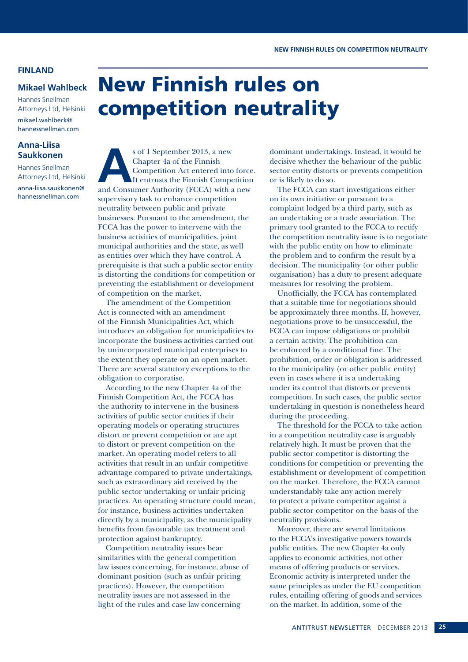### **FINLAND**

### **Mikael Wahlbeck**

Hannes Snellman Attorneys Ltd, Helsinki mikael.wahlbeck@ hannessnellman.com

### **Anna-Liisa Saukkonen**

Hannes Snellman Attorneys Ltd, Helsinki anna-liisa.saukkonen@ hannessnellman.com

## New Finnish rules on competition neutrality

s of 1 September 2013, a new<br>Chapter 4a of the Finnish<br>Competition Act entered into<br>It entrusts the Finnish Competition<br>and Consumer Authority (FCCA) with a Chapter 4a of the Finnish Competition Act entered into force. It entrusts the Finnish Competition and Consumer Authority (FCCA) with a new supervisory task to enhance competition neutrality between public and private businesses. Pursuant to the amendment, the FCCA has the power to intervene with the business activities of municipalities, joint municipal authorities and the state, as well as entities over which they have control. A prerequisite is that such a public sector entity is distorting the conditions for competition or preventing the establishment or development of competition on the market.

The amendment of the Competition Act is connected with an amendment of the Finnish Municipalities Act, which introduces an obligation for municipalities to incorporate the business activities carried out by unincorporated municipal enterprises to the extent they operate on an open market. There are several statutory exceptions to the obligation to corporatise.

According to the new Chapter 4a of the Finnish Competition Act, the FCCA has the authority to intervene in the business activities of public sector entities if their operating models or operating structures distort or prevent competition or are apt to distort or prevent competition on the market. An operating model refers to all activities that result in an unfair competitive advantage compared to private undertakings, such as extraordinary aid received by the public sector undertaking or unfair pricing practices. An operating structure could mean, for instance, business activities undertaken directly by a municipality, as the municipality benefits from favourable tax treatment and protection against bankruptcy.

Competition neutrality issues bear similarities with the general competition law issues concerning, for instance, abuse of dominant position (such as unfair pricing practices). However, the competition neutrality issues are not assessed in the light of the rules and case law concerning

dominant undertakings. Instead, it would be decisive whether the behaviour of the public sector entity distorts or prevents competition or is likely to do so.

The FCCA can start investigations either on its own initiative or pursuant to a complaint lodged by a third party, such as an undertaking or a trade association. The primary tool granted to the FCCA to rectify the competition neutrality issue is to negotiate with the public entity on how to eliminate the problem and to confirm the result by a decision. The municipality (or other public organisation) has a duty to present adequate measures for resolving the problem.

Unofficially, the FCCA has contemplated that a suitable time for negotiations should be approximately three months. If, however, negotiations prove to be unsuccessful, the FCCA can impose obligations or prohibit a certain activity. The prohibition can be enforced by a conditional fine. The prohibition, order or obligation is addressed to the municipality (or other public entity) even in cases where it is a undertaking under its control that distorts or prevents competition. In such cases, the public sector undertaking in question is nonetheless heard during the proceeding.

The threshold for the FCCA to take action in a competition neutrality case is arguably relatively high. It must be proven that the public sector competitor is distorting the conditions for competition or preventing the establishment or development of competition on the market. Therefore, the FCCA cannot understandably take any action merely to protect a private competitor against a public sector competitor on the basis of the neutrality provisions.

Moreover, there are several limitations to the FCCA's investigative powers towards public entities. The new Chapter 4a only applies to economic activities, not other means of offering products or services. Economic activity is interpreted under the same principles as under the EU competition rules, entailing offering of goods and services on the market. In addition, some of the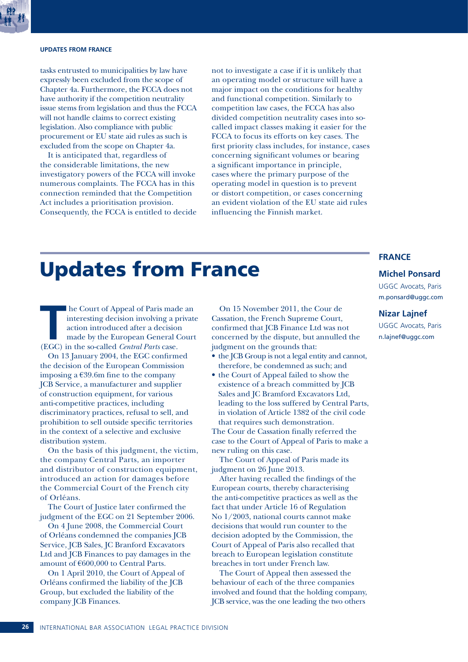### **UPDATES FROM FRANCE**

tasks entrusted to municipalities by law have expressly been excluded from the scope of Chapter 4a. Furthermore, the FCCA does not have authority if the competition neutrality issue stems from legislation and thus the FCCA will not handle claims to correct existing legislation. Also compliance with public procurement or EU state aid rules as such is excluded from the scope on Chapter 4a.

It is anticipated that, regardless of the considerable limitations, the new investigatory powers of the FCCA will invoke numerous complaints. The FCCA has in this connection reminded that the Competition Act includes a prioritisation provision. Consequently, the FCCA is entitled to decide

not to investigate a case if it is unlikely that an operating model or structure will have a major impact on the conditions for healthy and functional competition. Similarly to competition law cases, the FCCA has also divided competition neutrality cases into socalled impact classes making it easier for the FCCA to focus its efforts on key cases. The first priority class includes, for instance, cases concerning significant volumes or bearing a significant importance in principle, cases where the primary purpose of the operating model in question is to prevent or distort competition, or cases concerning an evident violation of the EU state aid rules influencing the Finnish market.

## Updates from France

**THE COULT OF Appeal of Paris made an interesting decision involving a private action introduced after a decision made by the European General Court (EGC) in the so-called** *Central Parts* **case.** interesting decision involving a private action introduced after a decision made by the European General Court (EGC) in the so-called *Central Parts* case.

On 13 January 2004, the EGC confirmed the decision of the European Commission imposing a €39.6m fine to the company JCB Service, a manufacturer and supplier of construction equipment, for various anti-competitive practices, including discriminatory practices, refusal to sell, and prohibition to sell outside specific territories in the context of a selective and exclusive distribution system.

On the basis of this judgment, the victim, the company Central Parts, an importer and distributor of construction equipment, introduced an action for damages before the Commercial Court of the French city of Orléans.

The Court of Justice later confirmed the judgment of the EGC on 21 September 2006.

On 4 June 2008, the Commercial Court of Orléans condemned the companies JCB Service, JCB Sales, JC Branford Excavators Ltd and JCB Finances to pay damages in the amount of €600,000 to Central Parts.

On 1 April 2010, the Court of Appeal of Orléans confirmed the liability of the JCB Group, but excluded the liability of the company JCB Finances.

On 15 November 2011, the Cour de Cassation, the French Supreme Court, confirmed that JCB Finance Ltd was not concerned by the dispute, but annulled the judgment on the grounds that:

• the JCB Group is not a legal entity and cannot, therefore, be condemned as such; and

• the Court of Appeal failed to show the existence of a breach committed by JCB Sales and JC Bramford Excavators Ltd, leading to the loss suffered by Central Parts, in violation of Article 1382 of the civil code that requires such demonstration.

The Cour de Cassation finally referred the case to the Court of Appeal of Paris to make a new ruling on this case.

The Court of Appeal of Paris made its judgment on 26 June 2013.

After having recalled the findings of the European courts, thereby characterising the anti-competitive practices as well as the fact that under Article 16 of Regulation No 1/2003, national courts cannot make decisions that would run counter to the decision adopted by the Commission, the Court of Appeal of Paris also recalled that breach to European legislation constitute breaches in tort under French law.

The Court of Appeal then assessed the behaviour of each of the three companies involved and found that the holding company, JCB service, was the one leading the two others

### **FRANCE**

### **Michel Ponsard**

UGGC Avocats, Paris m.ponsard@uggc.com

### **Nizar Lajnef**

UGGC Avocats, Paris n.lajnef@uggc.com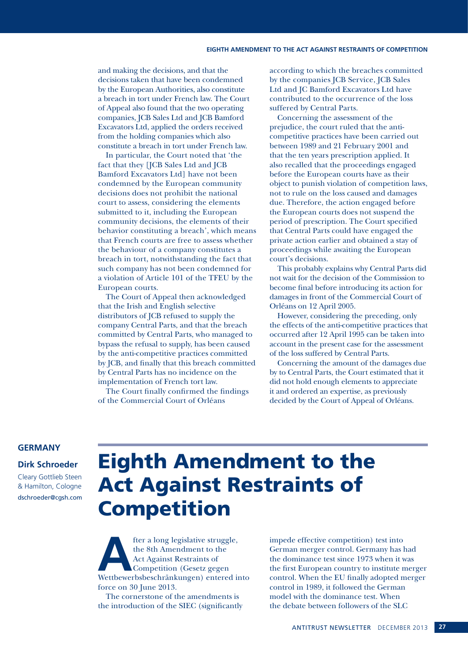and making the decisions, and that the decisions taken that have been condemned by the European Authorities, also constitute a breach in tort under French law. The Court of Appeal also found that the two operating companies, JCB Sales Ltd and JCB Bamford Excavators Ltd, applied the orders received from the holding companies which also constitute a breach in tort under French law.

In particular, the Court noted that 'the fact that they [JCB Sales Ltd and JCB Bamford Excavators Ltd] have not been condemned by the European community decisions does not prohibit the national court to assess, considering the elements submitted to it, including the European community decisions, the elements of their behavior constituting a breach', which means that French courts are free to assess whether the behaviour of a company constitutes a breach in tort, notwithstanding the fact that such company has not been condemned for a violation of Article 101 of the TFEU by the European courts.

The Court of Appeal then acknowledged that the Irish and English selective distributors of JCB refused to supply the company Central Parts, and that the breach committed by Central Parts, who managed to bypass the refusal to supply, has been caused by the anti-competitive practices committed by JCB, and finally that this breach committed by Central Parts has no incidence on the implementation of French tort law.

The Court finally confirmed the findings of the Commercial Court of Orléans

according to which the breaches committed by the companies JCB Service, JCB Sales Ltd and JC Bamford Excavators Ltd have contributed to the occurrence of the loss suffered by Central Parts.

Concerning the assessment of the prejudice, the court ruled that the anticompetitive practices have been carried out between 1989 and 21 February 2001 and that the ten years prescription applied. It also recalled that the proceedings engaged before the European courts have as their object to punish violation of competition laws, not to rule on the loss caused and damages due. Therefore, the action engaged before the European courts does not suspend the period of prescription. The Court specified that Central Parts could have engaged the private action earlier and obtained a stay of proceedings while awaiting the European court's decisions.

This probably explains why Central Parts did not wait for the decision of the Commission to become final before introducing its action for damages in front of the Commercial Court of Orléans on 12 April 2005.

However, considering the preceding, only the effects of the anti-competitive practices that occurred after 12 April 1995 can be taken into account in the present case for the assessment of the loss suffered by Central Parts.

Concerning the amount of the damages due by to Central Parts, the Court estimated that it did not hold enough elements to appreciate it and ordered an expertise, as previously decided by the Court of Appeal of Orléans.

### **GERMANY**

### **Dirk Schroeder**

Cleary Gottlieb Steen & Hamilton, Cologne dschroeder@cgsh.com

## Eighth Amendment to the Act Against Restraints of Competition

Fter a long legislative struggle,<br>
the 8th Amendment to the<br>
Act Against Restraints of<br>
Competition (Gesetz gegen<br>
Wettbewerbsbeschränkungen) entered into the 8th Amendment to the Act Against Restraints of Competition (Gesetz gegen force on 30 June 2013.

The cornerstone of the amendments is the introduction of the SIEC (significantly

impede effective competition) test into German merger control. Germany has had the dominance test since 1973 when it was the first European country to institute merger control. When the EU finally adopted merger control in 1989, it followed the German model with the dominance test. When the debate between followers of the SLC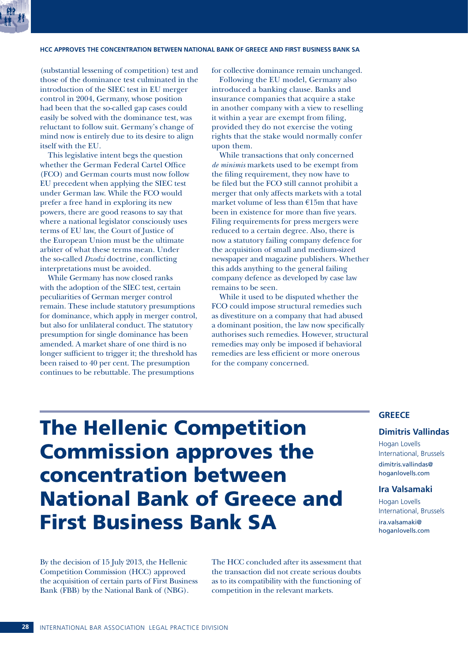### **HCC APPROVES THE CONCENTRATION BETWEEN NATIONAL BANK OF GREECE AND FIRST BUSINESS BANK SA**

(substantial lessening of competition) test and those of the dominance test culminated in the introduction of the SIEC test in EU merger control in 2004, Germany, whose position had been that the so-called gap cases could easily be solved with the dominance test, was reluctant to follow suit. Germany's change of mind now is entirely due to its desire to align itself with the EU.

This legislative intent begs the question whether the German Federal Cartel Office (FCO) and German courts must now follow EU precedent when applying the SIEC test under German law. While the FCO would prefer a free hand in exploring its new powers, there are good reasons to say that where a national legislator consciously uses terms of EU law, the Court of Justice of the European Union must be the ultimate arbiter of what these terms mean. Under the so-called *Dzodzi* doctrine, conflicting interpretations must be avoided.

While Germany has now closed ranks with the adoption of the SIEC test, certain peculiarities of German merger control remain. These include statutory presumptions for dominance, which apply in merger control, but also for unlilateral conduct. The statutory presumption for single dominance has been amended. A market share of one third is no longer sufficient to trigger it; the threshold has been raised to 40 per cent. The presumption continues to be rebuttable. The presumptions

for collective dominance remain unchanged.

Following the EU model, Germany also introduced a banking clause. Banks and insurance companies that acquire a stake in another company with a view to reselling it within a year are exempt from filing, provided they do not exercise the voting rights that the stake would normally confer upon them.

While transactions that only concerned *de minimis* markets used to be exempt from the filing requirement, they now have to be filed but the FCO still cannot prohibit a merger that only affects markets with a total market volume of less than €15m that have been in existence for more than five years. Filing requirements for press mergers were reduced to a certain degree. Also, there is now a statutory failing company defence for the acquisition of small and medium-sized newspaper and magazine publishers. Whether this adds anything to the general failing company defence as developed by case law remains to be seen.

While it used to be disputed whether the FCO could impose structural remedies such as divestiture on a company that had abused a dominant position, the law now specifically authorises such remedies. However, structural remedies may only be imposed if behavioral remedies are less efficient or more onerous for the company concerned.

## The Hellenic Competition Commission approves the concentration between National Bank of Greece and First Business Bank SA

### By the decision of 15 July 2013, the Hellenic Competition Commission (HCC) approved the acquisition of certain parts of First Business Bank (FBB) by the National Bank of (NBG).

The HCC concluded after its assessment that the transaction did not create serious doubts as to its compatibility with the functioning of competition in the relevant markets.

### **GREECE**

### **Dimitris Vallindas**

Hogan Lovells International, Brussels dimitris.vallindas@ hoganlovells.com

### **Ira Valsamaki**

Hogan Lovells International, Brussels ira.valsamaki@ hoganlovells.com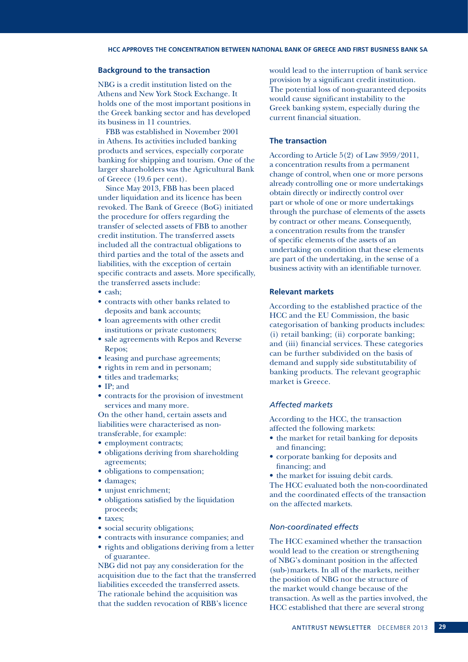### **Background to the transaction**

NBG is a credit institution listed on the Athens and New York Stock Exchange. It holds one of the most important positions in the Greek banking sector and has developed its business in 11 countries.

FBB was established in November 2001 in Athens. Its activities included banking products and services, especially corporate banking for shipping and tourism. One of the larger shareholders was the Agricultural Bank of Greece (19.6 per cent).

Since May 2013, FBB has been placed under liquidation and its licence has been revoked. The Bank of Greece (BoG) initiated the procedure for offers regarding the transfer of selected assets of FBB to another credit institution. The transferred assets included all the contractual obligations to third parties and the total of the assets and liabilities, with the exception of certain specific contracts and assets. More specifically, the transferred assets include:

- cash;
- contracts with other banks related to deposits and bank accounts;
- loan agreements with other credit institutions or private customers;
- sale agreements with Repos and Reverse Repos;
- leasing and purchase agreements;
- rights in rem and in personam;
- titles and trademarks;
- IP; and
- contracts for the provision of investment services and many more.

On the other hand, certain assets and liabilities were characterised as nontransferable, for example:

- employment contracts;
- obligations deriving from shareholding agreements;
- obligations to compensation;
- damages;
- unjust enrichment;
- obligations satisfied by the liquidation proceeds;
- taxes;
- social security obligations;
- contracts with insurance companies; and
- rights and obligations deriving from a letter of guarantee.

NBG did not pay any consideration for the acquisition due to the fact that the transferred liabilities exceeded the transferred assets. The rationale behind the acquisition was that the sudden revocation of RBB's licence

would lead to the interruption of bank service provision by a significant credit institution. The potential loss of non-guaranteed deposits would cause significant instability to the Greek banking system, especially during the current financial situation.

### **The transaction**

According to Article 5(2) of Law 3959/2011, a concentration results from a permanent change of control, when one or more persons already controlling one or more undertakings obtain directly or indirectly control over part or whole of one or more undertakings through the purchase of elements of the assets by contract or other means. Consequently, a concentration results from the transfer of specific elements of the assets of an undertaking on condition that these elements are part of the undertaking, in the sense of a business activity with an identifiable turnover.

### **Relevant markets**

According to the established practice of the HCC and the EU Commission, the basic categorisation of banking products includes: (i) retail banking; (ii) corporate banking; and (iii) financial services. These categories can be further subdivided on the basis of demand and supply side substitutability of banking products. The relevant geographic market is Greece.

### *Affected markets*

According to the HCC, the transaction affected the following markets:

- the market for retail banking for deposits and financing;
- corporate banking for deposits and financing; and
- the market for issuing debit cards.

The HCC evaluated both the non-coordinated and the coordinated effects of the transaction on the affected markets.

### *Non-coordinated effects*

The HCC examined whether the transaction would lead to the creation or strengthening of NBG's dominant position in the affected (sub-)markets. In all of the markets, neither the position of NBG nor the structure of the market would change because of the transaction. As well as the parties involved, the HCC established that there are several strong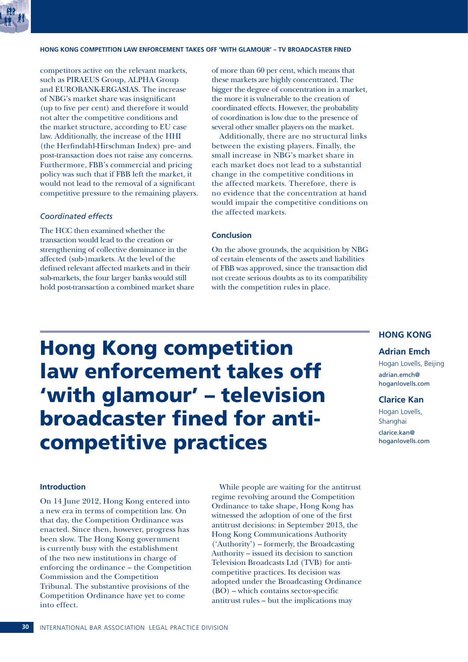

### **HONG KONG COMPETITION LAW ENFORCEMENT TAKES OFF 'WITH GLAMOUR' – TV BROADCASTER FINED**

competitors active on the relevant markets, such as PIRAEUS Group, ALPHA Group and EUROBANK-ERGASIAS. The increase of NBG's market share was insignificant (up to five per cent) and therefore it would not alter the competitive conditions and the market structure, according to EU case law. Additionally, the increase of the HHI (the Herfindahl-Hirschman Index) pre- and post-transaction does not raise any concerns. Furthermore, FBB's commercial and pricing policy was such that if FBB left the market, it would not lead to the removal of a significant competitive pressure to the remaining players.

### *Coordinated effects*

The HCC then examined whether the transaction would lead to the creation or strengthening of collective dominance in the affected (sub-)markets. At the level of the defined relevant affected markets and in their sub-markets, the four larger banks would still hold post-transaction a combined market share of more than 60 per cent, which means that these markets are highly concentrated. The bigger the degree of concentration in a market, the more it is vulnerable to the creation of coordinated effects. However, the probability of coordination is low due to the presence of several other smaller players on the market.

Additionally, there are no structural links between the existing players. Finally, the small increase in NBG's market share in each market does not lead to a substantial change in the competitive conditions in the affected markets. Therefore, there is no evidence that the concentration at hand would impair the competitive conditions on the affected markets.

### **Conclusion**

On the above grounds, the acquisition by NBG of certain elements of the assets and liabilities of FBB was approved, since the transaction did not create serious doubts as to its compatibility with the competition rules in place.

## **HONG KONG**

### **Adrian Emch**

Hogan Lovells, Beijing adrian.emch@ hoganlovells.com

### **Clarice Kan**

Hogan Lovells, Shanghai clarice.kan@ hoganlovells.com

## Hong Kong competition law enforcement takes off 'with glamour' – television broadcaster fined for anticompetitive practices

### **Introduction**

On 14 June 2012, Hong Kong entered into a new era in terms of competition law. On that day, the Competition Ordinance was enacted. Since then, however, progress has been slow. The Hong Kong government is currently busy with the establishment of the two new institutions in charge of enforcing the ordinance – the Competition Commission and the Competition Tribunal. The substantive provisions of the Competition Ordinance have yet to come into effect.

While people are waiting for the antitrust regime revolving around the Competition Ordinance to take shape, Hong Kong has witnessed the adoption of one of the first antitrust decisions: in September 2013, the Hong Kong Communications Authority ('Authority') – formerly, the Broadcasting Authority – issued its decision to sanction Television Broadcasts Ltd (TVB) for anticompetitive practices. Its decision was adopted under the Broadcasting Ordinance (BO) – which contains sector-specific antitrust rules – but the implications may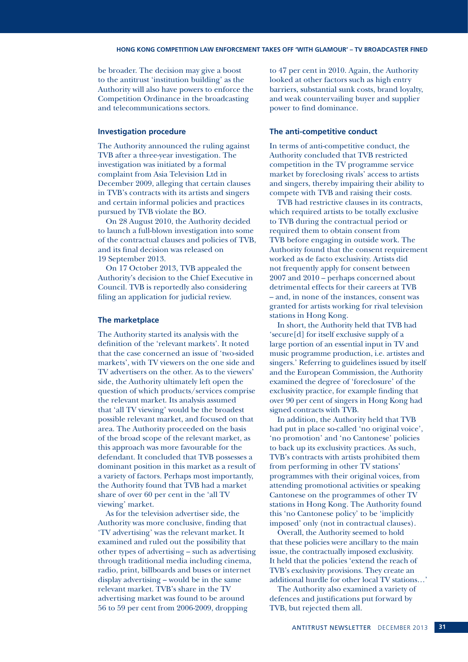be broader. The decision may give a boost to the antitrust 'institution building' as the Authority will also have powers to enforce the Competition Ordinance in the broadcasting and telecommunications sectors.

### **Investigation procedure**

The Authority announced the ruling against TVB after a three-year investigation. The investigation was initiated by a formal complaint from Asia Television Ltd in December 2009, alleging that certain clauses in TVB's contracts with its artists and singers and certain informal policies and practices pursued by TVB violate the BO.

On 28 August 2010, the Authority decided to launch a full-blown investigation into some of the contractual clauses and policies of TVB, and its final decision was released on 19 September 2013.

On 17 October 2013, TVB appealed the Authority's decision to the Chief Executive in Council. TVB is reportedly also considering filing an application for judicial review.

### **The marketplace**

The Authority started its analysis with the definition of the 'relevant markets'. It noted that the case concerned an issue of 'two-sided markets', with TV viewers on the one side and TV advertisers on the other. As to the viewers' side, the Authority ultimately left open the question of which products/services comprise the relevant market. Its analysis assumed that 'all TV viewing' would be the broadest possible relevant market, and focused on that area. The Authority proceeded on the basis of the broad scope of the relevant market, as this approach was more favourable for the defendant. It concluded that TVB possesses a dominant position in this market as a result of a variety of factors. Perhaps most importantly, the Authority found that TVB had a market share of over 60 per cent in the 'all TV viewing' market.

As for the television advertiser side, the Authority was more conclusive, finding that 'TV advertising' was the relevant market. It examined and ruled out the possibility that other types of advertising – such as advertising through traditional media including cinema, radio, print, billboards and buses or internet display advertising – would be in the same relevant market. TVB's share in the TV advertising market was found to be around 56 to 59 per cent from 2006-2009, dropping

to 47 per cent in 2010. Again, the Authority looked at other factors such as high entry barriers, substantial sunk costs, brand loyalty, and weak countervailing buyer and supplier power to find dominance.

### **The anti-competitive conduct**

In terms of anti-competitive conduct, the Authority concluded that TVB restricted competition in the TV programme service market by foreclosing rivals' access to artists and singers, thereby impairing their ability to compete with TVB and raising their costs.

TVB had restrictive clauses in its contracts, which required artists to be totally exclusive to TVB during the contractual period or required them to obtain consent from TVB before engaging in outside work. The Authority found that the consent requirement worked as de facto exclusivity. Artists did not frequently apply for consent between 2007 and 2010 – perhaps concerned about detrimental effects for their careers at TVB – and, in none of the instances, consent was granted for artists working for rival television stations in Hong Kong.

In short, the Authority held that TVB had 'secure[d] for itself exclusive supply of a large portion of an essential input in TV and music programme production, i.e. artistes and singers.' Referring to guidelines issued by itself and the European Commission, the Authority examined the degree of 'foreclosure' of the exclusivity practice, for example finding that over 90 per cent of singers in Hong Kong had signed contracts with TVB.

In addition, the Authority held that TVB had put in place so-called 'no original voice', 'no promotion' and 'no Cantonese' policies to back up its exclusivity practices. As such, TVB's contracts with artists prohibited them from performing in other TV stations' programmes with their original voices, from attending promotional activities or speaking Cantonese on the programmes of other TV stations in Hong Kong. The Authority found this 'no Cantonese policy' to be 'implicitly imposed' only (not in contractual clauses).

Overall, the Authority seemed to hold that these policies were ancillary to the main issue, the contractually imposed exclusivity. It held that the policies 'extend the reach of TVB's exclusivity provisions. They create an additional hurdle for other local TV stations…'

The Authority also examined a variety of defences and justifications put forward by TVB, but rejected them all.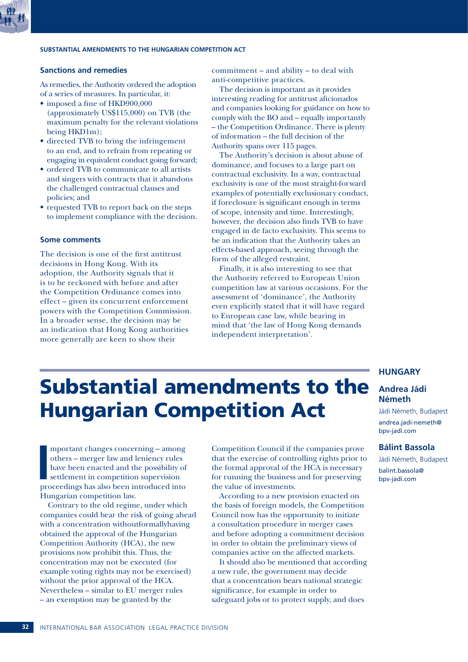

### **Sanctions and remedies**

As remedies, the Authority ordered the adoption of a series of measures. In particular, it:

- imposed a fine of HKD900,000 (approximately US\$115,000) on TVB (the maximum penalty for the relevant violations being HKD1m);
- directed TVB to bring the infringement to an end, and to refrain from repeating or engaging in equivalent conduct going forward;
- ordered TVB to communicate to all artists and singers with contracts that it abandons the challenged contractual clauses and policies; and
- requested TVB to report back on the steps to implement compliance with the decision.

### **Some comments**

The decision is one of the first antitrust decisions in Hong Kong. With its adoption, the Authority signals that it is to be reckoned with before and after the Competition Ordinance comes into effect – given its concurrent enforcement powers with the Competition Commission. In a broader sense, the decision may be an indication that Hong Kong authorities more generally are keen to show their

commitment – and ability – to deal with anti-competitive practices.

The decision is important as it provides interesting reading for antitrust aficionados and companies looking for guidance on how to comply with the BO and – equally importantly – the Competition Ordinance. There is plenty of information – the full decision of the Authority spans over 115 pages.

The Authority's decision is about abuse of dominance, and focuses to a large part on contractual exclusivity. In a way, contractual exclusivity is one of the most straight-forward examples of potentially exclusionary conduct, if foreclosure is significant enough in terms of scope, intensity and time. Interestingly, however, the decision also finds TVB to have engaged in de facto exclusivity. This seems to be an indication that the Authority takes an effects-based approach, seeing through the form of the alleged restraint.

Finally, it is also interesting to see that the Authority referred to European Union competition law at various occasions. For the assessment of 'dominance', the Authority even explicitly stated that it will have regard to European case law, while bearing in mind that 'the law of Hong Kong demands independent interpretation'.

## Substantial amendments to the Hungarian Competition Act

**I**<br> **I**<br> **Dre** mportant changes concerning – among others – merger law and leniency rules have been enacted and the possibility of settlement in competition supervision proceedings has also been introduced into Hungarian competition law.

Contrary to the old regime, under which companies could bear the risk of going ahead with a concentration withoutformallyhaving obtained the approval of the Hungarian Competition Authority (HCA), the new provisions now prohibit this. Thus, the concentration may not be executed (for example voting rights may not be exercised) without the prior approval of the HCA. Nevertheless – similar to EU merger rules – an exemption may be granted by the

Competition Council if the companies prove that the exercise of controlling rights prior to the formal approval of the HCA is necessary for running the business and for preserving the value of investments.

According to a new provision enacted on the basis of foreign models, the Competition Council now has the opportunity to initiate a consultation procedure in merger cases and before adopting a commitment decision in order to obtain the preliminary views of companies active on the affected markets.

It should also be mentioned that according a new rule, the government may decide that a concentration bears national strategic significance, for example in order to safeguard jobs or to protect supply, and does

### **HUNGARY**

### **Andrea Jádi Németh**

Jádi Németh, Budapest andrea.jadi-nemeth@ bpv-jadi.com

### **Bálint Bassola**

Jádi Németh, Budapest balint.bassola@ bpv-jadi.com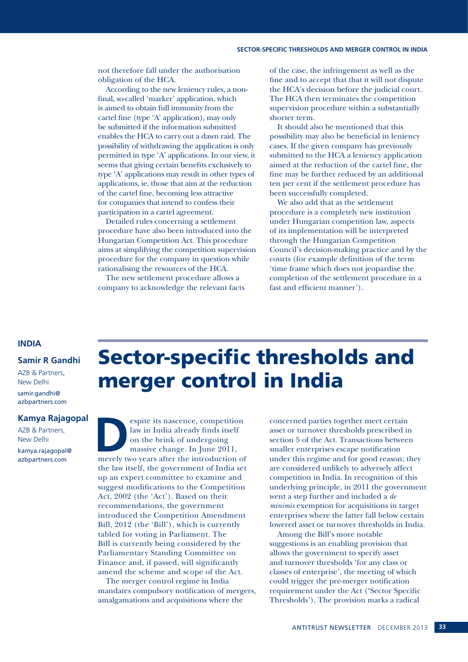not therefore fall under the authorisation obligation of the HCA.

According to the new leniency rules, a nonfinal, so-called 'marker' application, which is aimed to obtain full immunity from the cartel fine (type 'A' application), may only be submitted if the information submitted enables the HCA to carry out a dawn raid. The possibility of withdrawing the application is only permitted in type 'A' applications. In our view, it seems that giving certain benefits exclusively to type 'A' applications may result in other types of applications, ie, those that aim at the reduction of the cartel fine, becoming less attractive for companies that intend to confess their participation in a cartel agreement.

Detailed rules concerning a settlement procedure have also been introduced into the Hungarian Competition Act. This procedure aims at simplifying the competition supervision procedure for the company in question while rationalising the resources of the HCA.

The new settlement procedure allows a company to acknowledge the relevant facts

of the case, the infringement as well as the fine and to accept that that it will not dispute the HCA's decision before the judicial court. The HCA then terminates the competition supervision procedure within a substantially shorter term.

It should also be mentioned that this possibility may also be beneficial in leniency cases. If the given company has previously submitted to the HCA a leniency application aimed at the reduction of the cartel fine, the fine may be further reduced by an additional ten per cent if the settlement procedure has been successfully completed.

We also add that as the settlement procedure is a completely new institution under Hungarian competition law, aspects of its implementation will be interpreted through the Hungarian Competition Council's decision-making practice and by the courts (for example definition of the term 'time frame which does not jeopardise the completion of the settlement procedure in a fast and efficient manner').

### **INDIA**

### **Samir R Gandhi**

AZB & Partners, New Delhi samir.gandhi@ azbpartners.com

### **Kamya Rajagopal**

AZB & Partners, New Delhi kamya.rajagopal@ azbpartners.com

## Sector-specific thresholds and merger control in India

espite its nascence, competition<br>
law in India already finds itself<br>
on the brink of undergoing<br>
massive change. In June 2011,<br>
merely two years after the introduction of law in India already finds itself on the brink of undergoing massive change. In June 2011, the law itself, the government of India set up an expert committee to examine and suggest modifications to the Competition Act, 2002 (the 'Act'). Based on their recommendations, the government introduced the Competition Amendment Bill, 2012 (the 'Bill'), which is currently tabled for voting in Parliament. The Bill is currently being considered by the Parliamentary Standing Committee on Finance and, if passed, will significantly amend the scheme and scope of the Act.

The merger control regime in India mandates compulsory notification of mergers, amalgamations and acquisitions where the

concerned parties together meet certain asset or turnover thresholds prescribed in section 5 of the Act. Transactions between smaller enterprises escape notification under this regime and for good reason; they are considered unlikely to adversely affect competition in India. In recognition of this underlying principle, in 2011 the government went a step further and included a *de minimis* exemption for acquisitions in target enterprises where the latter fall below certain lowered asset or turnover thresholds in India.

Among the Bill's more notable suggestions is an enabling provision that allows the government to specify asset and turnover thresholds 'for any class or classes of enterprise', the meeting of which could trigger the pre-merger notification requirement under the Act ('Sector Specific Thresholds'). The provision marks a radical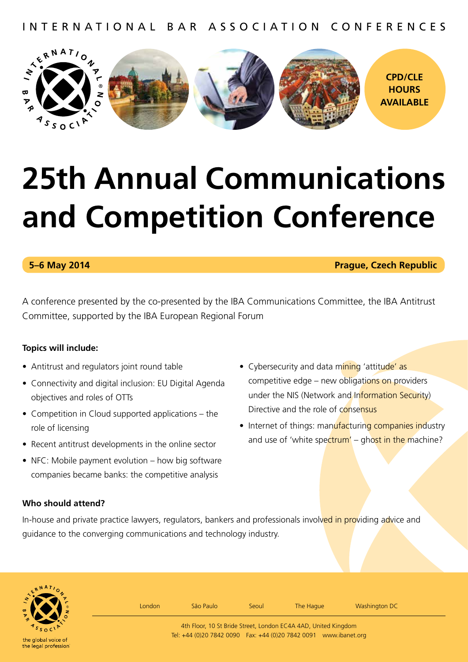international bar association conferences



# **25th Annual Communications and Competition Conference**

**5–6 May 2014 Prague, Czech Republic**

A conference presented by the co-presented by the IBA Communications Committee, the IBA Antitrust Committee, supported by the IBA European Regional Forum

## **Topics will include:**

- Antitrust and regulators joint round table
- Connectivity and digital inclusion: EU Digital Agenda objectives and roles of OTTs
- Competition in Cloud supported applications the role of licensing
- Recent antitrust developments in the online sector
- NFC: Mobile payment evolution how big software companies became banks: the competitive analysis
- Cybersecurity and data mining 'attitude' as competitive edge – new obligations on providers under the NIS (Network and Information Security) Directive and the role of consensus
- Internet of things: manufacturing companies industry and use of 'white spectrum' – ghost in the machine?

## **Who should attend?**

In-house and private practice lawyers, regulators, bankers and professionals involved in providing advice and guidance to the converging communications and technology industry.



London São Paulo Séoul The Hague Washington DC

4th Floor, 10 St Bride Street, London EC4A 4AD, United Kingdom Tel: +44 (0)20 7842 0090 Fax: +44 (0)20 7842 0091 www.ibanet.org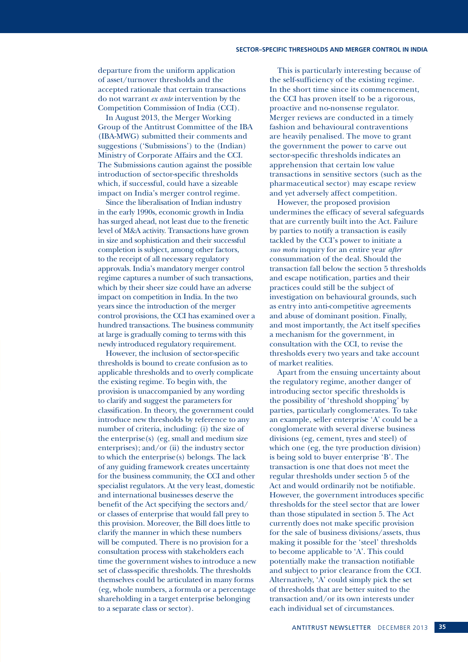### **SECTOR–SPECIFIC THRESHOLDS AND MERGER CONTROL IN INDIA**

departure from the uniform application of asset/turnover thresholds and the accepted rationale that certain transactions do not warrant *ex ante* intervention by the Competition Commission of India (CCI).

In August 2013, the Merger Working Group of the Antitrust Committee of the IBA (IBA-MWG) submitted their comments and suggestions ('Submissions') to the (Indian) Ministry of Corporate Affairs and the CCI. The Submissions caution against the possible introduction of sector-specific thresholds which, if successful, could have a sizeable impact on India's merger control regime.

Since the liberalisation of Indian industry in the early 1990s, economic growth in India has surged ahead, not least due to the frenetic level of M&A activity. Transactions have grown in size and sophistication and their successful completion is subject, among other factors, to the receipt of all necessary regulatory approvals. India's mandatory merger control regime captures a number of such transactions, which by their sheer size could have an adverse impact on competition in India. In the two years since the introduction of the merger control provisions, the CCI has examined over a hundred transactions. The business community at large is gradually coming to terms with this newly introduced regulatory requirement.

However, the inclusion of sector-specific thresholds is bound to create confusion as to applicable thresholds and to overly complicate the existing regime. To begin with, the provision is unaccompanied by any wording to clarify and suggest the parameters for classification. In theory, the government could introduce new thresholds by reference to any number of criteria, including: (i) the size of the enterprise(s) (eg, small and medium size enterprises); and/or (ii) the industry sector to which the enterprise(s) belongs. The lack of any guiding framework creates uncertainty for the business community, the CCI and other specialist regulators. At the very least, domestic and international businesses deserve the benefit of the Act specifying the sectors and/ or classes of enterprise that would fall prey to this provision. Moreover, the Bill does little to clarify the manner in which these numbers will be computed. There is no provision for a consultation process with stakeholders each time the government wishes to introduce a new set of class-specific thresholds. The thresholds themselves could be articulated in many forms (eg, whole numbers, a formula or a percentage shareholding in a target enterprise belonging to a separate class or sector).

This is particularly interesting because of the self-sufficiency of the existing regime. In the short time since its commencement, the CCI has proven itself to be a rigorous, proactive and no-nonsense regulator. Merger reviews are conducted in a timely fashion and behavioural contraventions are heavily penalised. The move to grant the government the power to carve out sector-specific thresholds indicates an apprehension that certain low value transactions in sensitive sectors (such as the pharmaceutical sector) may escape review and yet adversely affect competition.

However, the proposed provision undermines the efficacy of several safeguards that are currently built into the Act. Failure by parties to notify a transaction is easily tackled by the CCI's power to initiate a *suo motu* inquiry for an entire year *after* consummation of the deal. Should the transaction fall below the section 5 thresholds and escape notification, parties and their practices could still be the subject of investigation on behavioural grounds, such as entry into anti-competitive agreements and abuse of dominant position. Finally, and most importantly, the Act itself specifies a mechanism for the government, in consultation with the CCI, to revise the thresholds every two years and take account of market realities.

Apart from the ensuing uncertainty about the regulatory regime, another danger of introducing sector specific thresholds is the possibility of 'threshold shopping' by parties, particularly conglomerates. To take an example, seller enterprise 'A' could be a conglomerate with several diverse business divisions (eg, cement, tyres and steel) of which one (eg, the tyre production division) is being sold to buyer enterprise 'B'. The transaction is one that does not meet the regular thresholds under section 5 of the Act and would ordinarily not be notifiable. However, the government introduces specific thresholds for the steel sector that are lower than those stipulated in section 5. The Act currently does not make specific provision for the sale of business divisions/assets, thus making it possible for the 'steel' thresholds to become applicable to 'A'. This could potentially make the transaction notifiable and subject to prior clearance from the CCI. Alternatively, 'A' could simply pick the set of thresholds that are better suited to the transaction and/or its own interests under each individual set of circumstances.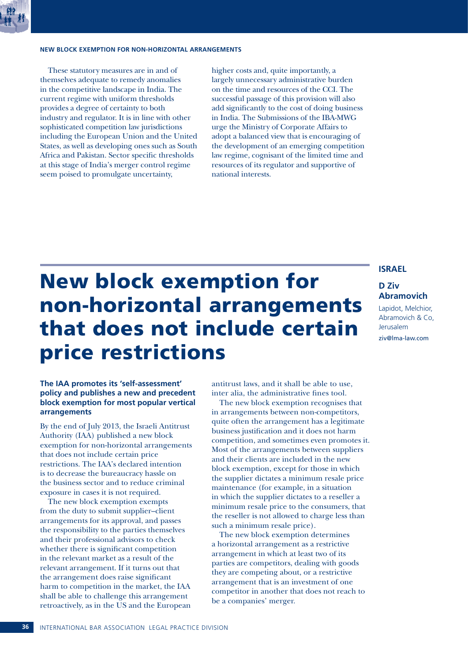### **NEW BLOCK EXEMPTION FOR NON-HORIZONTAL ARRANGEMENTS**

These statutory measures are in and of themselves adequate to remedy anomalies in the competitive landscape in India. The current regime with uniform thresholds provides a degree of certainty to both industry and regulator. It is in line with other sophisticated competition law jurisdictions including the European Union and the United States, as well as developing ones such as South Africa and Pakistan. Sector specific thresholds at this stage of India's merger control regime seem poised to promulgate uncertainty,

higher costs and, quite importantly, a largely unnecessary administrative burden on the time and resources of the CCI. The successful passage of this provision will also add significantly to the cost of doing business in India. The Submissions of the IBA-MWG urge the Ministry of Corporate Affairs to adopt a balanced view that is encouraging of the development of an emerging competition law regime, cognisant of the limited time and resources of its regulator and supportive of national interests.

# New block exemption for non-horizontal arrangements that does not include certain price restrictions

## **ISRAEL**

### **D Ziv Abramovich**

Lapidot, Melchior, Abramovich & Co, Jerusalem ziv@lma-law.com

### **The IAA promotes its 'self-assessment' policy and publishes a new and precedent block exemption for most popular vertical arrangements**

By the end of July 2013, the Israeli Antitrust Authority (IAA) published a new block exemption for non-horizontal arrangements that does not include certain price restrictions. The IAA's declared intention is to decrease the bureaucracy hassle on the business sector and to reduce criminal exposure in cases it is not required.

The new block exemption exempts from the duty to submit supplier–client arrangements for its approval, and passes the responsibility to the parties themselves and their professional advisors to check whether there is significant competition in the relevant market as a result of the relevant arrangement. If it turns out that the arrangement does raise significant harm to competition in the market, the IAA shall be able to challenge this arrangement retroactively, as in the US and the European antitrust laws, and it shall be able to use, inter alia, the administrative fines tool.

The new block exemption recognises that in arrangements between non-competitors, quite often the arrangement has a legitimate business justification and it does not harm competition, and sometimes even promotes it. Most of the arrangements between suppliers and their clients are included in the new block exemption, except for those in which the supplier dictates a minimum resale price maintenance (for example, in a situation in which the supplier dictates to a reseller a minimum resale price to the consumers, that the reseller is not allowed to charge less than such a minimum resale price).

The new block exemption determines a horizontal arrangement as a restrictive arrangement in which at least two of its parties are competitors, dealing with goods they are competing about, or a restrictive arrangement that is an investment of one competitor in another that does not reach to be a companies' merger.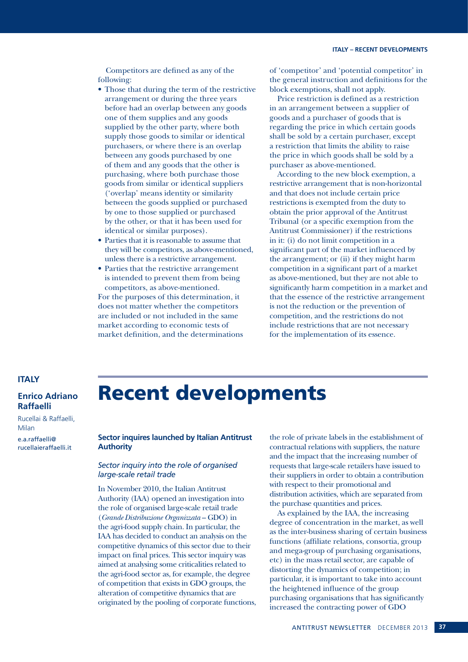### **ITALY – RECENT DEVELOPMENTS**

Competitors are defined as any of the following:

- Those that during the term of the restrictive arrangement or during the three years before had an overlap between any goods one of them supplies and any goods supplied by the other party, where both supply those goods to similar or identical purchasers, or where there is an overlap between any goods purchased by one of them and any goods that the other is purchasing, where both purchase those goods from similar or identical suppliers ('overlap' means identity or similarity between the goods supplied or purchased by one to those supplied or purchased by the other, or that it has been used for identical or similar purposes).
- Parties that it is reasonable to assume that they will be competitors, as above-mentioned, unless there is a restrictive arrangement.
- Parties that the restrictive arrangement is intended to prevent them from being competitors, as above-mentioned. For the purposes of this determination, it

does not matter whether the competitors are included or not included in the same market according to economic tests of market definition, and the determinations of 'competitor' and 'potential competitor' in the general instruction and definitions for the block exemptions, shall not apply.

Price restriction is defined as a restriction in an arrangement between a supplier of goods and a purchaser of goods that is regarding the price in which certain goods shall be sold by a certain purchaser, except a restriction that limits the ability to raise the price in which goods shall be sold by a purchaser as above-mentioned.

According to the new block exemption, a restrictive arrangement that is non-horizontal and that does not include certain price restrictions is exempted from the duty to obtain the prior approval of the Antitrust Tribunal (or a specific exemption from the Antitrust Commissioner) if the restrictions in it: (i) do not limit competition in a significant part of the market influenced by the arrangement; or (ii) if they might harm competition in a significant part of a market as above-mentioned, but they are not able to significantly harm competition in a market and that the essence of the restrictive arrangement is not the reduction or the prevention of competition, and the restrictions do not include restrictions that are not necessary for the implementation of its essence.

### **ITALY**

**Enrico Adriano Raffaelli**

Rucellai & Raffaelli, Milan

e.a.raffaelli@ rucellaieraffaelli.it

## Recent developments

**Sector inquires launched by Italian Antitrust Authority**

### *Sector inquiry into the role of organised large-scale retail trade*

In November 2010, the Italian Antitrust Authority (IAA) opened an investigation into the role of organised large-scale retail trade (*Grande Distribuzione Organizzata* – GDO) in the agri-food supply chain. In particular, the IAA has decided to conduct an analysis on the competitive dynamics of this sector due to their impact on final prices. This sector inquiry was aimed at analysing some criticalities related to the agri-food sector as, for example, the degree of competition that exists in GDO groups, the alteration of competitive dynamics that are originated by the pooling of corporate functions,

the role of private labels in the establishment of contractual relations with suppliers, the nature and the impact that the increasing number of requests that large-scale retailers have issued to their suppliers in order to obtain a contribution with respect to their promotional and distribution activities, which are separated from the purchase quantities and prices.

As explained by the IAA, the increasing degree of concentration in the market, as well as the inter-business sharing of certain business functions (affiliate relations, consortia, group and mega-group of purchasing organisations, etc) in the mass retail sector, are capable of distorting the dynamics of competition; in particular, it is important to take into account the heightened influence of the group purchasing organisations that has significantly increased the contracting power of GDO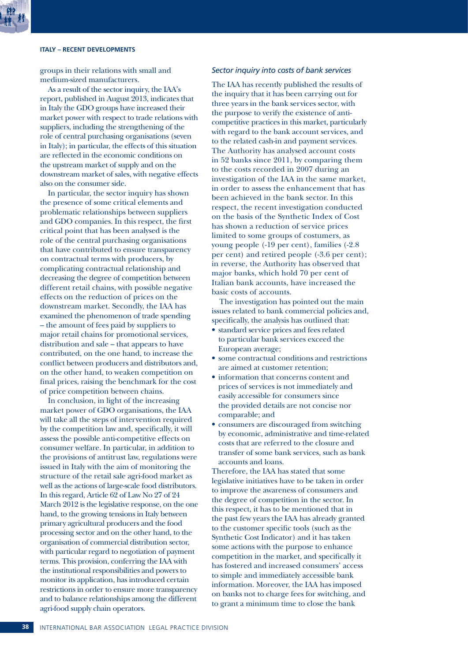### **ITALY – RECENT DEVELOPMENTS**

groups in their relations with small and medium-sized manufacturers.

As a result of the sector inquiry, the IAA's report, published in August 2013, indicates that in Italy the GDO groups have increased their market power with respect to trade relations with suppliers, including the strengthening of the role of central purchasing organisations (seven in Italy); in particular, the effects of this situation are reflected in the economic conditions on the upstream market of supply and on the downstream market of sales, with negative effects also on the consumer side.

In particular, the sector inquiry has shown the presence of some critical elements and problematic relationships between suppliers and GDO companies. In this respect, the first critical point that has been analysed is the role of the central purchasing organisations that have contributed to ensure transparency on contractual terms with producers, by complicating contractual relationship and decreasing the degree of competition between different retail chains, with possible negative effects on the reduction of prices on the downstream market. Secondly, the IAA has examined the phenomenon of trade spending – the amount of fees paid by suppliers to major retail chains for promotional services, distribution and sale – that appears to have contributed, on the one hand, to increase the conflict between producers and distributors and, on the other hand, to weaken competition on final prices, raising the benchmark for the cost of price competition between chains.

In conclusion, in light of the increasing market power of GDO organisations, the IAA will take all the steps of intervention required by the competition law and, specifically, it will assess the possible anti-competitive effects on consumer welfare. In particular, in addition to the provisions of antitrust law, regulations were issued in Italy with the aim of monitoring the structure of the retail sale agri-food market as well as the actions of large-scale food distributors. In this regard, Article 62 of Law No 27 of 24 March 2012 is the legislative response, on the one hand, to the growing tensions in Italy between primary agricultural producers and the food processing sector and on the other hand, to the organisation of commercial distribution sector, with particular regard to negotiation of payment terms. This provision, conferring the IAA with the institutional responsibilities and powers to monitor its application, has introduced certain restrictions in order to ensure more transparency and to balance relationships among the different agri-food supply chain operators.

### *Sector inquiry into costs of bank services*

The IAA has recently published the results of the inquiry that it has been carrying out for three years in the bank services sector, with the purpose to verify the existence of anticompetitive practices in this market, particularly with regard to the bank account services, and to the related cash-in and payment services. The Authority has analysed account costs in 52 banks since 2011, by comparing them to the costs recorded in 2007 during an investigation of the IAA in the same market, in order to assess the enhancement that has been achieved in the bank sector. In this respect, the recent investigation conducted on the basis of the Synthetic Index of Cost has shown a reduction of service prices limited to some groups of costumers, as young people (-19 per cent), families (-2.8 per cent) and retired people (-3.6 per cent); in reverse, the Authority has observed that major banks, which hold 70 per cent of Italian bank accounts, have increased the basic costs of accounts.

The investigation has pointed out the main issues related to bank commercial policies and, specifically, the analysis has outlined that:

- standard service prices and fees related to particular bank services exceed the European average;
- some contractual conditions and restrictions are aimed at customer retention;
- information that concerns content and prices of services is not immediately and easily accessible for consumers since the provided details are not concise nor comparable; and
- consumers are discouraged from switching by economic, administrative and time-related costs that are referred to the closure and transfer of some bank services, such as bank accounts and loans.

Therefore, the IAA has stated that some legislative initiatives have to be taken in order to improve the awareness of consumers and the degree of competition in the sector. In this respect, it has to be mentioned that in the past few years the IAA has already granted to the customer specific tools (such as the Synthetic Cost Indicator) and it has taken some actions with the purpose to enhance competition in the market, and specifically it has fostered and increased consumers' access to simple and immediately accessible bank information. Moreover, the IAA has imposed on banks not to charge fees for switching, and to grant a minimum time to close the bank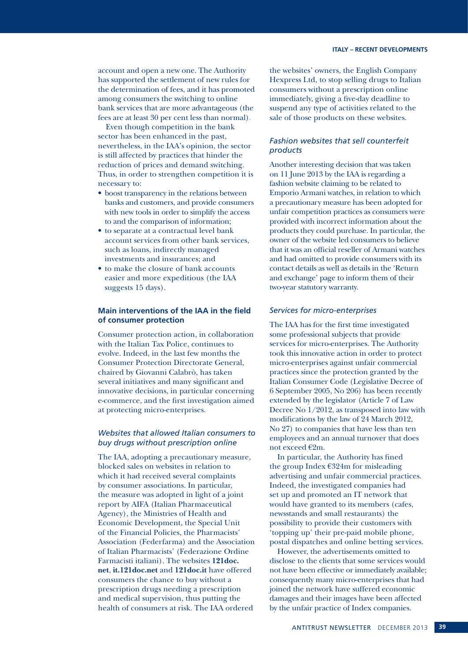account and open a new one. The Authority has supported the settlement of new rules for the determination of fees, and it has promoted among consumers the switching to online bank services that are more advantageous (the fees are at least 30 per cent less than normal).

Even though competition in the bank sector has been enhanced in the past, nevertheless, in the IAA's opinion, the sector is still affected by practices that hinder the reduction of prices and demand switching. Thus, in order to strengthen competition it is necessary to:

- boost transparency in the relations between banks and customers, and provide consumers with new tools in order to simplify the access to and the comparison of information;
- to separate at a contractual level bank account services from other bank services, such as loans, indirectly managed investments and insurances; and
- to make the closure of bank accounts easier and more expeditious (the IAA suggests 15 days).

### **Main interventions of the IAA in the field of consumer protection**

Consumer protection action, in collaboration with the Italian Tax Police, continues to evolve. Indeed, in the last few months the Consumer Protection Directorate General, chaired by Giovanni Calabrò, has taken several initiatives and many significant and innovative decisions, in particular concerning e-commerce, and the first investigation aimed at protecting micro-enterprises.

### *Websites that allowed Italian consumers to buy drugs without prescription online*

The IAA, adopting a precautionary measure, blocked sales on websites in relation to which it had received several complaints by consumer associations. In particular, the measure was adopted in light of a joint report by AIFA (Italian Pharmaceutical Agency), the Ministries of Health and Economic Development, the Special Unit of the Financial Policies, the Pharmacists' Association (Federfarma) and the Association of Italian Pharmacists' (Federazione Ordine Farmacisti italiani). The websites **121doc. net**, **it.121doc.net** and **121doc.it** have offered consumers the chance to buy without a prescription drugs needing a prescription and medical supervision, thus putting the health of consumers at risk. The IAA ordered

the websites' owners, the English Company Hexpress Ltd, to stop selling drugs to Italian consumers without a prescription online immediately, giving a five-day deadline to suspend any type of activities related to the sale of those products on these websites.

### *Fashion websites that sell counterfeit products*

Another interesting decision that was taken on 11 June 2013 by the IAA is regarding a fashion website claiming to be related to Emporio Armani watches, in relation to which a precautionary measure has been adopted for unfair competition practices as consumers were provided with incorrect information about the products they could purchase. In particular, the owner of the website led consumers to believe that it was an official reseller of Armani watches and had omitted to provide consumers with its contact details as well as details in the 'Return and exchange' page to inform them of their two-year statutory warranty.

### *Services for micro-enterprises*

The IAA has for the first time investigated some professional subjects that provide services for micro-enterprises. The Authority took this innovative action in order to protect micro-enterprises against unfair commercial practices since the protection granted by the Italian Consumer Code (Legislative Decree of 6 September 2005, No 206) has been recently extended by the legislator (Article 7 of Law Decree No 1/2012, as transposed into law with modifications by the law of 24 March 2012, No 27) to companies that have less than ten employees and an annual turnover that does not exceed €2m.

In particular, the Authority has fined the group Index €324m for misleading advertising and unfair commercial practices. Indeed, the investigated companies had set up and promoted an IT network that would have granted to its members (cafes, newsstands and small restaurants) the possibility to provide their customers with 'topping up' their pre-paid mobile phone, postal dispatches and online betting services.

However, the advertisements omitted to disclose to the clients that some services would not have been effective or immediately available; consequently many micro-enterprises that had joined the network have suffered economic damages and their images have been affected by the unfair practice of Index companies.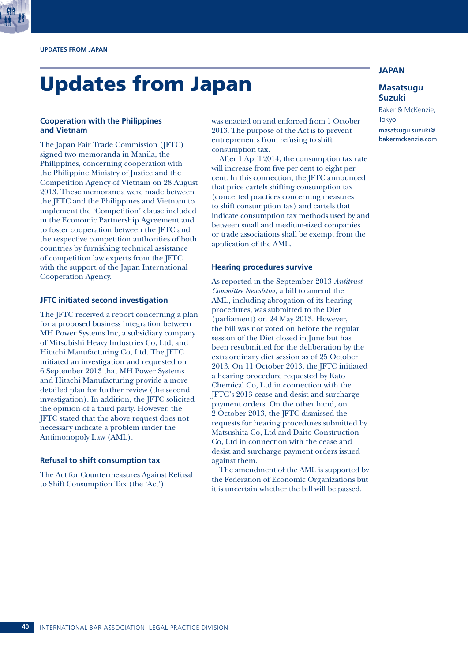

# Updates from Japan

### **Cooperation with the Philippines and Vietnam**

The Japan Fair Trade Commission (JFTC) signed two memoranda in Manila, the Philippines, concerning cooperation with the Philippine Ministry of Justice and the Competition Agency of Vietnam on 28 August 2013. These memoranda were made between the JFTC and the Philippines and Vietnam to implement the 'Competition' clause included in the Economic Partnership Agreement and to foster cooperation between the JFTC and the respective competition authorities of both countries by furnishing technical assistance of competition law experts from the JFTC with the support of the Japan International Cooperation Agency.

### **JFTC initiated second investigation**

The JFTC received a report concerning a plan for a proposed business integration between MH Power Systems Inc, a subsidiary company of Mitsubishi Heavy Industries Co, Ltd, and Hitachi Manufacturing Co, Ltd. The JFTC initiated an investigation and requested on 6 September 2013 that MH Power Systems and Hitachi Manufacturing provide a more detailed plan for further review (the second investigation). In addition, the JFTC solicited the opinion of a third party. However, the JFTC stated that the above request does not necessary indicate a problem under the Antimonopoly Law (AML).

### **Refusal to shift consumption tax**

The Act for Countermeasures Against Refusal to Shift Consumption Tax (the 'Act')

was enacted on and enforced from 1 October 2013. The purpose of the Act is to prevent entrepreneurs from refusing to shift consumption tax.

After 1 April 2014, the consumption tax rate will increase from five per cent to eight per cent. In this connection, the JFTC announced that price cartels shifting consumption tax (concerted practices concerning measures to shift consumption tax) and cartels that indicate consumption tax methods used by and between small and medium-sized companies or trade associations shall be exempt from the application of the AML.

### **Hearing procedures survive**

As reported in the September 2013 *Antitrust Committee Newsletter*, a bill to amend the AML, including abrogation of its hearing procedures, was submitted to the Diet (parliament) on 24 May 2013. However, the bill was not voted on before the regular session of the Diet closed in June but has been resubmitted for the deliberation by the extraordinary diet session as of 25 October 2013. On 11 October 2013, the JFTC initiated a hearing procedure requested by Kato Chemical Co, Ltd in connection with the JFTC's 2013 cease and desist and surcharge payment orders. On the other hand, on 2 October 2013, the JFTC dismissed the requests for hearing procedures submitted by Matsushita Co, Ltd and Daito Construction Co, Ltd in connection with the cease and desist and surcharge payment orders issued against them.

The amendment of the AML is supported by the Federation of Economic Organizations but it is uncertain whether the bill will be passed.

### **JAPAN**

### **Masatsugu Suzuki**

Baker & McKenzie, Tokyo

masatsugu.suzuki@ bakermckenzie.com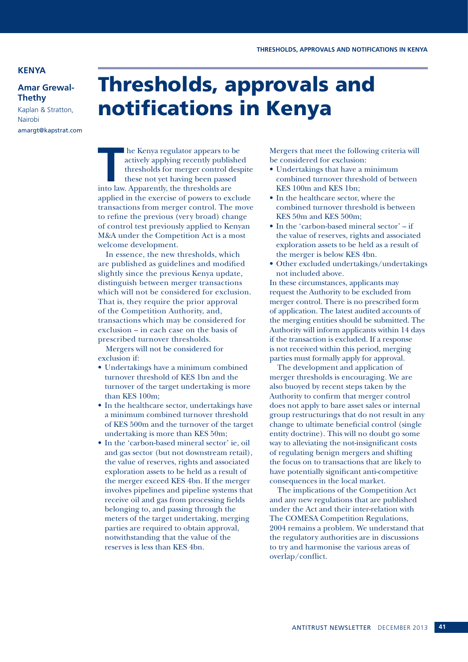### **KENYA**

**Amar Grewal-Thethy**

Kaplan & Stratton, Nairobi amargt@kapstrat.com

## Thresholds, approvals and notifications in Kenya

**T** he Kenya regulator appears to be actively applying recently published thresholds for merger control despite these not yet having been passed into law. Apparently, the thresholds are applied in the exercise of powers to exclude transactions from merger control. The move to refine the previous (very broad) change of control test previously applied to Kenyan M&A under the Competition Act is a most welcome development.

In essence, the new thresholds, which are published as guidelines and modified slightly since the previous Kenya update, distinguish between merger transactions which will not be considered for exclusion. That is, they require the prior approval of the Competition Authority, and, transactions which may be considered for exclusion – in each case on the basis of prescribed turnover thresholds.

Mergers will not be considered for exclusion if:

- Undertakings have a minimum combined turnover threshold of KES 1bn and the turnover of the target undertaking is more than KES 100m;
- In the healthcare sector, undertakings have a minimum combined turnover threshold of KES 500m and the turnover of the target undertaking is more than KES 50m;
- In the 'carbon-based mineral sector' ie, oil and gas sector (but not downstream retail), the value of reserves, rights and associated exploration assets to be held as a result of the merger exceed KES 4bn. If the merger involves pipelines and pipeline systems that receive oil and gas from processing fields belonging to, and passing through the meters of the target undertaking, merging parties are required to obtain approval, notwithstanding that the value of the reserves is less than KES 4bn.

Mergers that meet the following criteria will be considered for exclusion:

- Undertakings that have a minimum combined turnover threshold of between KES 100m and KES 1bn;
- In the healthcare sector, where the combined turnover threshold is between KES 50m and KES 500m;
- In the 'carbon-based mineral sector' if the value of reserves, rights and associated exploration assets to be held as a result of the merger is below KES 4bn.
- Other excluded undertakings/undertakings not included above.

In these circumstances, applicants may request the Authority to be excluded from merger control. There is no prescribed form of application. The latest audited accounts of the merging entities should be submitted. The Authority will inform applicants within 14 days if the transaction is excluded. If a response is not received within this period, merging parties must formally apply for approval.

The development and application of merger thresholds is encouraging. We are also buoyed by recent steps taken by the Authority to confirm that merger control does not apply to bare asset sales or internal group restructurings that do not result in any change to ultimate beneficial control (single entity doctrine). This will no doubt go some way to alleviating the not-insignificant costs of regulating benign mergers and shifting the focus on to transactions that are likely to have potentially significant anti-competitive consequences in the local market.

The implications of the Competition Act and any new regulations that are published under the Act and their inter-relation with The COMESA Competition Regulations, 2004 remains a problem. We understand that the regulatory authorities are in discussions to try and harmonise the various areas of overlap/conflict.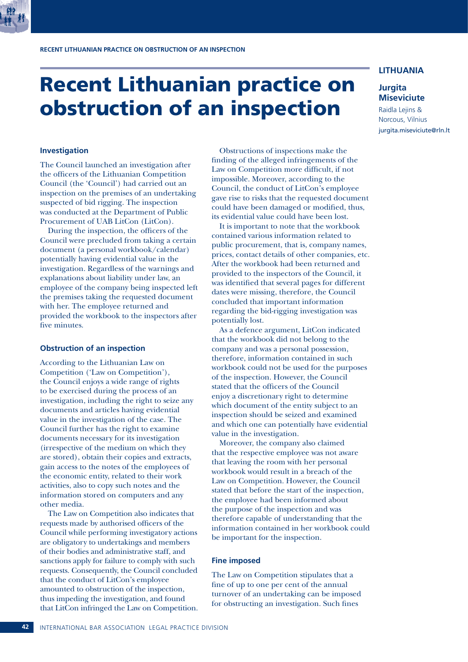

## Recent Lithuanian practice on obstruction of an inspection

### **LITHUANIA**

### **Jurgita Miseviciute**

Raidla Lejins & Norcous, Vilnius jurgita.miseviciute@rln.lt

### **Investigation**

The Council launched an investigation after the officers of the Lithuanian Competition Council (the 'Council') had carried out an inspection on the premises of an undertaking suspected of bid rigging. The inspection was conducted at the Department of Public Procurement of UAB LitCon (LitCon).

During the inspection, the officers of the Council were precluded from taking a certain document (a personal workbook/calendar) potentially having evidential value in the investigation. Regardless of the warnings and explanations about liability under law, an employee of the company being inspected left the premises taking the requested document with her. The employee returned and provided the workbook to the inspectors after five minutes.

### **Obstruction of an inspection**

According to the Lithuanian Law on Competition ('Law on Competition'), the Council enjoys a wide range of rights to be exercised during the process of an investigation, including the right to seize any documents and articles having evidential value in the investigation of the case. The Council further has the right to examine documents necessary for its investigation (irrespective of the medium on which they are stored), obtain their copies and extracts, gain access to the notes of the employees of the economic entity, related to their work activities, also to copy such notes and the information stored on computers and any other media.

The Law on Competition also indicates that requests made by authorised officers of the Council while performing investigatory actions are obligatory to undertakings and members of their bodies and administrative staff, and sanctions apply for failure to comply with such requests. Consequently, the Council concluded that the conduct of LitCon's employee amounted to obstruction of the inspection, thus impeding the investigation, and found that LitCon infringed the Law on Competition.

Obstructions of inspections make the finding of the alleged infringements of the Law on Competition more difficult, if not impossible. Moreover, according to the Council, the conduct of LitCon's employee gave rise to risks that the requested document could have been damaged or modified, thus, its evidential value could have been lost.

It is important to note that the workbook contained various information related to public procurement, that is, company names, prices, contact details of other companies, etc. After the workbook had been returned and provided to the inspectors of the Council, it was identified that several pages for different dates were missing, therefore, the Council concluded that important information regarding the bid-rigging investigation was potentially lost.

As a defence argument, LitCon indicated that the workbook did not belong to the company and was a personal possession, therefore, information contained in such workbook could not be used for the purposes of the inspection. However, the Council stated that the officers of the Council enjoy a discretionary right to determine which document of the entity subject to an inspection should be seized and examined and which one can potentially have evidential value in the investigation.

Moreover, the company also claimed that the respective employee was not aware that leaving the room with her personal workbook would result in a breach of the Law on Competition. However, the Council stated that before the start of the inspection, the employee had been informed about the purpose of the inspection and was therefore capable of understanding that the information contained in her workbook could be important for the inspection.

### **Fine imposed**

The Law on Competition stipulates that a fine of up to one per cent of the annual turnover of an undertaking can be imposed for obstructing an investigation. Such fines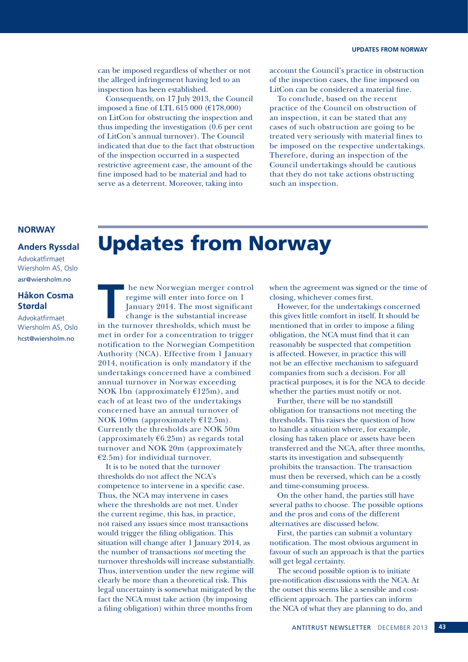can be imposed regardless of whether or not the alleged infringement having led to an inspection has been established.

Consequently, on 17 July 2013, the Council imposed a fine of LTL 615 000 (€178,000) on LitCon for obstructing the inspection and thus impeding the investigation (0.6 per cent of LitCon's annual turnover). The Council indicated that due to the fact that obstruction of the inspection occurred in a suspected restrictive agreement case, the amount of the fine imposed had to be material and had to serve as a deterrent. Moreover, taking into

account the Council's practice in obstruction of the inspection cases, the fine imposed on LitCon can be considered a material fine.

To conclude, based on the recent practice of the Council on obstruction of an inspection, it can be stated that any cases of such obstruction are going to be treated very seriously with material fines to be imposed on the respective undertakings. Therefore, during an inspection of the Council undertakings should be cautious that they do not take actions obstructing such an inspection.

### **NORWAY**

### **Anders Ryssdal**

Advokatfirmaet Wiersholm AS, Oslo asr@wiersholm.no

### **Håkon Cosma Størdal**

Advokatfirmaet Wiersholm AS, Oslo hcst@wiersholm.no

## Updates from Norway

**THE TERN ISSUES 1989 IN THE 1999 ISSUES 1999 ISSUES 1999 ISSUES 1999 ISSUES 1999 ISSUES 1999 ISSUES 1999 ISSUES 1999 ISSUES 1999 ISSUES 1999 ISSUES 1999 ISSUES 1999 ISSUES 1999 ISSUES 1999 ISSUES 1999 ISSUES 1999 ISSUES 1** regime will enter into force on 1 January 2014. The most significant change is the substantial increase in the turnover thresholds, which must be met in order for a concentration to trigger notification to the Norwegian Competition Authority (NCA). Effective from 1 January 2014, notification is only mandatory if the undertakings concerned have a combined annual turnover in Norway exceeding NOK 1bn (approximately  $£125m$ ), and each of at least two of the undertakings concerned have an annual turnover of NOK 100m (approximately  $£12.5m$ ). Currently the thresholds are NOK 50m (approximately  $6.25m$ ) as regards total turnover and NOK 20m (approximately  $E2.5m$ ) for individual turnover.

It is to be noted that the turnover thresholds do not affect the NCA's competence to intervene in a specific case. Thus, the NCA may intervene in cases where the thresholds are not met. Under the current regime, this has, in practice, not raised any issues since most transactions would trigger the filing obligation. This situation will change after 1 January 2014, as the number of transactions *not* meeting the turnover thresholds will increase substantially. Thus, intervention under the new regime will clearly be more than a theoretical risk. This legal uncertainty is somewhat mitigated by the fact the NCA must take action (by imposing a filing obligation) within three months from

when the agreement was signed or the time of closing, whichever comes first.

However, for the undertakings concerned this gives little comfort in itself. It should be mentioned that in order to impose a filing obligation, the NCA must find that it can reasonably be suspected that competition is affected. However, in practice this will not be an effective mechanism to safeguard companies from such a decision. For all practical purposes, it is for the NCA to decide whether the parties must notify or not.

Further, there will be no standstill obligation for transactions not meeting the thresholds. This raises the question of how to handle a situation where, for example, closing has taken place or assets have been transferred and the NCA, after three months, starts its investigation and subsequently prohibits the transaction. The transaction must then be reversed, which can be a costly and time-consuming process.

On the other hand, the parties still have several paths to choose. The possible options and the pros and cons of the different alternatives are discussed below.

First, the parties can submit a voluntary notification. The most obvious argument in favour of such an approach is that the parties will get legal certainty.

The second possible option is to initiate pre-notification discussions with the NCA. At the outset this seems like a sensible and costefficient approach. The parties can inform the NCA of what they are planning to do, and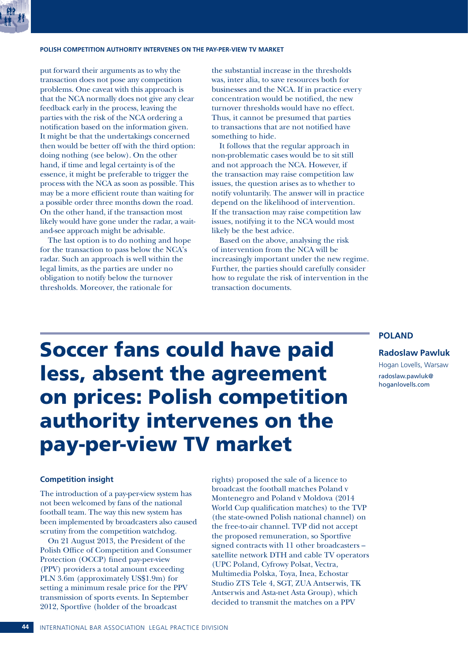### **POLISH COMPETITION AUTHORITY INTERVENES ON THE PAY-PER-VIEW TV MARKET**

put forward their arguments as to why the transaction does not pose any competition problems. One caveat with this approach is that the NCA normally does not give any clear feedback early in the process, leaving the parties with the risk of the NCA ordering a notification based on the information given. It might be that the undertakings concerned then would be better off with the third option: doing nothing (see below). On the other hand, if time and legal certainty is of the essence, it might be preferable to trigger the process with the NCA as soon as possible. This may be a more efficient route than waiting for a possible order three months down the road. On the other hand, if the transaction most likely would have gone under the radar, a waitand-see approach might be advisable.

The last option is to do nothing and hope for the transaction to pass below the NCA's radar. Such an approach is well within the legal limits, as the parties are under no obligation to notify below the turnover thresholds. Moreover, the rationale for

the substantial increase in the thresholds was, inter alia, to save resources both for businesses and the NCA. If in practice every concentration would be notified, the new turnover thresholds would have no effect. Thus, it cannot be presumed that parties to transactions that are not notified have something to hide.

It follows that the regular approach in non-problematic cases would be to sit still and not approach the NCA. However, if the transaction may raise competition law issues, the question arises as to whether to notify voluntarily. The answer will in practice depend on the likelihood of intervention. If the transaction may raise competition law issues, notifying it to the NCA would most likely be the best advice.

Based on the above, analysing the risk of intervention from the NCA will be increasingly important under the new regime. Further, the parties should carefully consider how to regulate the risk of intervention in the transaction documents.

### **POLAND**

### **Radoslaw Pawluk**

Hogan Lovells, Warsaw radoslaw.pawluk@ hoganlovells.com

# Soccer fans could have paid less, absent the agreement on prices: Polish competition authority intervenes on the pay-per-view TV market

### **Competition insight**

The introduction of a pay-per-view system has not been welcomed by fans of the national football team. The way this new system has been implemented by broadcasters also caused scrutiny from the competition watchdog.

On 21 August 2013, the President of the Polish Office of Competition and Consumer Protection (OCCP) fined pay-per-view (PPV) providers a total amount exceeding PLN 3.6m (approximately US\$1.9m) for setting a minimum resale price for the PPV transmission of sports events. In September 2012, Sportfive (holder of the broadcast

rights) proposed the sale of a licence to broadcast the football matches Poland v Montenegro and Poland v Moldova (2014 World Cup qualification matches) to the TVP (the state-owned Polish national channel) on the free-to-air channel. TVP did not accept the proposed remuneration, so Sportfive signed contracts with 11 other broadcasters – satellite network DTH and cable TV operators (UPC Poland, Cyfrowy Polsat, Vectra, Multimedia Polska, Toya, Inea, Echostar Studio ZTS Tele 4, SGT, ZUA Antserwis, TK Antserwis and Asta-net Asta Group), which decided to transmit the matches on a PPV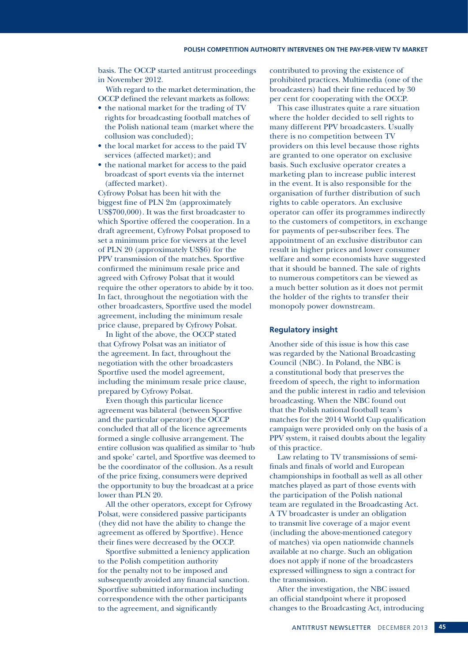basis. The OCCP started antitrust proceedings in November 2012.

With regard to the market determination, the OCCP defined the relevant markets as follows:

- the national market for the trading of TV rights for broadcasting football matches of the Polish national team (market where the collusion was concluded);
- the local market for access to the paid TV services (affected market); and
- the national market for access to the paid broadcast of sport events via the internet (affected market).

Cyfrowy Polsat has been hit with the biggest fine of PLN 2m (approximately US\$700,000). It was the first broadcaster to which Sportive offered the cooperation. In a draft agreement, Cyfrowy Polsat proposed to set a minimum price for viewers at the level of PLN 20 (approximately US\$6) for the PPV transmission of the matches. Sportfive confirmed the minimum resale price and agreed with Cyfrowy Polsat that it would require the other operators to abide by it too. In fact, throughout the negotiation with the other broadcasters, Sportfive used the model agreement, including the minimum resale price clause, prepared by Cyfrowy Polsat.

In light of the above, the OCCP stated that Cyfrowy Polsat was an initiator of the agreement. In fact, throughout the negotiation with the other broadcasters Sportfive used the model agreement, including the minimum resale price clause, prepared by Cyfrowy Polsat.

Even though this particular licence agreement was bilateral (between Sportfive and the particular operator) the OCCP concluded that all of the licence agreements formed a single collusive arrangement. The entire collusion was qualified as similar to 'hub and spoke' cartel, and Sportfive was deemed to be the coordinator of the collusion. As a result of the price fixing, consumers were deprived the opportunity to buy the broadcast at a price lower than PLN 20.

All the other operators, except for Cyfrowy Polsat, were considered passive participants (they did not have the ability to change the agreement as offered by Sportfive). Hence their fines were decreased by the OCCP.

Sportfive submitted a leniency application to the Polish competition authority for the penalty not to be imposed and subsequently avoided any financial sanction. Sportfive submitted information including correspondence with the other participants to the agreement, and significantly

contributed to proving the existence of prohibited practices. Multimedia (one of the broadcasters) had their fine reduced by 30 per cent for cooperating with the OCCP.

This case illustrates quite a rare situation where the holder decided to sell rights to many different PPV broadcasters. Usually there is no competition between TV providers on this level because those rights are granted to one operator on exclusive basis. Such exclusive operator creates a marketing plan to increase public interest in the event. It is also responsible for the organisation of further distribution of such rights to cable operators. An exclusive operator can offer its programmes indirectly to the customers of competitors, in exchange for payments of per-subscriber fees. The appointment of an exclusive distributor can result in higher prices and lower consumer welfare and some economists have suggested that it should be banned. The sale of rights to numerous competitors can be viewed as a much better solution as it does not permit the holder of the rights to transfer their monopoly power downstream.

### **Regulatory insight**

Another side of this issue is how this case was regarded by the National Broadcasting Council (NBC). In Poland, the NBC is a constitutional body that preserves the freedom of speech, the right to information and the public interest in radio and television broadcasting. When the NBC found out that the Polish national football team's matches for the 2014 World Cup qualification campaign were provided only on the basis of a PPV system, it raised doubts about the legality of this practice.

Law relating to TV transmissions of semifinals and finals of world and European championships in football as well as all other matches played as part of those events with the participation of the Polish national team are regulated in the Broadcasting Act. A TV broadcaster is under an obligation to transmit live coverage of a major event (including the above-mentioned category of matches) via open nationwide channels available at no charge. Such an obligation does not apply if none of the broadcasters expressed willingness to sign a contract for the transmission.

After the investigation, the NBC issued an official standpoint where it proposed changes to the Broadcasting Act, introducing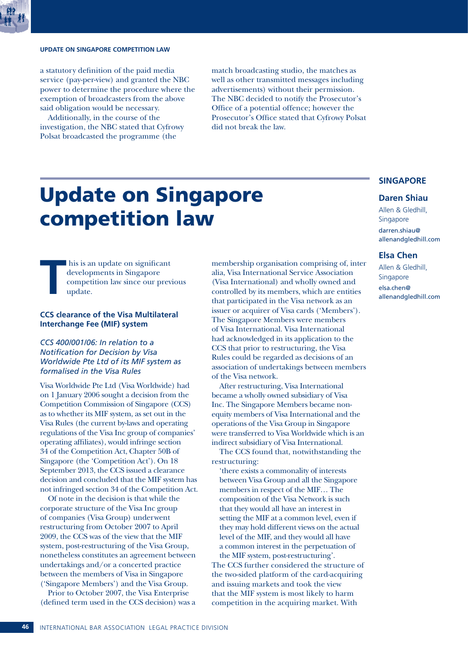

### **UPDATE ON SINGAPORE COMPETITION LAW**

a statutory definition of the paid media service (pay-per-view) and granted the NBC power to determine the procedure where the exemption of broadcasters from the above said obligation would be necessary.

Additionally, in the course of the investigation, the NBC stated that Cyfrowy Polsat broadcasted the programme (the

match broadcasting studio, the matches as well as other transmitted messages including advertisements) without their permission. The NBC decided to notify the Prosecutor's Office of a potential offence; however the Prosecutor's Office stated that Cyfrowy Polsat did not break the law.

## Update on Singapore competition law

**T** his is an update on significant developments in Singapore competition law since our previous update.

### **CCS clearance of the Visa Multilateral Interchange Fee (MIF) system**

*CCS 400/001/06: In relation to a Notification for Decision by Visa Worldwide Pte Ltd of its MIF system as formalised in the Visa Rules* 

Visa Worldwide Pte Ltd (Visa Worldwide) had on 1 January 2006 sought a decision from the Competition Commission of Singapore (CCS) as to whether its MIF system, as set out in the Visa Rules (the current by-laws and operating regulations of the Visa Inc group of companies' operating affiliates), would infringe section 34 of the Competition Act, Chapter 50B of Singapore (the 'Competition Act'). On 18 September 2013, the CCS issued a clearance decision and concluded that the MIF system has not infringed section 34 of the Competition Act.

Of note in the decision is that while the corporate structure of the Visa Inc group of companies (Visa Group) underwent restructuring from October 2007 to April 2009, the CCS was of the view that the MIF system, post-restructuring of the Visa Group, nonetheless constitutes an agreement between undertakings and/or a concerted practice between the members of Visa in Singapore ('Singapore Members') and the Visa Group.

Prior to October 2007, the Visa Enterprise (defined term used in the CCS decision) was a

membership organisation comprising of, inter alia, Visa International Service Association (Visa International) and wholly owned and controlled by its members, which are entities that participated in the Visa network as an issuer or acquirer of Visa cards ('Members'). The Singapore Members were members of Visa International. Visa International had acknowledged in its application to the CCS that prior to restructuring, the Visa Rules could be regarded as decisions of an association of undertakings between members of the Visa network.

After restructuring, Visa International became a wholly owned subsidiary of Visa Inc. The Singapore Members became nonequity members of Visa International and the operations of the Visa Group in Singapore were transferred to Visa Worldwide which is an indirect subsidiary of Visa International.

The CCS found that, notwithstanding the restructuring:

'there exists a commonality of interests between Visa Group and all the Singapore members in respect of the MIF… The composition of the Visa Network is such that they would all have an interest in setting the MIF at a common level, even if they may hold different views on the actual level of the MIF, and they would all have a common interest in the perpetuation of the MIF system, post-restructuring'.

The CCS further considered the structure of the two-sided platform of the card-acquiring and issuing markets and took the view that the MIF system is most likely to harm competition in the acquiring market. With

### **SINGAPORE**

### **Daren Shiau**

Allen & Gledhill, Singapore darren.shiau@ allenandgledhill.com

### **Elsa Chen**

Allen & Gledhill, Singapore elsa.chen@ allenandgledhill.com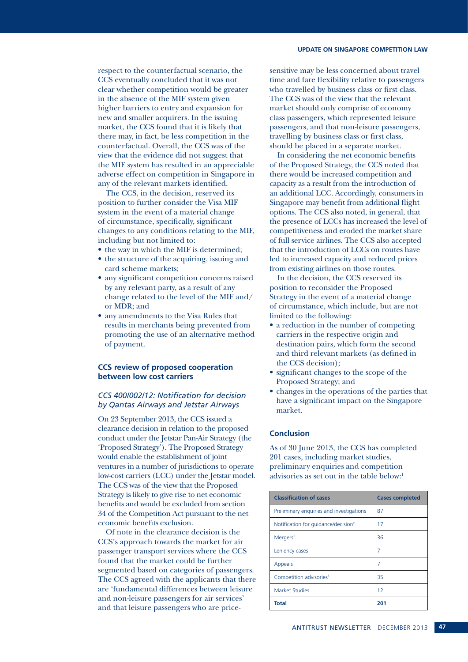### **UPDATE ON SINGAPORE COMPETITION LAW**

respect to the counterfactual scenario, the CCS eventually concluded that it was not clear whether competition would be greater in the absence of the MIF system given higher barriers to entry and expansion for new and smaller acquirers. In the issuing market, the CCS found that it is likely that there may, in fact, be less competition in the counterfactual. Overall, the CCS was of the view that the evidence did not suggest that the MIF system has resulted in an appreciable adverse effect on competition in Singapore in any of the relevant markets identified.

The CCS, in the decision, reserved its position to further consider the Visa MIF system in the event of a material change of circumstance, specifically, significant changes to any conditions relating to the MIF, including but not limited to:

- the way in which the MIF is determined;
- the structure of the acquiring, issuing and card scheme markets;
- any significant competition concerns raised by any relevant party, as a result of any change related to the level of the MIF and/ or MDR; and
- any amendments to the Visa Rules that results in merchants being prevented from promoting the use of an alternative method of payment.

### **CCS review of proposed cooperation between low cost carriers**

### *CCS 400/002/12: Notification for decision by Qantas Airways and Jetstar Airways*

On 23 September 2013, the CCS issued a clearance decision in relation to the proposed conduct under the Jetstar Pan-Air Strategy (the 'Proposed Strategy'). The Proposed Strategy would enable the establishment of joint ventures in a number of jurisdictions to operate low-cost carriers (LCC) under the Jetstar model. The CCS was of the view that the Proposed Strategy is likely to give rise to net economic benefits and would be excluded from section 34 of the Competition Act pursuant to the net economic benefits exclusion.

Of note in the clearance decision is the CCS's approach towards the market for air passenger transport services where the CCS found that the market could be further segmented based on categories of passengers. The CCS agreed with the applicants that there are 'fundamental differences between leisure and non-leisure passengers for air services' and that leisure passengers who are price-

sensitive may be less concerned about travel time and fare flexibility relative to passengers who travelled by business class or first class. The CCS was of the view that the relevant market should only comprise of economy class passengers, which represented leisure passengers, and that non-leisure passengers, travelling by business class or first class, should be placed in a separate market.

In considering the net economic benefits of the Proposed Strategy, the CCS noted that there would be increased competition and capacity as a result from the introduction of an additional LCC. Accordingly, consumers in Singapore may benefit from additional flight options. The CCS also noted, in general, that the presence of LCCs has increased the level of competitiveness and eroded the market share of full service airlines. The CCS also accepted that the introduction of LCCs on routes have led to increased capacity and reduced prices from existing airlines on those routes.

In the decision, the CCS reserved its position to reconsider the Proposed Strategy in the event of a material change of circumstance, which include, but are not limited to the following:

- a reduction in the number of competing carriers in the respective origin and destination pairs, which form the second and third relevant markets (as defined in the CCS decision);
- significant changes to the scope of the Proposed Strategy; and
- changes in the operations of the parties that have a significant impact on the Singapore market.

### **Conclusion**

As of 30 June 2013, the CCS has completed 201 cases, including market studies, preliminary enquiries and competition advisories as set out in the table below:<sup>1</sup>

| <b>Classification of cases</b>                  | <b>Cases completed</b> |
|-------------------------------------------------|------------------------|
| Preliminary enquiries and investigations        | 87                     |
| Notification for guidance/decision <sup>2</sup> | 17                     |
| Mergers <sup>3</sup>                            | 36                     |
| Leniency cases                                  | 7                      |
| <b>Appeals</b>                                  | 7                      |
| Competition advisories <sup>4</sup>             | 35                     |
| <b>Market Studies</b>                           | 12                     |
| <b>Total</b>                                    | 201                    |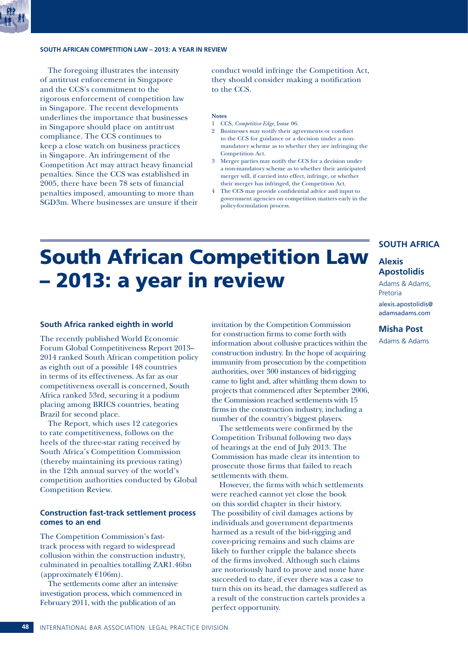### **SOUTH AFRICAN COMPETITION LAW – 2013: A YEAR IN REVIEW**

The foregoing illustrates the intensity of antitrust enforcement in Singapore and the CCS's commitment to the rigorous enforcement of competition law in Singapore. The recent developments underlines the importance that businesses in Singapore should place on antitrust compliance. The CCS continues to keep a close watch on business practices in Singapore. An infringement of the Competition Act may attract heavy financial penalties. Since the CCS was established in 2005, there have been 78 sets of financial penalties imposed, amounting to more than SGD3m. Where businesses are unsure if their conduct would infringe the Competition Act, they should consider making a notification to the CCS.

### **Notes**

- 1 CCS, *Competitive Edge*, Issue 06.
- 2 Businesses may notify their agreements or conduct to the CCS for guidance or a decision under a nonmandatory scheme as to whether they are infringing the Competition Act.
- 3 Merger parties may notify the CCS for a decision under a non-mandatory scheme as to whether their anticipated merger will, if carried into effect, infringe, or whether their merger has infringed, the Competition Act.
- 4 The CCS may provide confidential advice and input to government agencies on competition matters early in the policy-formulation process.

## South African Competition Law – 2013: a year in review

### **South Africa ranked eighth in world**

The recently published World Economic Forum Global Competitiveness Report 2013– 2014 ranked South African competition policy as eighth out of a possible 148 countries in terms of its effectiveness. As far as our competitiveness overall is concerned, South Africa ranked 53rd, securing it a podium placing among BRICS countries, beating Brazil for second place.

The Report, which uses 12 categories to rate competitiveness, follows on the heels of the three-star rating received by South Africa's Competition Commission (thereby maintaining its previous rating) in the 12th annual survey of the world's competition authorities conducted by Global Competition Review.

### **Construction fast-track settlement process comes to an end**

The Competition Commission's fasttrack process with regard to widespread collusion within the construction industry, culminated in penalties totalling ZAR1.46bn (approximately  $£106m$ ).

The settlements come after an intensive investigation process, which commenced in February 2011, with the publication of an

invitation by the Competition Commission for construction firms to come forth with information about collusive practices within the construction industry. In the hope of acquiring immunity from prosecution by the competition authorities, over 300 instances of bid-rigging came to light and, after whittling them down to projects that commenced after September 2006, the Commission reached settlements with 15 firms in the construction industry, including a number of the country's biggest players.

The settlements were confirmed by the Competition Tribunal following two days of hearings at the end of July 2013. The Commission has made clear its intention to prosecute those firms that failed to reach settlements with them.

However, the firms with which settlements were reached cannot yet close the book on this sordid chapter in their history. The possibility of civil damages actions by individuals and government departments harmed as a result of the bid-rigging and cover-pricing remains and such claims are likely to further cripple the balance sheets of the firms involved. Although such claims are notoriously hard to prove and none have succeeded to date, if ever there was a case to turn this on its head, the damages suffered as a result of the construction cartels provides a perfect opportunity.

### **SOUTH AFRICA**

### **Alexis Apostolidis**

Adams & Adams, Pretoria alexis.apostolidis@ adamsadams.com

### **Misha Post**

Adams & Adams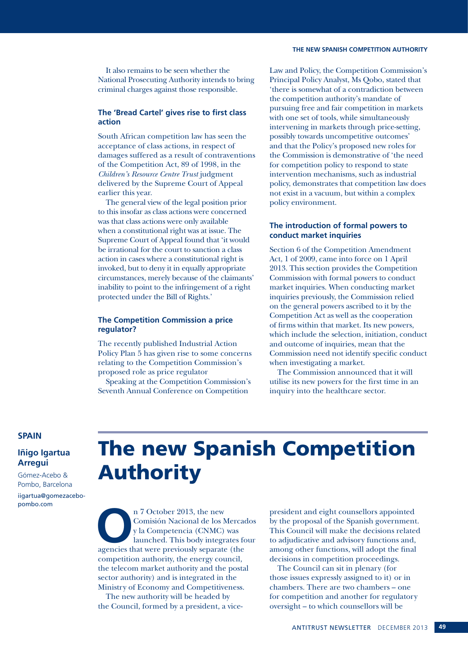It also remains to be seen whether the National Prosecuting Authority intends to bring criminal charges against those responsible.

### **The 'Bread Cartel' gives rise to first class action**

South African competition law has seen the acceptance of class actions, in respect of damages suffered as a result of contraventions of the Competition Act, 89 of 1998, in the *Children's Resource Centre Trust* judgment delivered by the Supreme Court of Appeal earlier this year.

The general view of the legal position prior to this insofar as class actions were concerned was that class actions were only available when a constitutional right was at issue. The Supreme Court of Appeal found that 'it would be irrational for the court to sanction a class action in cases where a constitutional right is invoked, but to deny it in equally appropriate circumstances, merely because of the claimants' inability to point to the infringement of a right protected under the Bill of Rights.'

### **The Competition Commission a price regulator?**

The recently published Industrial Action Policy Plan 5 has given rise to some concerns relating to the Competition Commission's proposed role as price regulator

Speaking at the Competition Commission's Seventh Annual Conference on Competition

Law and Policy, the Competition Commission's Principal Policy Analyst, Ms Qobo, stated that 'there is somewhat of a contradiction between the competition authority's mandate of pursuing free and fair competition in markets with one set of tools, while simultaneously intervening in markets through price-setting, possibly towards uncompetitive outcomes' and that the Policy's proposed new roles for the Commission is demonstrative of 'the need for competition policy to respond to state intervention mechanisms, such as industrial policy, demonstrates that competition law does not exist in a vacuum, but within a complex policy environment.

### **The introduction of formal powers to conduct market inquiries**

Section 6 of the Competition Amendment Act, 1 of 2009, came into force on 1 April 2013. This section provides the Competition Commission with formal powers to conduct market inquiries. When conducting market inquiries previously, the Commission relied on the general powers ascribed to it by the Competition Act as well as the cooperation of firms within that market. Its new powers, which include the selection, initiation, conduct and outcome of inquiries, mean that the Commission need not identify specific conduct when investigating a market.

The Commission announced that it will utilise its new powers for the first time in an inquiry into the healthcare sector.

### **SPAIN**

### **Iñigo Igartua Arregui**

Gómez-Acebo & Pombo, Barcelona

iigartua@gomezacebopombo.com

## The new Spanish Competition Authority

n 7 October 2013, the new Comisión Nacional de los Mercacy kan alumched. This body integrates for agencies that were previously separate (the Comisión Nacional de los Mercados y la Competencia (CNMC) was launched. This body integrates four competition authority, the energy council, the telecom market authority and the postal sector authority) and is integrated in the Ministry of Economy and Competitiveness.

The new authority will be headed by the Council, formed by a president, a vice-

president and eight counsellors appointed by the proposal of the Spanish government. This Council will make the decisions related to adjudicative and advisory functions and, among other functions, will adopt the final decisions in competition proceedings.

The Council can sit in plenary (for those issues expressly assigned to it) or in chambers. There are two chambers – one for competition and another for regulatory oversight – to which counsellors will be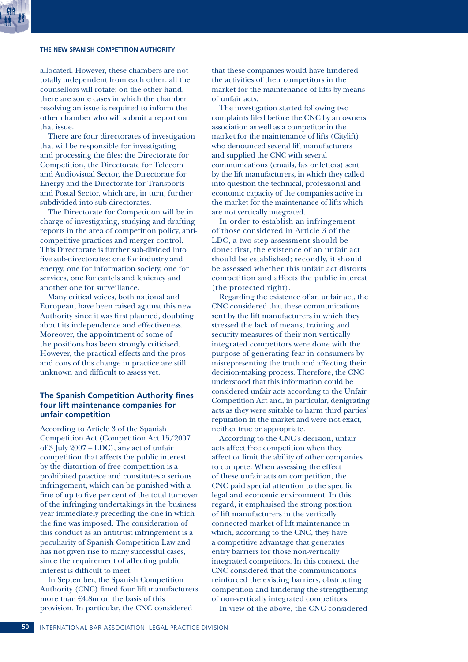### **THE NEW SPANISH COMPETITION AUTHORITY**

allocated. However, these chambers are not totally independent from each other: all the counsellors will rotate; on the other hand, there are some cases in which the chamber resolving an issue is required to inform the other chamber who will submit a report on that issue.

There are four directorates of investigation that will be responsible for investigating and processing the files: the Directorate for Competition, the Directorate for Telecom and Audiovisual Sector, the Directorate for Energy and the Directorate for Transports and Postal Sector, which are, in turn, further subdivided into sub-directorates.

The Directorate for Competition will be in charge of investigating, studying and drafting reports in the area of competition policy, anticompetitive practices and merger control. This Directorate is further sub-divided into five sub-directorates: one for industry and energy, one for information society, one for services, one for cartels and leniency and another one for surveillance.

Many critical voices, both national and European, have been raised against this new Authority since it was first planned, doubting about its independence and effectiveness. Moreover, the appointment of some of the positions has been strongly criticised. However, the practical effects and the pros and cons of this change in practice are still unknown and difficult to assess yet.

### **The Spanish Competition Authority fines four lift maintenance companies for unfair competition**

According to Article 3 of the Spanish Competition Act (Competition Act 15/2007 of 3 July 2007 – LDC), any act of unfair competition that affects the public interest by the distortion of free competition is a prohibited practice and constitutes a serious infringement, which can be punished with a fine of up to five per cent of the total turnover of the infringing undertakings in the business year immediately preceding the one in which the fine was imposed. The consideration of this conduct as an antitrust infringement is a peculiarity of Spanish Competition Law and has not given rise to many successful cases, since the requirement of affecting public interest is difficult to meet.

In September, the Spanish Competition Authority (CNC) fined four lift manufacturers more than  $64.8$ m on the basis of this provision. In particular, the CNC considered

that these companies would have hindered the activities of their competitors in the market for the maintenance of lifts by means of unfair acts.

The investigation started following two complaints filed before the CNC by an owners' association as well as a competitor in the market for the maintenance of lifts (Citylift) who denounced several lift manufacturers and supplied the CNC with several communications (emails, fax or letters) sent by the lift manufacturers, in which they called into question the technical, professional and economic capacity of the companies active in the market for the maintenance of lifts which are not vertically integrated.

In order to establish an infringement of those considered in Article 3 of the LDC, a two-step assessment should be done: first, the existence of an unfair act should be established; secondly, it should be assessed whether this unfair act distorts competition and affects the public interest (the protected right).

Regarding the existence of an unfair act, the CNC considered that these communications sent by the lift manufacturers in which they stressed the lack of means, training and security measures of their non-vertically integrated competitors were done with the purpose of generating fear in consumers by misrepresenting the truth and affecting their decision-making process. Therefore, the CNC understood that this information could be considered unfair acts according to the Unfair Competition Act and, in particular, denigrating acts as they were suitable to harm third parties' reputation in the market and were not exact, neither true or appropriate.

According to the CNC's decision, unfair acts affect free competition when they affect or limit the ability of other companies to compete. When assessing the effect of these unfair acts on competition, the CNC paid special attention to the specific legal and economic environment. In this regard, it emphasised the strong position of lift manufacturers in the vertically connected market of lift maintenance in which, according to the CNC, they have a competitive advantage that generates entry barriers for those non-vertically integrated competitors. In this context, the CNC considered that the communications reinforced the existing barriers, obstructing competition and hindering the strengthening of non-vertically integrated competitors.

In view of the above, the CNC considered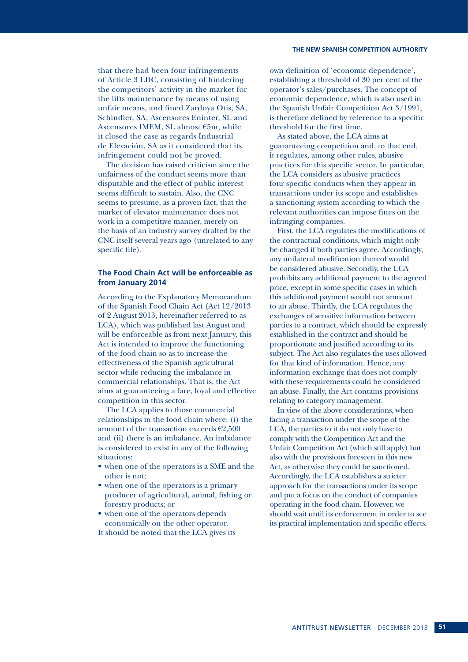### **THE NEW SPANISH COMPETITION AUTHORITY**

that there had been four infringements of Article 3 LDC, consisting of hindering the competitors' activity in the market for the lifts maintenance by means of using unfair means, and fined Zardoya Otis, SA, Schindler, SA, Ascensores Eninter, SL and Ascensores IMEM, SL almost €5m, while it closed the case as regards Industrial de Elevación, SA as it considered that its infringement could not be proved.

The decision has raised criticism since the unfairness of the conduct seems more than disputable and the effect of public interest seems difficult to sustain. Also, the CNC seems to presume, as a proven fact, that the market of elevator maintenance does not work in a competitive manner, merely on the basis of an industry survey drafted by the CNC itself several years ago (unrelated to any specific file).

### **The Food Chain Act will be enforceable as from January 2014**

According to the Explanatory Memorandum of the Spanish Food Chain Act (Act 12/2013 of 2 August 2013, hereinafter referred to as LCA), which was published last August and will be enforceable as from next January, this Act is intended to improve the functioning of the food chain so as to increase the effectiveness of the Spanish agricultural sector while reducing the imbalance in commercial relationships. That is, the Act aims at guaranteeing a fare, loyal and effective competition in this sector.

The LCA applies to those commercial relationships in the food chain where: (i) the amount of the transaction exceeds  $€2,500$ and (ii) there is an imbalance. An imbalance is considered to exist in any of the following situations:

- when one of the operators is a SME and the other is not;
- when one of the operators is a primary producer of agricultural, animal, fishing or forestry products; or
- when one of the operators depends economically on the other operator.
- It should be noted that the LCA gives its

own definition of 'economic dependence', establishing a threshold of 30 per cent of the operator's sales/purchases. The concept of economic dependence, which is also used in the Spanish Unfair Competition Act 3/1991, is therefore defined by reference to a specific threshold for the first time.

As stated above, the LCA aims at guaranteeing competition and, to that end, it regulates, among other rules, abusive practices for this specific sector. In particular, the LCA considers as abusive practices four specific conducts when they appear in transactions under its scope and establishes a sanctioning system according to which the relevant authorities can impose fines on the infringing companies.

First, the LCA regulates the modifications of the contractual conditions, which might only be changed if both parties agree. Accordingly, any unilateral modification thereof would be considered abusive. Secondly, the LCA prohibits any additional payment to the agreed price, except in some specific cases in which this additional payment would not amount to an abuse. Thirdly, the LCA regulates the exchanges of sensitive information between parties to a contract, which should be expressly established in the contract and should be proportionate and justified according to its subject. The Act also regulates the uses allowed for that kind of information. Hence, any information exchange that does not comply with these requirements could be considered an abuse. Finally, the Act contains provisions relating to category management.

In view of the above considerations, when facing a transaction under the scope of the LCA, the parties to it do not only have to comply with the Competition Act and the Unfair Competition Act (which still apply) but also with the provisions foreseen in this new Act, as otherwise they could be sanctioned. Accordingly, the LCA establishes a stricter approach for the transactions under its scope and put a focus on the conduct of companies operating in the food chain. However, we should wait until its enforcement in order to see its practical implementation and specific effects.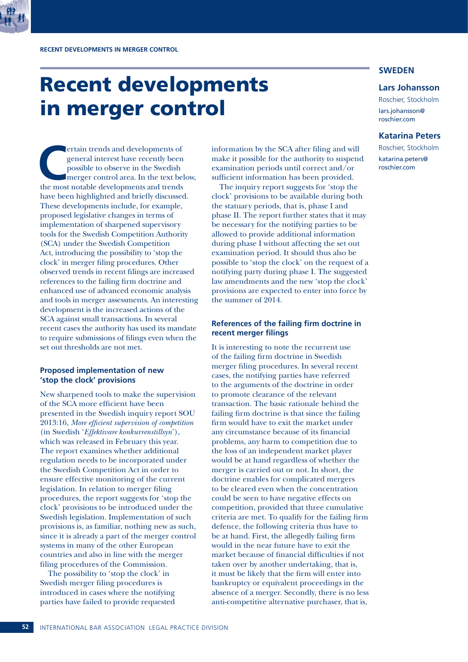## Recent developments in merger control

**CERCE ET ALCE CONCRETE CONSIDER THE MOST POSSIBLE TO A POSSIBLE THE MOST POSSIBLE THE MOST AND THE MOST POSSIBLE AND THE MOST AND THE MOST AND THE MOST AND THE MOST AND THE MOST AND THE MOST AND THE MOST AND THE MOST AND** general interest have recently been possible to observe in the Swedish merger control area. In the text below, have been highlighted and briefly discussed. These developments include, for example, proposed legislative changes in terms of implementation of sharpened supervisory tools for the Swedish Competition Authority (SCA) under the Swedish Competition Act, introducing the possibility to 'stop the clock' in merger filing procedures. Other observed trends in recent filings are increased references to the failing firm doctrine and enhanced use of advanced economic analysis and tools in merger assessments. An interesting development is the increased actions of the SCA against small transactions. In several recent cases the authority has used its mandate to require submissions of filings even when the set out thresholds are not met.

### **Proposed implementation of new 'stop the clock' provisions**

New sharpened tools to make the supervision of the SCA more efficient have been presented in the Swedish inquiry report SOU 2013:16, *More efficient supervision of competition*  (in Swedish '*Effektivare konkurrenstillsyn*'), which was released in February this year. The report examines whether additional regulation needs to be incorporated under the Swedish Competition Act in order to ensure effective monitoring of the current legislation. In relation to merger filing procedures, the report suggests for 'stop the clock' provisions to be introduced under the Swedish legislation. Implementation of such provisions is, as familiar, nothing new as such, since it is already a part of the merger control systems in many of the other European countries and also in line with the merger filing procedures of the Commission.

The possibility to 'stop the clock' in Swedish merger filing procedures is introduced in cases where the notifying parties have failed to provide requested

information by the SCA after filing and will make it possible for the authority to suspend examination periods until correct and/or sufficient information has been provided.

The inquiry report suggests for 'stop the clock' provisions to be available during both the statuary periods, that is, phase I and phase II. The report further states that it may be necessary for the notifying parties to be allowed to provide additional information during phase I without affecting the set out examination period. It should thus also be possible to 'stop the clock' on the request of a notifying party during phase I. The suggested law amendments and the new 'stop the clock' provisions are expected to enter into force by the summer of 2014.

### **References of the failing firm doctrine in recent merger filings**

It is interesting to note the recurrent use of the failing firm doctrine in Swedish merger filing procedures. In several recent cases, the notifying parties have referred to the arguments of the doctrine in order to promote clearance of the relevant transaction. The basic rationale behind the failing firm doctrine is that since the failing firm would have to exit the market under any circumstance because of its financial problems, any harm to competition due to the loss of an independent market player would be at hand regardless of whether the merger is carried out or not. In short, the doctrine enables for complicated mergers to be cleared even when the concentration could be seen to have negative effects on competition, provided that three cumulative criteria are met. To qualify for the failing firm defence, the following criteria thus have to be at hand. First, the allegedly failing firm would in the near future have to exit the market because of financial difficulties if not taken over by another undertaking, that is, it must be likely that the firm will enter into bankruptcy or equivalent proceedings in the absence of a merger. Secondly, there is no less anti-competitive alternative purchaser, that is,

### **SWEDEN**

### **Lars Johansson**

Roschier, Stockholm lars.johansson@ roschier.com

### **Katarina Peters**

Roschier, Stockholm katarina.peters@ roschier.com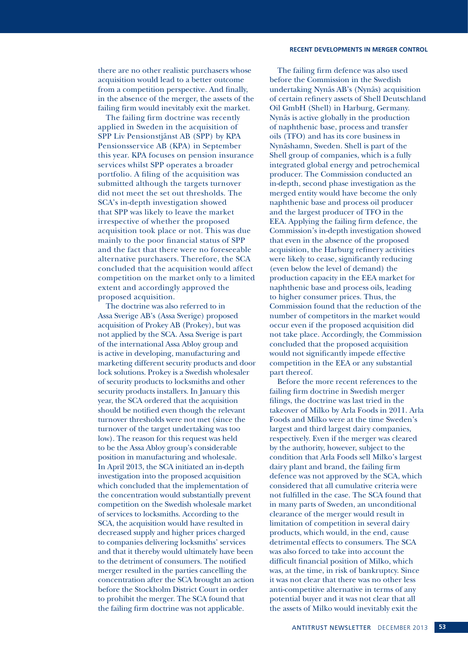### **RECENT DEVELOPMENTS IN MERGER CONTROL**

there are no other realistic purchasers whose acquisition would lead to a better outcome from a competition perspective. And finally, in the absence of the merger, the assets of the failing firm would inevitably exit the market.

The failing firm doctrine was recently applied in Sweden in the acquisition of SPP Liv Pensionstjänst AB (SPP) by KPA Pensionsservice AB (KPA) in September this year. KPA focuses on pension insurance services whilst SPP operates a broader portfolio. A filing of the acquisition was submitted although the targets turnover did not meet the set out thresholds. The SCA's in-depth investigation showed that SPP was likely to leave the market irrespective of whether the proposed acquisition took place or not. This was due mainly to the poor financial status of SPP and the fact that there were no foreseeable alternative purchasers. Therefore, the SCA concluded that the acquisition would affect competition on the market only to a limited extent and accordingly approved the proposed acquisition.

The doctrine was also referred to in Assa Sverige AB's (Assa Sverige) proposed acquisition of Prokey AB (Prokey), but was not applied by the SCA. Assa Sverige is part of the international Assa Abloy group and is active in developing, manufacturing and marketing different security products and door lock solutions. Prokey is a Swedish wholesaler of security products to locksmiths and other security products installers. In January this year, the SCA ordered that the acquisition should be notified even though the relevant turnover thresholds were not met (since the turnover of the target undertaking was too low). The reason for this request was held to be the Assa Abloy group's considerable position in manufacturing and wholesale. In April 2013, the SCA initiated an in-depth investigation into the proposed acquisition which concluded that the implementation of the concentration would substantially prevent competition on the Swedish wholesale market of services to locksmiths. According to the SCA, the acquisition would have resulted in decreased supply and higher prices charged to companies delivering locksmiths' services and that it thereby would ultimately have been to the detriment of consumers. The notified merger resulted in the parties cancelling the concentration after the SCA brought an action before the Stockholm District Court in order to prohibit the merger. The SCA found that the failing firm doctrine was not applicable.

The failing firm defence was also used before the Commission in the Swedish undertaking Nynäs AB's (Nynäs) acquisition of certain refinery assets of Shell Deutschland Oil GmbH (Shell) in Harburg, Germany. Nynäs is active globally in the production of naphthenic base, process and transfer oils (TFO) and has its core business in Nynäshamn, Sweden. Shell is part of the Shell group of companies, which is a fully integrated global energy and petrochemical producer. The Commission conducted an in-depth, second phase investigation as the merged entity would have become the only naphthenic base and process oil producer and the largest producer of TFO in the EEA. Applying the failing firm defence, the Commission's in-depth investigation showed that even in the absence of the proposed acquisition, the Harburg refinery activities were likely to cease, significantly reducing (even below the level of demand) the production capacity in the EEA market for naphthenic base and process oils, leading to higher consumer prices. Thus, the Commission found that the reduction of the number of competitors in the market would occur even if the proposed acquisition did not take place. Accordingly, the Commission concluded that the proposed acquisition would not significantly impede effective competition in the EEA or any substantial part thereof.

Before the more recent references to the failing firm doctrine in Swedish merger filings, the doctrine was last tried in the takeover of Milko by Arla Foods in 2011. Arla Foods and Milko were at the time Sweden's largest and third largest dairy companies, respectively. Even if the merger was cleared by the authority, however, subject to the condition that Arla Foods sell Milko's largest dairy plant and brand, the failing firm defence was not approved by the SCA, which considered that all cumulative criteria were not fulfilled in the case. The SCA found that in many parts of Sweden, an unconditional clearance of the merger would result in limitation of competition in several dairy products, which would, in the end, cause detrimental effects to consumers. The SCA was also forced to take into account the difficult financial position of Milko, which was, at the time, in risk of bankruptcy. Since it was not clear that there was no other less anti-competitive alternative in terms of any potential buyer and it was not clear that all the assets of Milko would inevitably exit the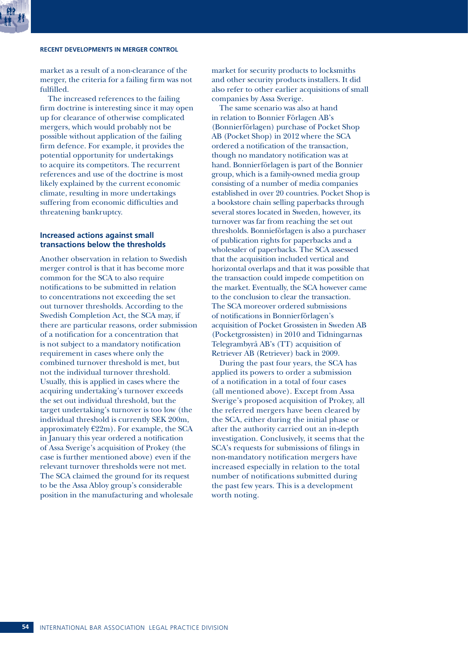### **RECENT DEVELOPMENTS IN MERGER CONTROL**

market as a result of a non-clearance of the merger, the criteria for a failing firm was not fulfilled.

The increased references to the failing firm doctrine is interesting since it may open up for clearance of otherwise complicated mergers, which would probably not be possible without application of the failing firm defence. For example, it provides the potential opportunity for undertakings to acquire its competitors. The recurrent references and use of the doctrine is most likely explained by the current economic climate, resulting in more undertakings suffering from economic difficulties and threatening bankruptcy.

### **Increased actions against small transactions below the thresholds**

Another observation in relation to Swedish merger control is that it has become more common for the SCA to also require notifications to be submitted in relation to concentrations not exceeding the set out turnover thresholds. According to the Swedish Completion Act, the SCA may, if there are particular reasons, order submission of a notification for a concentration that is not subject to a mandatory notification requirement in cases where only the combined turnover threshold is met, but not the individual turnover threshold. Usually, this is applied in cases where the acquiring undertaking's turnover exceeds the set out individual threshold, but the target undertaking's turnover is too low (the individual threshold is currently SEK 200m, approximately  $E22m$ ). For example, the SCA in January this year ordered a notification of Assa Sverige's acquisition of Prokey (the case is further mentioned above) even if the relevant turnover thresholds were not met. The SCA claimed the ground for its request to be the Assa Abloy group's considerable position in the manufacturing and wholesale

market for security products to locksmiths and other security products installers. It did also refer to other earlier acquisitions of small companies by Assa Sverige.

The same scenario was also at hand in relation to Bonnier Förlagen AB's (Bonnierförlagen) purchase of Pocket Shop AB (Pocket Shop) in 2012 where the SCA ordered a notification of the transaction, though no mandatory notification was at hand. Bonnierförlagen is part of the Bonnier group, which is a family-owned media group consisting of a number of media companies established in over 20 countries. Pocket Shop is a bookstore chain selling paperbacks through several stores located in Sweden, however, its turnover was far from reaching the set out thresholds. Bonnieförlagen is also a purchaser of publication rights for paperbacks and a wholesaler of paperbacks. The SCA assessed that the acquisition included vertical and horizontal overlaps and that it was possible that the transaction could impede competition on the market. Eventually, the SCA however came to the conclusion to clear the transaction. The SCA moreover ordered submissions of notifications in Bonnierförlagen's acquisition of Pocket Grossisten in Sweden AB (Pocketgrossisten) in 2010 and Tidningarnas Telegrambyrå AB's (TT) acquisition of Retriever AB (Retriever) back in 2009.

During the past four years, the SCA has applied its powers to order a submission of a notification in a total of four cases (all mentioned above). Except from Assa Sverige's proposed acquisition of Prokey, all the referred mergers have been cleared by the SCA, either during the initial phase or after the authority carried out an in-depth investigation. Conclusively, it seems that the SCA's requests for submissions of filings in non-mandatory notification mergers have increased especially in relation to the total number of notifications submitted during the past few years. This is a development worth noting.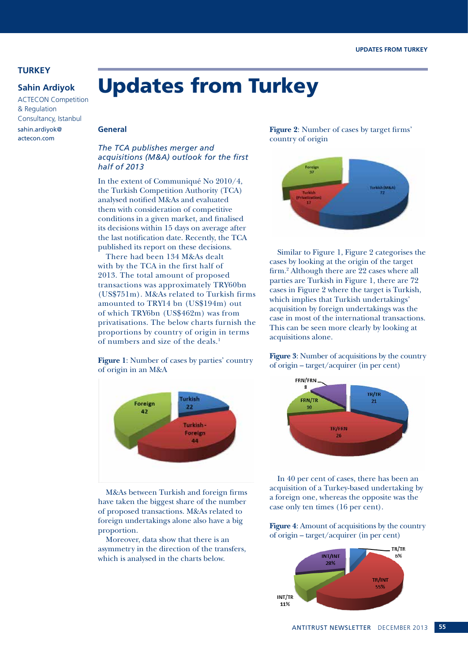### **TURKEY**

### **Sahin Ardiyok**

ACTECON Competition & Regulation Consultancy, Istanbul sahin.ardiyok@ actecon.com

### **General**

### *The TCA publishes merger and acquisitions (M&A) outlook for the first half of 2013*

Updates from Turkey

In the extent of Communiqué No 2010/4, the Turkish Competition Authority (TCA) analysed notified M&As and evaluated them with consideration of competitive conditions in a given market, and finalised its decisions within 15 days on average after the last notification date. Recently, the TCA published its report on these decisions.

There had been 134 M&As dealt with by the TCA in the first half of 2013. The total amount of proposed transactions was approximately TRY60bn (US\$751m). M&As related to Turkish firms amounted to TRY14 bn (US\$194m) out of which TRY6bn (US\$462m) was from privatisations. The below charts furnish the proportions by country of origin in terms of numbers and size of the deals.<sup>1</sup>

**Figure 1**: Number of cases by parties' country of origin in an M&A



M&As between Turkish and foreign firms have taken the biggest share of the number of proposed transactions. M&As related to foreign undertakings alone also have a big proportion.

Moreover, data show that there is an asymmetry in the direction of the transfers, which is analysed in the charts below.

**Figure 2**: Number of cases by target firms' country of origin



Similar to Figure 1, Figure 2 categorises the cases by looking at the origin of the target firm.<sup>2</sup> Although there are 22 cases where all parties are Turkish in Figure 1, there are 72 cases in Figure 2 where the target is Turkish, which implies that Turkish undertakings' acquisition by foreign undertakings was the case in most of the international transactions. This can be seen more clearly by looking at acquisitions alone.

**Figure 3**: Number of acquisitions by the country of origin – target/acquirer (in per cent)



In 40 per cent of cases, there has been an acquisition of a Turkey-based undertaking by a foreign one, whereas the opposite was the case only ten times (16 per cent).

**Figure 4**: Amount of acquisitions by the country of origin – target/acquirer (in per cent)

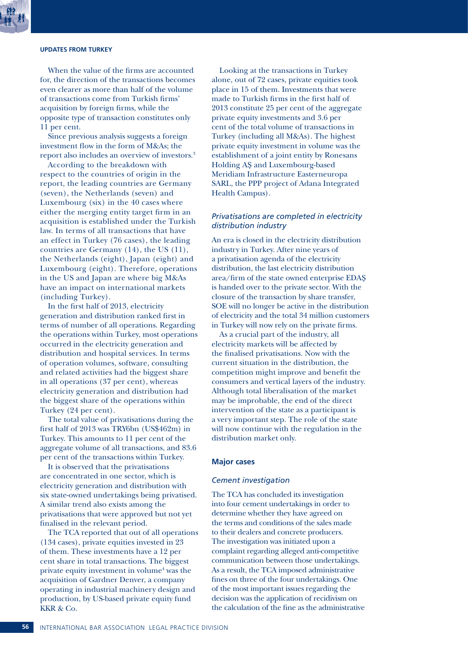### **UPDATES FROM TURKEY**

When the value of the firms are accounted for, the direction of the transactions becomes even clearer as more than half of the volume of transactions come from Turkish firms' acquisition by foreign firms, while the opposite type of transaction constitutes only 11 per cent.

Since previous analysis suggests a foreign investment flow in the form of M&As; the report also includes an overview of investors.3

According to the breakdown with respect to the countries of origin in the report, the leading countries are Germany (seven), the Netherlands (seven) and Luxembourg (six) in the 40 cases where either the merging entity target firm in an acquisition is established under the Turkish law. In terms of all transactions that have an effect in Turkey (76 cases), the leading countries are Germany (14), the US (11), the Netherlands (eight), Japan (eight) and Luxembourg (eight). Therefore, operations in the US and Japan are where big M&As have an impact on international markets (including Turkey).

In the first half of 2013, electricity generation and distribution ranked first in terms of number of all operations. Regarding the operations within Turkey, most operations occurred in the electricity generation and distribution and hospital services. In terms of operation volumes, software, consulting and related activities had the biggest share in all operations (37 per cent), whereas electricity generation and distribution had the biggest share of the operations within Turkey (24 per cent).

The total value of privatisations during the first half of 2013 was TRY6bn (US\$462m) in Turkey. This amounts to 11 per cent of the aggregate volume of all transactions, and 83.6 per cent of the transactions within Turkey.

It is observed that the privatisations are concentrated in one sector, which is electricity generation and distribution with six state-owned undertakings being privatised. A similar trend also exists among the privatisations that were approved but not yet finalised in the relevant period.

The TCA reported that out of all operations (134 cases), private equities invested in 23 of them. These investments have a 12 per cent share in total transactions. The biggest private equity investment in volume<sup>4</sup> was the acquisition of Gardner Denver, a company operating in industrial machinery design and production, by US-based private equity fund KKR & Co.

Looking at the transactions in Turkey alone, out of 72 cases, private equities took place in 15 of them. Investments that were made to Turkish firms in the first half of 2013 constitute 25 per cent of the aggregate private equity investments and 3.6 per cent of the total volume of transactions in Turkey (including all M&As). The highest private equity investment in volume was the establishment of a joint entity by Ronesans Holding AŞ and Luxembourg-based Meridiam Infrastructure Easterneuropa SARL, the PPP project of Adana Integrated Health Campus).

### *Privatisations are completed in electricity distribution industry*

An era is closed in the electricity distribution industry in Turkey. After nine years of a privatisation agenda of the electricity distribution, the last electricity distribution area/firm of the state owned enterprise EDAŞ is handed over to the private sector. With the closure of the transaction by share transfer, SOE will no longer be active in the distribution of electricity and the total 34 million customers in Turkey will now rely on the private firms.

As a crucial part of the industry, all electricity markets will be affected by the finalised privatisations. Now with the current situation in the distribution, the competition might improve and benefit the consumers and vertical layers of the industry. Although total liberalisation of the market may be improbable, the end of the direct intervention of the state as a participant is a very important step. The role of the state will now continue with the regulation in the distribution market only.

### **Major cases**

### *Cement investigation*

The TCA has concluded its investigation into four cement undertakings in order to determine whether they have agreed on the terms and conditions of the sales made to their dealers and concrete producers. The investigation was initiated upon a complaint regarding alleged anti-competitive communication between those undertakings. As a result, the TCA imposed administrative fines on three of the four undertakings. One of the most important issues regarding the decision was the application of recidivism on the calculation of the fine as the administrative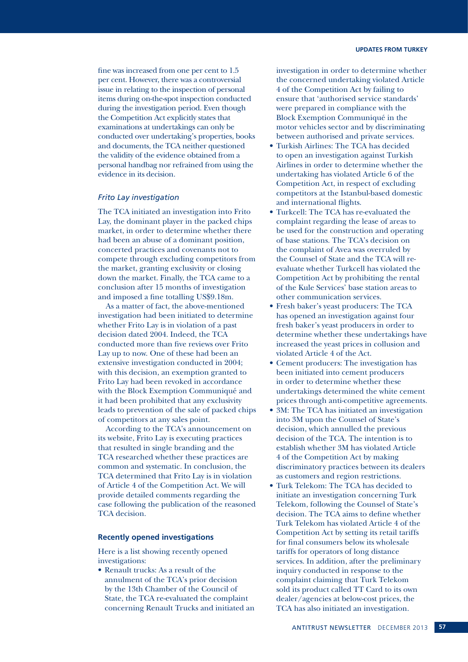fine was increased from one per cent to 1.5 per cent. However, there was a controversial issue in relating to the inspection of personal items during on-the-spot inspection conducted during the investigation period. Even though the Competition Act explicitly states that examinations at undertakings can only be conducted over undertaking's properties, books and documents, the TCA neither questioned the validity of the evidence obtained from a personal handbag nor refrained from using the evidence in its decision.

### *Frito Lay investigation*

The TCA initiated an investigation into Frito Lay, the dominant player in the packed chips market, in order to determine whether there had been an abuse of a dominant position, concerted practices and covenants not to compete through excluding competitors from the market, granting exclusivity or closing down the market. Finally, the TCA came to a conclusion after 15 months of investigation and imposed a fine totalling US\$9.18m.

As a matter of fact, the above-mentioned investigation had been initiated to determine whether Frito Lay is in violation of a past decision dated 2004. Indeed, the TCA conducted more than five reviews over Frito Lay up to now. One of these had been an extensive investigation conducted in 2004; with this decision, an exemption granted to Frito Lay had been revoked in accordance with the Block Exemption Communiqué and it had been prohibited that any exclusivity leads to prevention of the sale of packed chips of competitors at any sales point.

According to the TCA's announcement on its website, Frito Lay is executing practices that resulted in single branding and the TCA researched whether these practices are common and systematic. In conclusion, the TCA determined that Frito Lay is in violation of Article 4 of the Competition Act. We will provide detailed comments regarding the case following the publication of the reasoned TCA decision.

### **Recently opened investigations**

Here is a list showing recently opened investigations:

• Renault trucks: As a result of the annulment of the TCA's prior decision by the 13th Chamber of the Council of State, the TCA re-evaluated the complaint concerning Renault Trucks and initiated an investigation in order to determine whether the concerned undertaking violated Article 4 of the Competition Act by failing to ensure that 'authorised service standards' were prepared in compliance with the Block Exemption Communiqué in the motor vehicles sector and by discriminating between authorised and private services.

- Turkish Airlines: The TCA has decided to open an investigation against Turkish Airlines in order to determine whether the undertaking has violated Article 6 of the Competition Act, in respect of excluding competitors at the Istanbul-based domestic and international flights.
- Turkcell: The TCA has re-evaluated the complaint regarding the lease of areas to be used for the construction and operating of base stations. The TCA's decision on the complaint of Avea was overruled by the Counsel of State and the TCA will reevaluate whether Turkcell has violated the Competition Act by prohibiting the rental of the Kule Services' base station areas to other communication services.
- Fresh baker's yeast producers: The TCA has opened an investigation against four fresh baker's yeast producers in order to determine whether these undertakings have increased the yeast prices in collusion and violated Article 4 of the Act.
- Cement producers: The investigation has been initiated into cement producers in order to determine whether these undertakings determined the white cement prices through anti-competitive agreements.
- 3M: The TCA has initiated an investigation into 3M upon the Counsel of State's decision, which annulled the previous decision of the TCA. The intention is to establish whether 3M has violated Article 4 of the Competition Act by making discriminatory practices between its dealers as customers and region restrictions.
- Turk Telekom: The TCA has decided to initiate an investigation concerning Turk Telekom, following the Counsel of State's decision. The TCA aims to define whether Turk Telekom has violated Article 4 of the Competition Act by setting its retail tariffs for final consumers below its wholesale tariffs for operators of long distance services. In addition, after the preliminary inquiry conducted in response to the complaint claiming that Turk Telekom sold its product called TT Card to its own dealer/agencies at below-cost prices, the TCA has also initiated an investigation.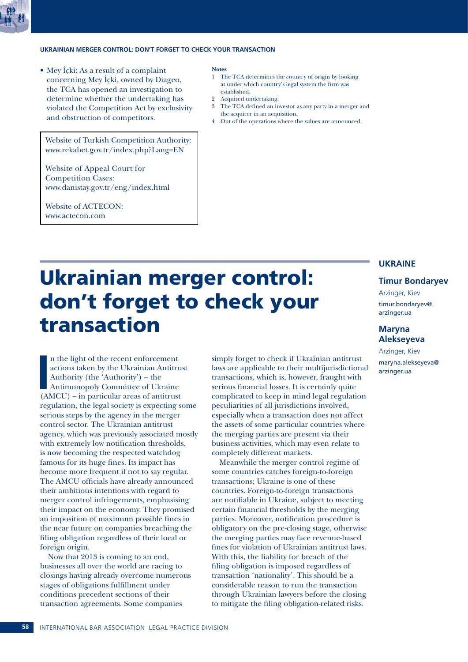

### **UKRAINIAN MERGER CONTROL: DON'T FORGET TO CHECK YOUR TRANSACTION**

• Mey İçki: As a result of a complaint concerning Mey İçki, owned by Diageo, the TCA has opened an investigation to determine whether the undertaking has violated the Competition Act by exclusivity and obstruction of competitors.

Website of Turkish Competition Authority: www.rekabet.gov.tr/index.php?Lang=EN

Website of Appeal Court for Competition Cases: www.danistay.gov.tr/eng/index.html

Website of ACTECON: www.actecon.com

### **Notes**

- 1 The TCA determines the country of origin by looking at under which country's legal system the firm was established.
- 2 Acquired undertaking.
- 3 The TCA defined an investor as any party in a merger and the acquirer in an acquisition.
- Out of the operations where the values are announced.

## Ukrainian merger control: don't forget to check your transaction

**I**<br> **I**<br> **I**<br> **I**<br> **I**<br> **I** n the light of the recent enforcement actions taken by the Ukrainian Antitrust Authority (the 'Authority') – the Antimonopoly Committee of Ukraine (AMCU) – in particular areas of antitrust regulation, the legal society is expecting some serious steps by the agency in the merger control sector. The Ukrainian antitrust agency, which was previously associated mostly with extremely low notification thresholds, is now becoming the respected watchdog famous for its huge fines. Its impact has become more frequent if not to say regular. The AMCU officials have already announced their ambitious intentions with regard to merger control infringements, emphasising their impact on the economy. They promised an imposition of maximum possible fines in the near future on companies breaching the filing obligation regardless of their local or foreign origin.

Now that 2013 is coming to an end, businesses all over the world are racing to closings having already overcome numerous stages of obligations fulfillment under conditions precedent sections of their transaction agreements. Some companies

simply forget to check if Ukrainian antitrust laws are applicable to their multijurisdictional transactions, which is, however, fraught with serious financial losses. It is certainly quite complicated to keep in mind legal regulation peculiarities of all jurisdictions involved, especially when a transaction does not affect the assets of some particular countries where the merging parties are present via their business activities, which may even relate to completely different markets.

Meanwhile the merger control regime of some countries catches foreign-to-foreign transactions; Ukraine is one of these countries. Foreign-to-foreign transactions are notifiable in Ukraine, subject to meeting certain financial thresholds by the merging parties. Moreover, notification procedure is obligatory on the pre-closing stage, otherwise the merging parties may face revenue-based fines for violation of Ukrainian antitrust laws. With this, the liability for breach of the filing obligation is imposed regardless of transaction 'nationality'. This should be a considerable reason to run the transaction through Ukrainian lawyers before the closing to mitigate the filing obligation-related risks.

### **UKRAINE**

### **Timur Bondaryev**

Arzinger, Kiev timur.bondaryev@ arzinger.ua

### **Maryna Alekseyeva**

Arzinger, Kiev maryna.alekseyeva@ arzinger.ua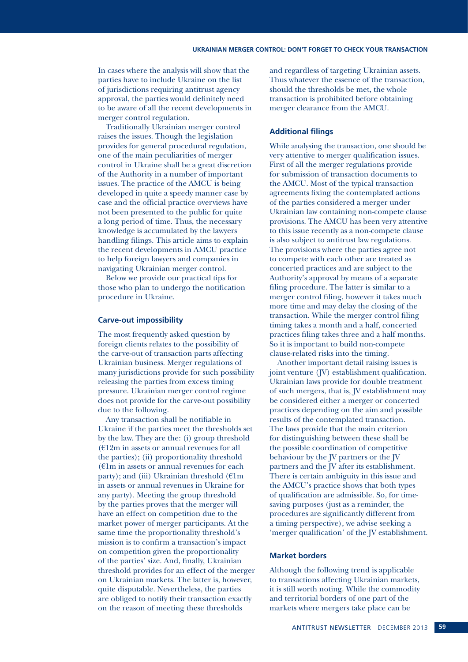In cases where the analysis will show that the parties have to include Ukraine on the list of jurisdictions requiring antitrust agency approval, the parties would definitely need to be aware of all the recent developments in merger control regulation.

Traditionally Ukrainian merger control raises the issues. Though the legislation provides for general procedural regulation, one of the main peculiarities of merger control in Ukraine shall be a great discretion of the Authority in a number of important issues. The practice of the AMCU is being developed in quite a speedy manner case by case and the official practice overviews have not been presented to the public for quite a long period of time. Thus, the necessary knowledge is accumulated by the lawyers handling filings. This article aims to explain the recent developments in AMCU practice to help foreign lawyers and companies in navigating Ukrainian merger control.

Below we provide our practical tips for those who plan to undergo the notification procedure in Ukraine.

### **Carve-out impossibility**

The most frequently asked question by foreign clients relates to the possibility of the carve-out of transaction parts affecting Ukrainian business. Merger regulations of many jurisdictions provide for such possibility releasing the parties from excess timing pressure. Ukrainian merger control regime does not provide for the carve-out possibility due to the following.

Any transaction shall be notifiable in Ukraine if the parties meet the thresholds set by the law. They are the: (i) group threshold  $(£12m in assets or annual revenues for all)$ the parties); (ii) proportionality threshold  $(E1m)$  in assets or annual revenues for each party); and (iii) Ukrainian threshold  $(\text{£}$ m in assets or annual revenues in Ukraine for any party). Meeting the group threshold by the parties proves that the merger will have an effect on competition due to the market power of merger participants. At the same time the proportionality threshold's mission is to confirm a transaction's impact on competition given the proportionality of the parties' size. And, finally, Ukrainian threshold provides for an effect of the merger on Ukrainian markets. The latter is, however, quite disputable. Nevertheless, the parties are obliged to notify their transaction exactly on the reason of meeting these thresholds

and regardless of targeting Ukrainian assets. Thus whatever the essence of the transaction, should the thresholds be met, the whole transaction is prohibited before obtaining merger clearance from the AMCU.

### **Additional filings**

While analysing the transaction, one should be very attentive to merger qualification issues. First of all the merger regulations provide for submission of transaction documents to the AMCU. Most of the typical transaction agreements fixing the contemplated actions of the parties considered a merger under Ukrainian law containing non-compete clause provisions. The AMCU has been very attentive to this issue recently as a non-compete clause is also subject to antitrust law regulations. The provisions where the parties agree not to compete with each other are treated as concerted practices and are subject to the Authority's approval by means of a separate filing procedure. The latter is similar to a merger control filing, however it takes much more time and may delay the closing of the transaction. While the merger control filing timing takes a month and a half, concerted practices filing takes three and a half months. So it is important to build non-compete clause-related risks into the timing.

Another important detail raising issues is joint venture (JV) establishment qualification. Ukrainian laws provide for double treatment of such mergers, that is, JV establishment may be considered either a merger or concerted practices depending on the aim and possible results of the contemplated transaction. The laws provide that the main criterion for distinguishing between these shall be the possible coordination of competitive behaviour by the JV partners or the JV partners and the JV after its establishment. There is certain ambiguity in this issue and the AMCU's practice shows that both types of qualification are admissible. So, for timesaving purposes (just as a reminder, the procedures are significantly different from a timing perspective), we advise seeking a 'merger qualification' of the JV establishment.

### **Market borders**

Although the following trend is applicable to transactions affecting Ukrainian markets, it is still worth noting. While the commodity and territorial borders of one part of the markets where mergers take place can be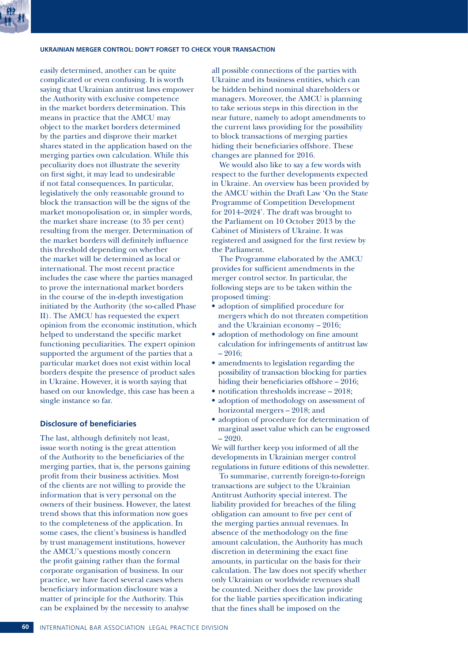### **UKRAINIAN MERGER CONTROL: DON'T FORGET TO CHECK YOUR TRANSACTION**

easily determined, another can be quite complicated or even confusing. It is worth saying that Ukrainian antitrust laws empower the Authority with exclusive competence in the market borders determination. This means in practice that the AMCU may object to the market borders determined by the parties and disprove their market shares stated in the application based on the merging parties own calculation. While this peculiarity does not illustrate the severity on first sight, it may lead to undesirable if not fatal consequences. In particular, legislatively the only reasonable ground to block the transaction will be the signs of the market monopolisation or, in simpler words, the market share increase (to 35 per cent) resulting from the merger. Determination of the market borders will definitely influence this threshold depending on whether the market will be determined as local or international. The most recent practice includes the case where the parties managed to prove the international market borders in the course of the in-depth investigation initiated by the Authority (the so-called Phase II). The AMCU has requested the expert opinion from the economic institution, which helped to understand the specific market functioning peculiarities. The expert opinion supported the argument of the parties that a particular market does not exist within local borders despite the presence of product sales in Ukraine. However, it is worth saying that based on our knowledge, this case has been a single instance so far.

### **Disclosure of beneficiaries**

The last, although definitely not least, issue worth noting is the great attention of the Authority to the beneficiaries of the merging parties, that is, the persons gaining profit from their business activities. Most of the clients are not willing to provide the information that is very personal on the owners of their business. However, the latest trend shows that this information now goes to the completeness of the application. In some cases, the client's business is handled by trust management institutions, however the AMCU's questions mostly concern the profit gaining rather than the formal corporate organisation of business. In our practice, we have faced several cases when beneficiary information disclosure was a matter of principle for the Authority. This can be explained by the necessity to analyse

all possible connections of the parties with Ukraine and its business entities, which can be hidden behind nominal shareholders or managers. Moreover, the AMCU is planning to take serious steps in this direction in the near future, namely to adopt amendments to the current laws providing for the possibility to block transactions of merging parties hiding their beneficiaries offshore. These changes are planned for 2016.

We would also like to say a few words with respect to the further developments expected in Ukraine. An overview has been provided by the AMCU within the Draft Law 'On the State Programme of Competition Development for 2014–2024'. The draft was brought to the Parliament on 10 October 2013 by the Cabinet of Ministers of Ukraine. It was registered and assigned for the first review by the Parliament.

The Programme elaborated by the AMCU provides for sufficient amendments in the merger control sector. In particular, the following steps are to be taken within the proposed timing:

- adoption of simplified procedure for mergers which do not threaten competition and the Ukrainian economy – 2016;
- adoption of methodology on fine amount calculation for infringements of antitrust law – 2016;
- amendments to legislation regarding the possibility of transaction blocking for parties hiding their beneficiaries offshore – 2016;
- notification thresholds increase 2018;
- adoption of methodology on assessment of horizontal mergers – 2018; and
- adoption of procedure for determination of marginal asset value which can be engrossed  $-2020.$

We will further keep you informed of all the developments in Ukrainian merger control regulations in future editions of this newsletter.

To summarise, currently foreign-to-foreign transactions are subject to the Ukrainian Antitrust Authority special interest. The liability provided for breaches of the filing obligation can amount to five per cent of the merging parties annual revenues. In absence of the methodology on the fine amount calculation, the Authority has much discretion in determining the exact fine amounts, in particular on the basis for their calculation. The law does not specify whether only Ukrainian or worldwide revenues shall be counted. Neither does the law provide for the liable parties specification indicating that the fines shall be imposed on the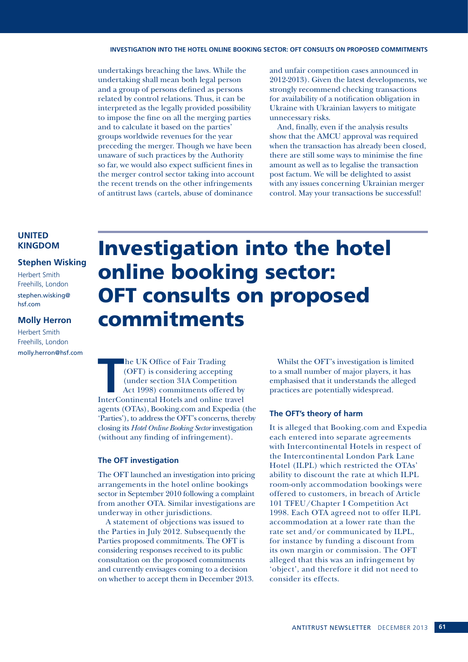### **INVESTIGATION INTO THE HOTEL ONLINE BOOKING SECTOR: OFT CONSULTS ON PROPOSED COMMITMENTS**

undertakings breaching the laws. While the undertaking shall mean both legal person and a group of persons defined as persons related by control relations. Thus, it can be interpreted as the legally provided possibility to impose the fine on all the merging parties and to calculate it based on the parties' groups worldwide revenues for the year preceding the merger. Though we have been unaware of such practices by the Authority so far, we would also expect sufficient fines in the merger control sector taking into account the recent trends on the other infringements of antitrust laws (cartels, abuse of dominance

and unfair competition cases announced in 2012-2013). Given the latest developments, we strongly recommend checking transactions for availability of a notification obligation in Ukraine with Ukrainian lawyers to mitigate unnecessary risks.

And, finally, even if the analysis results show that the AMCU approval was required when the transaction has already been closed, there are still some ways to minimise the fine amount as well as to legalise the transaction post factum. We will be delighted to assist with any issues concerning Ukrainian merger control. May your transactions be successful!

### **UNITED KINGDOM**

### **Stephen Wisking**

Herbert Smith Freehills, London stephen.wisking@ hsf.com

### **Molly Herron**

Herbert Smith Freehills, London molly.herron@hsf.com

## Investigation into the hotel online booking sector: OFT consults on proposed commitments

Trading<br>
InterContinental Hotels and online travel<br>
InterContinental Hotels and online travel<br>
InterContinental Hotels and online travel he UK Office of Fair Trading (OFT) is considering accepting (under section 31A Competition Act 1998) commitments offered by agents (OTAs), Booking.com and Expedia (the 'Parties'), to address the OFT's concerns, thereby closing its *Hotel Online Booking Sector* investigation (without any finding of infringement).

### **The OFT investigation**

The OFT launched an investigation into pricing arrangements in the hotel online bookings sector in September 2010 following a complaint from another OTA. Similar investigations are underway in other jurisdictions.

A statement of objections was issued to the Parties in July 2012. Subsequently the Parties proposed commitments. The OFT is considering responses received to its public consultation on the proposed commitments and currently envisages coming to a decision on whether to accept them in December 2013.

Whilst the OFT's investigation is limited to a small number of major players, it has emphasised that it understands the alleged practices are potentially widespread.

### **The OFT's theory of harm**

It is alleged that Booking.com and Expedia each entered into separate agreements with Intercontinental Hotels in respect of the Intercontinental London Park Lane Hotel (ILPL) which restricted the OTAs' ability to discount the rate at which ILPL room-only accommodation bookings were offered to customers, in breach of Article 101 TFEU/Chapter I Competition Act 1998. Each OTA agreed not to offer ILPL accommodation at a lower rate than the rate set and/or communicated by ILPL, for instance by funding a discount from its own margin or commission. The OFT alleged that this was an infringement by 'object', and therefore it did not need to consider its effects.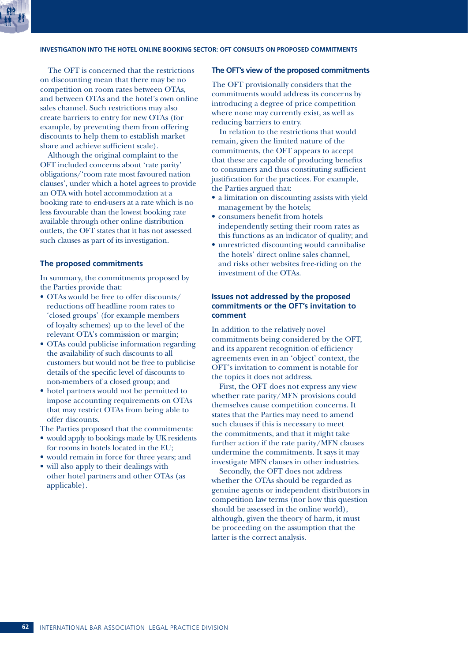### **INVESTIGATION INTO THE HOTEL ONLINE BOOKING SECTOR: OFT CONSULTS ON PROPOSED COMMITMENTS**

The OFT is concerned that the restrictions on discounting mean that there may be no competition on room rates between OTAs, and between OTAs and the hotel's own online sales channel. Such restrictions may also create barriers to entry for new OTAs (for example, by preventing them from offering discounts to help them to establish market share and achieve sufficient scale).

Although the original complaint to the OFT included concerns about 'rate parity' obligations/'room rate most favoured nation clauses', under which a hotel agrees to provide an OTA with hotel accommodation at a booking rate to end-users at a rate which is no less favourable than the lowest booking rate available through other online distribution outlets, the OFT states that it has not assessed such clauses as part of its investigation.

### **The proposed commitments**

In summary, the commitments proposed by the Parties provide that:

- OTAs would be free to offer discounts/ reductions off headline room rates to 'closed groups' (for example members of loyalty schemes) up to the level of the relevant OTA's commission or margin;
- OTAs could publicise information regarding the availability of such discounts to all customers but would not be free to publicise details of the specific level of discounts to non-members of a closed group; and
- hotel partners would not be permitted to impose accounting requirements on OTAs that may restrict OTAs from being able to offer discounts.

The Parties proposed that the commitments:

- would apply to bookings made by UK residents for rooms in hotels located in the EU;
- would remain in force for three years; and
- will also apply to their dealings with other hotel partners and other OTAs (as applicable).

### **The OFT's view of the proposed commitments**

The OFT provisionally considers that the commitments would address its concerns by introducing a degree of price competition where none may currently exist, as well as reducing barriers to entry.

In relation to the restrictions that would remain, given the limited nature of the commitments, the OFT appears to accept that these are capable of producing benefits to consumers and thus constituting sufficient justification for the practices. For example, the Parties argued that:

- a limitation on discounting assists with yield management by the hotels;
- consumers benefit from hotels independently setting their room rates as this functions as an indicator of quality; and
- unrestricted discounting would cannibalise the hotels' direct online sales channel, and risks other websites free-riding on the investment of the OTAs.

### **Issues not addressed by the proposed commitments or the OFT's invitation to comment**

In addition to the relatively novel commitments being considered by the OFT, and its apparent recognition of efficiency agreements even in an 'object' context, the OFT's invitation to comment is notable for the topics it does not address.

First, the OFT does not express any view whether rate parity/MFN provisions could themselves cause competition concerns. It states that the Parties may need to amend such clauses if this is necessary to meet the commitments, and that it might take further action if the rate parity/MFN clauses undermine the commitments. It says it may investigate MFN clauses in other industries.

Secondly, the OFT does not address whether the OTAs should be regarded as genuine agents or independent distributors in competition law terms (nor how this question should be assessed in the online world), although, given the theory of harm, it must be proceeding on the assumption that the latter is the correct analysis.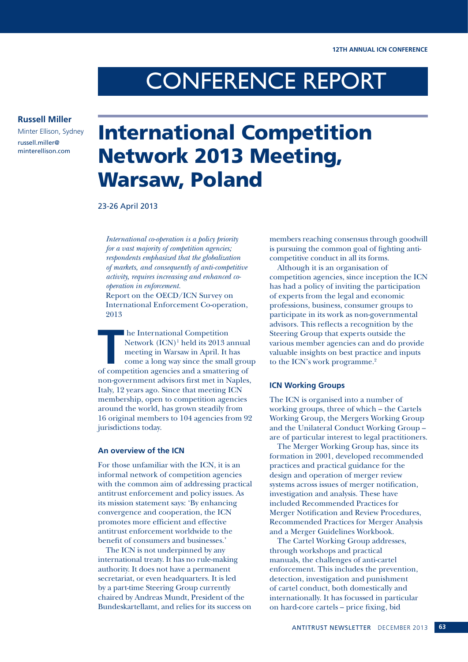# CONFERENCE REPORT

### **Russell Miller**

Minter Ellison, Sydney russell.miller@ minterellison.com

## International Competition Network 2013 Meeting, Warsaw, Poland

23-26 April 2013

*International co-operation is a policy priority for a vast majority of competition agencies; respondents emphasized that the globalization of markets, and consequently of anti-competitive activity, requires increasing and enhanced cooperation in enforcement.*

Report on the OECD/ICN Survey on International Enforcement Co-operation, 2013

**THE INTERNATION COMPETED METALLY AND MANUSCRYPT MANUSCRYPT AND THE UP OF A LICENSI COMPONENT AND A LICENSI SPACE AND A SUMPLE STATE OF A SUPERVISTION OF A LICENSI SPACE AND A SUPERVISTION OF A LICENSI SPACE AND A SUPERVIS** Network (ICN)<sup>1</sup> held its 2013 annual meeting in Warsaw in April. It has come a long way since the small group of competition agencies and a smattering of non-government advisors first met in Naples, Italy, 12 years ago. Since that meeting ICN membership, open to competition agencies around the world, has grown steadily from 16 original members to 104 agencies from 92 jurisdictions today.

### **An overview of the ICN**

For those unfamiliar with the ICN, it is an informal network of competition agencies with the common aim of addressing practical antitrust enforcement and policy issues. As its mission statement says: 'By enhancing convergence and cooperation, the ICN promotes more efficient and effective antitrust enforcement worldwide to the benefit of consumers and businesses.'

The ICN is not underpinned by any international treaty. It has no rule-making authority. It does not have a permanent secretariat, or even headquarters. It is led by a part-time Steering Group currently chaired by Andreas Mundt, President of the Bundeskartellamt, and relies for its success on members reaching consensus through goodwill is pursuing the common goal of fighting anticompetitive conduct in all its forms.

Although it is an organisation of competition agencies, since inception the ICN has had a policy of inviting the participation of experts from the legal and economic professions, business, consumer groups to participate in its work as non-governmental advisors. This reflects a recognition by the Steering Group that experts outside the various member agencies can and do provide valuable insights on best practice and inputs to the ICN's work programme.<sup>2</sup>

### **ICN Working Groups**

The ICN is organised into a number of working groups, three of which – the Cartels Working Group, the Mergers Working Group and the Unilateral Conduct Working Group – are of particular interest to legal practitioners.

The Merger Working Group has, since its formation in 2001, developed recommended practices and practical guidance for the design and operation of merger review systems across issues of merger notification, investigation and analysis. These have included Recommended Practices for Merger Notification and Review Procedures, Recommended Practices for Merger Analysis and a Merger Guidelines Workbook.

The Cartel Working Group addresses, through workshops and practical manuals, the challenges of anti-cartel enforcement. This includes the prevention, detection, investigation and punishment of cartel conduct, both domestically and internationally. It has focussed in particular on hard-core cartels – price fixing, bid